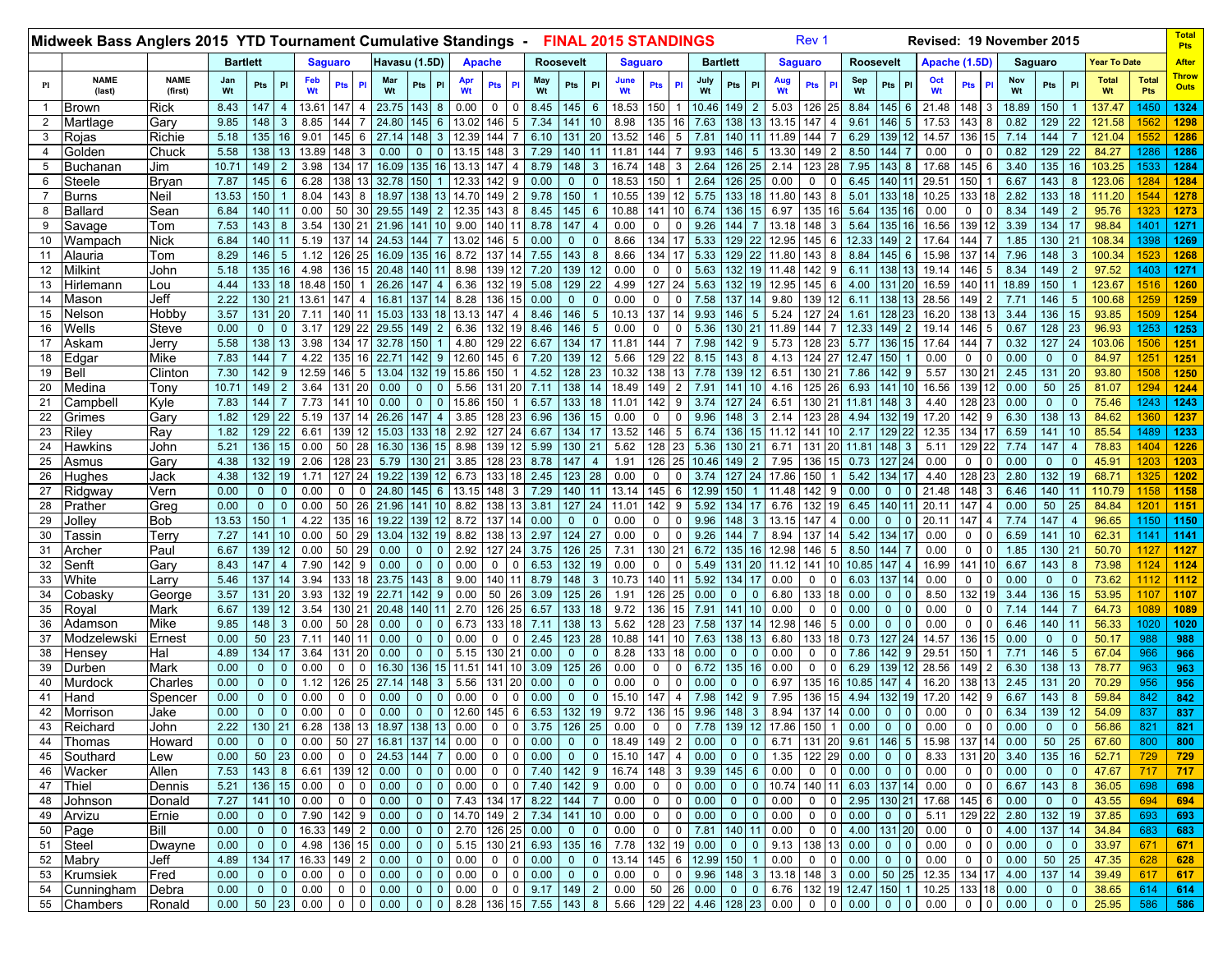|                | Midweek Bass Anglers 2015 YTD Tournament Cumulative Standings - |                        |                 |                                  |                       |                  |                                               |                        |                                  |                          |               |                                                                              |              |                  |                     | <b>FINAL 2015 STANDINGS</b> |                    |                |                 |                                                                       |                | Rev <sub>1</sub> |             |                                              |                |                |               | Revised: 19 November 2015      |                                |                   |                      |                     |                     | <b>Total</b><br>Pts         |
|----------------|-----------------------------------------------------------------|------------------------|-----------------|----------------------------------|-----------------------|------------------|-----------------------------------------------|------------------------|----------------------------------|--------------------------|---------------|------------------------------------------------------------------------------|--------------|------------------|---------------------|-----------------------------|--------------------|----------------|-----------------|-----------------------------------------------------------------------|----------------|------------------|-------------|----------------------------------------------|----------------|----------------|---------------|--------------------------------|--------------------------------|-------------------|----------------------|---------------------|---------------------|-----------------------------|
|                |                                                                 |                        | <b>Bartlett</b> |                                  |                       |                  | <b>Saguaro</b>                                |                        | Havasu (1.5D)                    |                          |               | <b>Apache</b>                                                                |              | <b>Roosevelt</b> |                     | <b>Saguaro</b>              |                    |                | <b>Bartlett</b> |                                                                       |                | <b>Saguaro</b>   |             | <b>Roosevelt</b>                             |                |                |               | Apache (1.5D)                  |                                | Saguaro           |                      | <b>Year To Date</b> |                     | <b>After</b>                |
| P1             | <b>NAME</b><br>(last)                                           | <b>NAME</b><br>(first) | Jan<br>Wt       | Pts                              | PI                    | Feb<br>Wt        | Pts                                           | Mar<br>Wt              | Pts                              | PI                       | Wt            | <b>Pts</b><br><b>PI</b>                                                      | May<br>Wt    | Pts              | PI                  | June<br>Wt                  | Pts PI             |                | July<br>Wt      | Pts<br>PI                                                             | Wt             | <b>Pts</b>       |             | Sep<br>Wt                                    | Pts            | PI             | Oct<br>Wt     | <b>Pts</b>                     | Nov<br>Wt                      | Pts               | <b>PI</b>            | <b>Total</b><br>Wt  | <b>Total</b><br>Pts | <b>Throw</b><br><b>Outs</b> |
| -1             | <b>Brown</b>                                                    | Rick                   | 8.43            | 147                              | $\overline{4}$        | 13.61            | 147                                           | 23.75                  | 43                               | 8                        | 0.00          | 0<br>0                                                                       | 8.45         | 145              | 6                   | 18.53                       | 150                |                | 10.46           | 149<br>$\overline{2}$                                                 | 5.03           | 126              |             | 8.84                                         | 145            | 6              | 21.48         | 148                            | 18.89                          | 150               |                      | 137.47              | 1450                | 1324                        |
| $\overline{2}$ | Martlage                                                        | Garv                   | 9.85            | 148                              | 3                     | 8.85             | 144                                           | 24.80                  | 145                              | 6                        | 13.02         | 5<br>146                                                                     | 7.34         | 141              | 10                  | 8.98                        | 135 16             |                | 7.63            | 138 13                                                                | 13.15          | 147              |             | 9.61                                         | 146            | 5              | 17.53         | 143                            | 0.82                           | 129               | 22                   | 121.58              | 1562                | 1298                        |
| 3              | Rojas                                                           | Richie                 | 5.18            | 135                              | 16                    | 9.01             | 145<br>6                                      | 27.14                  | 48                               |                          | 12.39         | 144                                                                          | 6.10         | 131              | 20                  | 13.52                       | 146                | 5              | 7.81            | 140<br>11                                                             | 11.89          | 144              |             | 6.29                                         | 139            | 12             | 14.57         | 136                            | 7.14                           | $\overline{144}$  |                      | 121.04              | 1552                | 1286                        |
| $\overline{4}$ | Golden                                                          | Chuck                  | 5.58            | 138                              | 13                    | 13.89            | 48                                            | 0.00                   | $\Omega$                         |                          | 13.15         | 148                                                                          | 7.29         | 140              | 11                  | 11.81                       | 144                |                | 9.93            | 146<br>5                                                              | 13.30          | 149              |             | 8.50                                         | 144            |                | 0.00          | $\Omega$                       | 0.82                           | 129               | 22                   | 84.27               | 1286                | 1286                        |
| 5              | Buchanan                                                        | Jim                    | 10.71           | 149                              |                       | 3.98             | 34                                            | 16.09                  | 35                               | 16.                      | 13.           | 147                                                                          | 8.79         | 148              | $\mathbf{3}$        | 16.74                       | 148                | 3              | 2.64            | 126 25                                                                | 2.14           | 123              |             | 7.95                                         | 143            | 8              | 17.68         | 145                            | 3.40                           | 135               | 16                   | 103.25              | 1533                | 1284                        |
| 6              | Steele                                                          | Bryan                  | 7.87            | 145                              | 6                     | 6.28             | 38                                            | 32.78                  | 50                               |                          | 12.33         | 142<br>9                                                                     | 0.00         | $\mathbf 0$      | $\Omega$            | 18.53                       | 150                |                | 2.64            | 26 25                                                                 | 0.00           | $\Omega$         |             | 6.45                                         | 140            |                | 29.51         | 150                            | 6.67                           | 143               | 8                    | 123.06              | 1284                | 1284                        |
| $\overline{7}$ | <b>Burns</b>                                                    | Neil                   | 13.53           | 150                              |                       | 8.04             | 143                                           | 18.97                  | 138                              |                          | 14.70         | 149<br>$\overline{2}$                                                        | 9.78         | 150              | $\mathbf{1}$        | 10.55                       | 139 12             |                | 5.75            | 133 18                                                                | 11.80          | 143              | 8           | 5.01                                         | 133            | 18             | 10.25         | 133                            | 2.82                           | 133               | 18                   | 111.20              | 1544                | 1278                        |
| 8<br>9         | Ballard                                                         | Sean                   | 6.84<br>7.53    | 140<br>143                       | 8                     | 0.00<br>3.54     | 50<br>130                                     | 29.55<br>21.96         | 49<br>141                        |                          | 12.35<br>9.00 | 143<br>8<br>140                                                              | 8.45<br>8.78 | 145<br>147       | 6<br>$\overline{4}$ | 10.88<br>0.00               | 141<br>0           | 10<br>0        | 6.74<br>9.26    | 136 15<br>144                                                         | 6.97           | 135<br>148       |             | 5.64<br>5.64                                 | 135<br>135     | 16<br>16       | 0.00<br>16.56 | 0<br>139                       | 8.34<br>3.39                   | 149<br>134        | $\overline{2}$<br>17 | 95.76<br>98.84      | 1323<br>1401        | 1273                        |
| 10             | Savage<br>Wampach                                               | Tom<br>Nick            | 6.84            | 140                              |                       | 5.19             | 137                                           | 24.53                  | 44                               |                          | 13.02         | 146<br>5                                                                     | 0.00         | $\mathbf 0$      | $\mathbf 0$         | 8.66                        | 134                | 17             | 5.33            | 129 22                                                                | 13.18<br>12.95 | 145              |             | 12.33                                        | 149            | $\overline{2}$ | 17.64         | 144                            | 1.85                           | 130               | 21                   | 108.34              | 1398                | 1271<br>1269                |
| 11             | Alauria                                                         | Tom                    | 8.29            | 146                              | 5                     | 1.12             | 26                                            | 16.09                  | 35                               | 16.                      | 8.72          | 137<br>14                                                                    | 7.55         | 143              | 8                   | 8.66                        | 134                | 17             | 5.33            | 129 l<br>22                                                           | 11.80          | 143              |             | 8.84                                         | 145            | 6              | 15.98         | 137                            | 7.96                           | 148               | 3                    | 100.34              | 1523                | 1268                        |
| 12             | Milkint                                                         | John                   | 5.18            | 135                              | 16                    | 4.98             | 1361                                          | 20.48                  | 40                               |                          | 8.98          | 139<br>12                                                                    | 7.20         | 139              | 12                  | 0.00                        | 0                  | 0              | 5.63            | 132 19                                                                | 11.48          | 142              | 9           | 6.11                                         | 138            | 13             | 19.14         | 146<br>5                       | 8.34                           | 149               | $\overline{2}$       | 97.52               | 1403                | 1271                        |
| 13             | Hirlemann                                                       | Lou                    | 4.44            | 133                              | 18                    | 18.48            | 150                                           | 26.26                  | 47                               | 4                        | 6.36          | 132<br>19                                                                    | 5.08         | 129              | 22                  | 4.99                        | 127                | 24             | 5.63            | 132 19                                                                | 12.95          | 145              | 6           | 4.00                                         | 131            | 20             | 16.59         | 140                            | 18.89                          | 150               |                      | 123.67              | 1516                | 1260                        |
| 14             | Mason                                                           | Jeff                   | 2.22            | 130                              | 21                    | 13.61            | 147                                           | 16.81                  | 137                              |                          | 8.28          | 15<br>136                                                                    | 0.00         | $\mathbf 0$      | $\overline{0}$      | 0.00                        | 0                  | 0              | 7.58            | 137<br>14                                                             | 9.80           | 139              | 12          | 6.11                                         | 138            | 13             | 28.56         | 149                            | 7.71                           | 146               | 5                    | 100.68              | 1259                | 1259                        |
| 15             | Nelson                                                          | Hobby                  | 3.57            | 131                              | 20                    | 7.11             | 140                                           | 15.03                  | 33                               | 18                       | 13.13         | 147<br>4                                                                     | 8.46         | 146              | 5                   | 10.13                       | 137                | 14             | 9.93            | 146<br>$5^{\circ}$                                                    | 5.24           | 127              |             | 1.61                                         | 128            | 23             | 16.20         | 138                            | 3.44                           | 136               | 15                   | 93.85               | 1509                | 1254                        |
| 16             | Wells                                                           | Steve                  | 0.00            | $\Omega$                         |                       | 3.17             | 129                                           | 29.55                  | 49                               |                          | 6.36          | 132<br>19                                                                    | 8.46         | 146              | 5                   | 0.00                        | 0                  | 0              | 5.36            | 130 21                                                                | 11.89          | 144              |             | 12.33                                        | 149            |                | 19.14         | 146                            | 0.67                           | 128               | 23                   | 96.93               | 1253                | 1253                        |
| 17             | Askam                                                           | Jerry                  | 5.58            | 138                              | 13                    | 3.98             | 134                                           | 32.78                  | 150                              |                          | 4.80          | 22<br>129                                                                    | 6.67         | 134              | 17                  | 11.81                       | 144                | $\overline{7}$ | 7.98            | 142<br>9                                                              | 5.73           | 128              |             | 5.77                                         | 136            | 15             | 17.64         | 144                            | 0.32                           | 127               | 24                   | 103.06              | 1506                | 1251                        |
| 18             | Edgar                                                           | Mike                   | 7.83            | 144                              |                       | 4.22             | 35<br>16                                      | 22.71                  | 142                              | 9                        | 12.60         | 145<br>6                                                                     | 7.20         | 139              | 12                  | 5.66                        | 129 22             |                | 8.15            | 143<br>8                                                              | 4.13           | 124              | 27          | 12.47                                        | 150            |                | 0.00          | 0                              | 0.00                           | $\mathbf{0}$      | $\mathbf 0$          | 84.97               | 1251                | 1251                        |
| 19             | Bell                                                            | Clinton                | 7.30            | 142                              | 9                     | 12.59            | 146<br>5                                      | 13.04                  | 132                              | 19                       | 15.86         | 150                                                                          | 4.52         | 128              | 23                  | 10.32                       | 138 13             |                | 7.78            | 139 12                                                                | 6.51           | 130              | 21          | 7.86                                         | 142            | 9              | 5.57          | 130                            | 2.45                           | 131 20            |                      | 93.80               | 1508                | 1250                        |
| 20             | Medina                                                          | Tony                   | 10.71           | 149                              | $\overline{2}$        | 3.64             | 131<br>20                                     | 0.00                   | $\mathbf{0}$                     | $\Omega$                 | 5.56          | 131<br><b>20</b>                                                             | 7.11         | 138              | 14                  | 18.49                       | 149 2              |                | 7.91            | 141<br>10                                                             | 4.16           | 125              |             | 6.93                                         | 141            |                | 16.56         | 139                            | 0.00                           | 50                | 25                   | 81.07               | 1294                | 1244                        |
| 21             | Campbell                                                        | Kyle                   | 7.83            | 144                              |                       | 7.73             | 141                                           | 0.00                   | $\mathbf 0$                      |                          | 15.86         | 150                                                                          | 6.57         | 133              | 18                  | 11.01                       | 142 9              |                | 3.74            | 127<br>24                                                             | 6.51           | 130              |             | 11.81                                        | 148            |                | 4.40          | 128                            | 0.00                           | $\mathbf{0}$      | $\mathbf 0$          | 75.46               | 1243                | 1243                        |
| 22             | Grimes                                                          | Garv                   | 1.82            | 129                              | 22                    | 5.19             | 137                                           | 26.26                  | 47                               |                          | 3.85          | 128<br>23                                                                    | 6.96         | 136              | 15                  | 0.00                        | $\mathbf 0$        | 0              | 9.96            | 148<br>3                                                              | 2.14           | 123              | 28          | 4.94                                         | 132            | 19             | 17.20         | 142                            | 6.30                           | 138               | 13                   | 84.62               | 1360                | 1237                        |
| 23             | Riley                                                           | Ray                    | 1.82            | 129                              | 22                    | 6.61             | 39                                            | 15.03                  | 33                               | 18                       | 2.92          | 127<br>24                                                                    | 6.67         | 134              | 17                  | 13.52                       | 146                | 5              | 6.74            | 36 15                                                                 | 11.12          | 141              |             | 2.17                                         | 129            | 22             | 12.35         | 134                            | 6.59                           | 141               | 10                   | 85.54               | 1489                | 1233                        |
| 24             | Hawkins                                                         | John                   | 5.21            | 136                              | 15                    | 0.00             | 50<br>28                                      | 16.30                  | 136                              | 15                       | 8.98          | 12<br>139                                                                    | 5.99         | 130              | 21                  | 5.62                        | 128 23             |                | 5.36            | 130 21                                                                | 6.71           | 131              |             | 11.81                                        | 148            | 3              | 5.11          | 129                            | 7.74                           | 147               | $\overline{4}$       | 78.83               | 1404                | 1226                        |
| 25             | Asmus                                                           | Garv                   | 4.38            | 132                              | 19                    | 2.06             | 128                                           | 5.79                   | 30                               |                          | 3.85          | 23<br>128                                                                    | 8.78         | 147              | $\overline{4}$      | 1.91                        | 126 25             |                | 10.46           | 149<br>$\overline{2}$                                                 | 7.95           | 136              | 15          | 0.73                                         | 127            | 24             | 0.00          | 0                              | 0.00                           | $\mathbf{0}$      | $\overline{0}$       | 45.91               | 1203                | 1203                        |
| 26             | Hughes                                                          | Jack                   | 4.38            | 132                              | 19                    | 1.71             | 127<br>24                                     | 19.22                  | 139                              | 12                       | 6.73          | 133<br>18                                                                    | 2.45         | 123              | 28                  | 0.00                        | 0                  | $\mathbf 0$    | 3.74            | 127 24                                                                | 17.86          | 150              |             | 5.42                                         | 134            | 17             | 4.40          | 128                            | 2.80                           | 132               | 19                   | 68.71               | 1325                | 1202                        |
| 27             | Ridgway                                                         | Vern                   | 0.00            | $\mathbf{0}$                     | $\mathbf{0}$          | 0.00             | $\mathbf 0$<br>$\Omega$                       | 24.80                  | 45                               | 6                        | 13.15         | 148<br>3                                                                     | 7.29         | 140              | 11                  | 13.14                       | 145 6              |                | 12.99           | 150                                                                   | 11.48          | 142              |             | 0.00                                         | $\Omega$       | $\mathbf{0}$   | 21.48         | 148                            | 6.46                           | 140               | 11                   | 110.79              | 1158                | 1158                        |
| 28             | Prather                                                         | Greg                   | 0.00            | $\mathbf{0}$                     | $\mathbf{0}$          | 0.00             | 50                                            | 21.96                  | 141                              |                          | 8.82          | 138<br>13                                                                    | 3.81         | 127              | 24                  | 11.01                       | 142                | 9              | 5.92            | 134                                                                   | 6.76           | 132              | 19          | 6.45                                         | 140            | 11             | 20.11         | 147                            | 0.00                           | 50                | 25                   | 84.84               | 1201                | 1151                        |
| 29             | Jolley                                                          | Bob                    | 13.53           | 150                              |                       | 4.22             | 135                                           | 19.22                  | 39                               | 12 <sup>2</sup>          | 8.72          |                                                                              | 0.00         | $\overline{0}$   | $\Omega$            | 0.00                        | $\mathbf 0$        | 0              | 9.96            | 148<br>3                                                              | 13.15          | 147              |             | 0.00                                         |                | $\Omega$       | 20.11         | 147                            | 7.74                           | 147               | $\overline{4}$       | 96.65               | 1150                | 1150                        |
| 30             | ⊺assin                                                          | Terry                  | 7.27            | 141<br>139                       | 10 <sup>1</sup><br>12 | 0.00<br>0.00     | 50                                            | 13.04<br>0.00          | 32                               | 19                       | 8.82          | 138<br>13                                                                    | 2.97         | 124              | 27<br>25            | 0.00                        | $\Omega$<br>130 21 | 0              | 9.26<br>6.72    | 44                                                                    | 8.94<br>12.98  | 37<br>146        |             | 5.42                                         | 34             |                | 0.00          | $\Omega$<br>O                  | 6.59                           | 141               |                      | 62.31               | 1141<br>1127        | 1141                        |
| 31<br>32       | Archer                                                          | Paul                   | 6.67<br>8.43    | 147                              | $\overline{4}$        | 7.90             | 50<br>29<br>142                               | 0.00                   | 0<br>$\Omega$                    | $\mathbf{0}$<br>$\Omega$ | 2.92<br>0.00  | 127<br>24<br>0<br>$\Omega$                                                   | 3.75<br>6.53 | 126<br>132       | 19                  | 7.31<br>0.00                | $\mathbf 0$        | 0              | 5.49            | 135 16<br>131<br>20                                                   | 11.12          | 141              | 5           | 8.50<br>10.85                                | 144<br>147     |                | 0.00<br>16.99 | 0<br>141                       | 1.85<br>6.67                   | 130 21<br>143     | 8                    | 50.70<br>73.98      | 1124                | 1127<br>1124                |
| 33             | Senft<br>White                                                  | Garv<br>Larry          | 5.46            | 137                              | 14                    | 3.94             | 133                                           | 23.75<br>18            | 143                              | 8                        | 9.00          | 140<br>11                                                                    | 8.79         | 148              | 3                   | 10.73                       | 140 11             |                | 5.92            | 134 17                                                                | 0.00           | 0                |             | 6.03                                         | 137            | 14             | 0.00          | 0                              | 0.00                           | $\mathbf{0}$      | $\overline{0}$       | 73.62               | 1112                | 1112                        |
| 34             | Cobasky                                                         | George                 | 3.57            | 131                              | 20                    | 3.93             | 132                                           | 22.71<br>19            | 42                               | 9                        | 0.00          | 50<br>26                                                                     | 3.09         | 125              | 26                  | 1.91                        | 126 25             |                | 0.00            | $\Omega$<br>$\Omega$                                                  | 6.80           | 133              |             | 0.00                                         | $\Omega$       | $\Omega$       | 8.50          | 132                            | 3.44                           | 136               | 15                   | 53.95               | 1107                | 1107                        |
| 35             | Royal                                                           | Mark                   | 6.67            | 139                              | 12 <sup>2</sup>       | 3.54             | 30                                            | 20.48                  | 40                               |                          | 2.70          | 25<br>126                                                                    | 6.57         | 133              | 18                  | 9.72                        | 136                | 15             | 7.91            | 41<br>10 <sup>°</sup>                                                 | 0.00           | 0                |             | 0.00                                         |                |                | 0.00          | $\Omega$                       | 7.14                           | 144               |                      | 64.73               | 1089                | 1089                        |
| 36             | Adamson                                                         | Mike                   | 9.85            | 148                              | $\mathbf{3}$          | 0.00             | 50                                            | 0.00<br>28             | $\Omega$                         | $\Omega$                 | 6.73          | 133<br>18                                                                    | 7.11         | 138              | 13                  | 5.62                        | 128 23             |                | 7.58            | 137<br>14                                                             | 12.98          | 146              | 5           | 0.00                                         |                |                | 0.00          | $\mathbf 0$                    | 6.46                           | 140               |                      | 56.33               | 1020                | 1020                        |
| 37             | Modzelewski                                                     | Ernest                 | 0.00            | 50                               | 23                    | 7.11             | 140                                           | 0.00                   | $\mathbf{0}$                     | $\mathbf{0}$             | 0.00          | 0<br>$\Omega$                                                                | 2.45         | 123              | 28                  | 10.88                       | 141                | 10             | 7.63            | 138 13                                                                | 6.80           | 33               |             | 0.73                                         | 127            | 24             | 14.57         | 136                            | 0.00                           | $\mathbf{0}$      | $\mathbf{0}$         | 50.17               | 988                 | 988                         |
| 38             | Hensey                                                          | Hal                    | 4.89            | 134                              | 17                    | 3.64             | 131<br>20                                     | 0.00                   | $\mathbf 0$                      | $\overline{0}$           | 5.15          | 21<br>130                                                                    | 0.00         | $\mathbf 0$      | $\mathbf 0$         | 8.28                        | 133 18             |                | 0.00            | $\mathbf{0}$<br>$\mathbf{0}$                                          | 0.00           | 0                | $\mathbf 0$ | 7.86                                         | 142            | 9              | 29.51         | 150                            | 7.71                           | 146               | 5                    | 67.04               | 966                 | 966                         |
| 39             | Durben                                                          | Mark                   | 0.00            |                                  | $\mathbf{0}$          | 0.00             | 0                                             | 16.30                  | 36                               | 15                       | 11.51         | 141<br>10                                                                    | 3.09         | 125              | 26                  | 0.00                        | $\mathbf 0$        | 0              | 6.72            | 135<br>16                                                             | 0.00           | 0                |             | 6.29                                         | 139            |                | 28.56         | 149                            | 6.30                           | 138               | 13                   | 78.77               | 963                 | 963                         |
| 40             | Murdock                                                         | Charles                | 0.00            | $\mathbf{0}$                     | $\mathbf{0}$          | 1.12             | 126                                           | 27.14                  | 148                              | 3                        | 5.56          | 131<br>20                                                                    | 0.00         | $\mathbf 0$      | $\mathbf{0}$        | 0.00                        | $\mathbf 0$        | 0              | 0.00            | $\mathbf 0$<br>$\Omega$                                               | 6.97           | 135              |             | 10.85                                        | 147            |                | 16.20         | 138                            | 2.45                           | 131 20            |                      | 70.29               | 956                 | 956                         |
| 41             | Hand                                                            | Spencer                | 0.00            |                                  | $\Omega$              | 0.00             | 0                                             | 0.00                   | $\mathbf 0$                      |                          | 0.00          | $\Omega$<br>$\Omega$                                                         | 0.00         | $\Omega$         | $\mathbf{0}$        | 15.10                       | 147                | $\overline{4}$ | 7.98            | 142<br>9                                                              | 7.95           | 136              | 15          | 4.94                                         | 132            | 19             | 17.20         | 142                            | 6.67                           | 143               | 8                    | 59.84               | 842                 | 842                         |
| 42             | Morrison                                                        | Jake                   | 0.00            |                                  |                       | 0.00             | $\Omega$                                      | 0.00                   | $\mathbf{0}$                     | $\Omega$                 | 12.60         | 6<br>145                                                                     | 6.53         | 132              | 19                  | 9.72                        | 136 15             |                | 9.96            | 148<br>$\mathbf{3}$                                                   | 8.94           | 137              | 14          | 0.00                                         |                |                | 0.00          | $\Omega$                       | 6.34                           | 139               | 12                   | 54.09               | 837                 | 837                         |
|                | 43 Reichard                                                     | Jonn                   |                 |                                  |                       |                  |                                               |                        |                                  |                          |               |                                                                              |              |                  |                     |                             |                    |                |                 |                                                                       |                |                  |             |                                              |                |                |               |                                |                                |                   |                      | 0 0 56.86 821 821   |                     |                             |
|                | 44 Thomas                                                       | Howard                 | 0.00            | $\overline{0}$                   | 0 <sup>1</sup>        |                  |                                               |                        |                                  |                          |               | $0.00$   50   27   16.81   137   14   0.00   0   0   0.00   0                |              |                  |                     |                             |                    |                |                 | 0   18.49   149   2   0.00   0   0   6.71   131   20   9.61   146   5 |                |                  |             |                                              |                |                | 15.98         | 137 14 0.00                    |                                | $50 \mid 25 \mid$ |                      | 67.60               | 800                 | 800                         |
|                | 45 Southard                                                     | Lew                    | 0.00            |                                  |                       |                  |                                               |                        |                                  |                          |               |                                                                              |              |                  |                     |                             |                    |                |                 | $0$   15.10   147   4   0.00   0   0   1.35   122   29   0.00         |                |                  |             |                                              | $0 \mid 0$     |                |               | 8.33 131 20 3.40               |                                | $135$ 16          |                      | 52.71               | 729                 | 729                         |
|                | 46 Wacker                                                       | Allen                  | 7.53 143 8      |                                  |                       |                  | 6.61 139 12                                   | 0.00                   | $\overline{0}$                   |                          |               | $0 \mid 0 \mid 7.40 \mid 142$                                                |              |                  |                     |                             |                    |                |                 | $9   16.74   148   3   9.39   145   6   0.00$                         |                |                  |             | $0 \t 0 \t 0.00$                             | $0$ 0          |                | 0.00          | $\overline{0}$                 | $0 \ 0.00$                     | $\overline{0}$    | $\overline{0}$       | 47.67               | 717                 | 717                         |
|                | 47 Thiel                                                        | Dennis                 |                 |                                  |                       | 5.21 136 15 0.00 | $0$   $0$                                     | 0.00                   | $\overline{0}$                   |                          |               | $0$ 0.00 0 0 7.40 142                                                        |              |                  | 9                   | 0.00                        |                    |                |                 | $0$   0   0.00   0   0   10.74   140   11   6.03   137   14           |                |                  |             |                                              |                |                | 0.00          | $\overline{0}$                 | 0 6.67                         | $143 \mid 8$      |                      | 36.05               | 698                 | 698                         |
|                | 48 Johnson                                                      | Donald                 | 7.27 141 10     |                                  |                       | 0.00             | $\overline{0}$<br>$\overline{0}$              | 0.00                   |                                  |                          |               | $0$ 0 7.43 134 17 8.22 144                                                   |              |                  | $\overline{7}$      | 0.00                        |                    |                |                 | $0$ 0 0 0.00 0 0 0.00                                                 |                |                  |             | $0 \t 0 \t 2.95 \t 130 \t 21$                |                |                | 17.68         | 145                            | $6 \quad 0.00$                 | 0                 | $\overline{0}$       | 43.55               | 694                 | 694                         |
| 49             | Arvizu                                                          | Ernie                  | 0.00            | $\overline{0}$                   | $\overline{0}$        |                  | 7.90 142 9                                    | 0.00                   | $\overline{0}$                   |                          |               |                                                                              |              |                  | 10                  | 0.00                        |                    |                |                 | $0 \mid 0 \mid 0.00$                                                  |                |                  |             | $0 \t 0 \t 0.00$                             | $0 \quad 0$    |                | 5.11          | 129 22 2.80                    |                                | 132 19            |                      | 37.85               | 693                 | 693                         |
|                | 50 Page                                                         | Bill                   | 0.00<br>0.00    | $\overline{0}$<br>$\overline{0}$ | $\overline{0}$        |                  | $0 \mid 16.33 \mid 149 \mid 2$<br>4.98 136 15 | 0.00<br>0.00           | $\overline{0}$                   |                          |               |                                                                              |              |                  | $\overline{0}$      | 0.00                        |                    |                |                 | $0$ 0 7.81 140 11 0.00                                                |                |                  |             | $0 \t 0 \t 4.00 \t 131 \t 20$<br>138 13 0.00 | $0$ 0          |                | 0.00<br>0.00  | $\overline{0}$                 | $0 \mid 4.00$<br>$0\vert 0.00$ | 137 14            |                      | 34.84               | 683                 | 683                         |
|                | 51 Steel<br>52 Mabry                                            | Dwayne<br>Jeff         | 4.89            |                                  |                       |                  | 134 17 16.33 149 2                            | 0.00                   | $\overline{0}$<br>$\overline{0}$ | $\overline{0}$           | 0.00          | $\mid$ 0   5.15   130   21   6.93   135   16   7.78<br>$0 \t 0 \t 0.00 \t 0$ |              |                  | $\overline{0}$      | 13.14                       |                    |                | 132 19 0.00     | $0 \t 0 \t 9.13$                                                      |                |                  |             | $0 \t 0 \t 0.00$                             | $0 \mid 0$     |                | 0.00          | $\mathbf{0}$<br>$\overline{0}$ | $0\quad 0.00$                  | 50 25             | $0 \mid 0$           | 33.97<br>47.35      | 671<br>628          | 671<br>628                  |
|                | 53 Krumsiek                                                     | Fred                   | 0.00            | $\overline{0}$                   | $\overline{0}$        | 0.00             | $\overline{0}$<br>$\overline{0}$              | 0.00                   | $\overline{0}$                   | $\overline{0}$           | 0.00          | $0 \t 0 \t 0.00 \t 0$                                                        |              |                  | $\overline{0}$      | 0.00                        |                    |                |                 | $0$   0   9.96   148   3   13.18   148   3   0.00   50   25           |                |                  |             |                                              |                |                | 12.35         | 134 17 4.00                    |                                | 137 14            |                      | 39.49               | 617                 | 617                         |
|                | 54 Cunningham                                                   | Debra                  | 0.00            | $\overline{0}$                   | $\overline{0}$        | 0.00             | $\overline{0}$<br>$\overline{0}$              | 0.00                   | $\overline{0}$                   | $\overline{0}$           | 0.00          | $0 \t 0 \t 9.17 \t 149$                                                      |              |                  | $\overline{2}$      | 0.00                        |                    |                | 50 26 0.00      |                                                                       |                |                  |             | 132 19 12.47 150                             |                |                | 10.25         | 133 18                         | 0.00                           |                   | $0 \quad 0$          | 38.65               | 614                 | 614                         |
|                | 55 Chambers                                                     | Ronald                 | 0.00            | 50                               | 23                    | 0.00             | $\overline{0}$                                | 0.00<br>$\overline{0}$ | $\overline{0}$                   | $\overline{0}$           |               | 8.28 136 15 7.55 143                                                         |              |                  | 8 <sup>1</sup>      | 5.66                        |                    |                |                 | 129 22 4.46 128 23 0.00                                               |                |                  | $0\quad 0$  | 0.00                                         | $\overline{0}$ | $\mathbf{0}$   | 0.00          | $\mathbf 0$<br>$\overline{0}$  | 0.00                           | $\overline{0}$    | $\overline{0}$       | 25.95               | 586                 | 586                         |
|                |                                                                 |                        |                 |                                  |                       |                  |                                               |                        |                                  |                          |               |                                                                              |              |                  |                     |                             |                    |                |                 |                                                                       |                |                  |             |                                              |                |                |               |                                |                                |                   |                      |                     |                     |                             |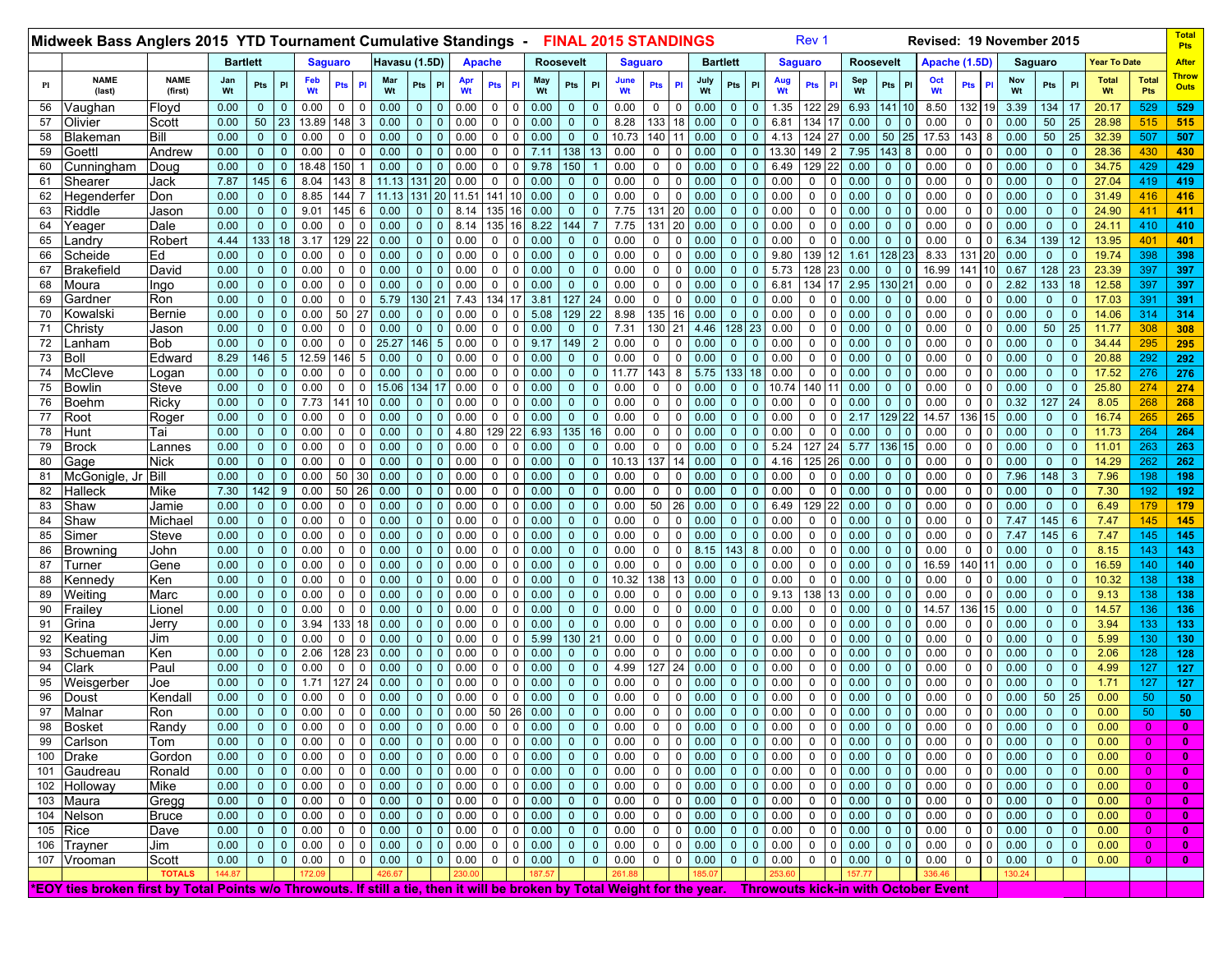| Havasu (1.5D)<br><b>Bartlett</b><br><b>Year To Date</b><br><b>After</b><br><b>Bartlett</b><br><b>Saguaro</b><br><b>Apache</b><br><b>Roosevelt</b><br><b>Roosevelt</b><br>Apache (1.5D)<br><b>Saguaro</b><br><b>Saguaro</b><br><b>Saguaro</b><br>Throw<br><b>NAME</b><br><b>NAME</b><br>May<br>Sep<br><b>Total</b><br><b>Total</b><br>Jan<br>Feb<br>Mar<br>June<br>July<br>Oct<br>Nov<br>Aug<br>PI<br>Pts<br>Pts<br>P<br>Pts<br>Pts<br>PI<br><b>Pts</b><br>P<br>Pts<br>PI<br>PI<br>PI<br>Pts<br><b>Pts</b><br>Pts<br>PI<br>Pl<br>Pts<br>Pts<br><b>Outs</b><br>Wt<br>Wt<br>Wt<br>Wt<br>Wt<br>(last)<br>(first)<br>Wt<br>Wt<br>Wt<br>Wt<br>Wt<br>Wt<br>Wt<br>Pts<br>0.00<br>0.00<br>0.00<br>1.35<br>122<br>6.93<br>141<br>8.50<br>32<br>3.39<br>134<br>529<br>529<br>56<br>/aughan<br>Floyd<br>$\mathbf{0}$<br>0.00<br>$\Omega$<br>0.00<br>$\mathbf{0}$<br>0.00<br>0<br>$\Omega$<br>0.00<br>$\mathbf{0}$<br>20.17<br>$\Omega$<br>0<br>0<br>$\Omega$<br>-0<br>0<br>19<br>50<br>133<br>0.00<br>23<br> 48 <br>0.00<br>8.28<br>0.00<br>134<br>0.00<br>50<br>28.98<br>57<br>Olivier<br>Scott<br>13.89<br>0.00<br>0.00<br>0<br>$\mathbf 0$<br>18<br>$\Omega$<br>$\mathbf 0$<br>6.81<br>$\mathbf{0}$<br>0.00<br>0<br>0.00<br>25<br>515<br>3<br>0<br>0<br>0<br>515<br>$\mathbf{0}$<br>$\mathbf{0}$<br>-0<br>140  <br>50<br>50<br>Bill<br>0.00<br>$\overline{0}$<br>$\mathbf{0}$<br>0.00<br>$\mathbf 0$<br>$\mathbf 0$<br>0.00<br>$\overline{0}$<br>0.00<br>$\mathbf 0$<br>0.00<br>$\overline{0}$<br>10.73<br>0.00<br>$\mathbf{0}$<br>$\mathbf{0}$<br>4.13<br>∶ا 124<br>0.00<br>17.53<br>43<br>8<br>0.00<br>25<br>32.39<br>507<br>507<br>58<br>Blakeman<br>$\mathbf 0$<br>$\Omega$<br>11<br>25<br>$\mathbf{0}$<br>143<br>Andrew<br>0.00<br>$\mathbf{0}$<br>0.00<br>7.11<br>138<br>13<br>0.00<br>0.00<br>$\mathbf{0}$<br>149<br>7.95<br>0.00<br>$\mathbf{0}$<br>28.36<br>430<br>59<br>Goettl<br>$\mathbf{0}$<br>0.00<br>0<br>0<br>0.00<br>$\mathbf{0}$<br>0<br>$\mathbf 0$<br>0<br>0<br>$\mathbf{0}$<br>13.30<br>8<br>0.00<br>0<br>430<br>$\Omega$<br>$\Omega$<br>0.00<br>0.00<br>$\overline{0}$<br>18.48<br>50<br>0.00<br>0.00<br>9.78<br>150<br>0.00<br>$\mathbf 0$<br>0.00<br>$\Omega$<br>129  <br>0.00<br>$\mathbf{0}$<br>34.75<br>429<br>60<br>Doug<br>$\mathbf 0$<br>$\Omega$<br>$\mathbf 0$<br>0<br>$\mathbf{0}$<br>6.49<br>$\mathbf{0}$<br>0.00<br>0<br>429<br>Cunningham<br>$\Omega$<br>$\Omega$<br>7.87<br>145<br>143<br>0.00<br>0.00<br>0.00<br>$\mathbf{0}$<br>419<br>419<br>61<br>6<br>8.04<br>8<br>11.13<br>131<br>20<br>0.00<br>$\Omega$<br>$\mathbf 0$<br>0.00<br>0<br>0<br>$\Omega$<br>$\mathbf{0}$<br>0.00<br>0<br>$\mathbf{0}$<br>$\Omega$<br>0.00<br>0<br>0.00<br>27.04<br>Shearer<br>Jack<br>$\Omega$<br><sup>0</sup><br>$\mathbf{0}$<br>0.00<br>44<br>11.13<br>131<br>0.00<br>$\mathbf 0$<br>0.00<br>$\mathbf 0$<br>0.00<br>$\Omega$<br>0.00<br>$\Omega$<br>0.00<br>0.00<br>31.49<br>62<br>Hegenderfer<br>Don<br>$\mathbf{0}$<br>8.85<br>20<br>11.51<br>141<br>$\Omega$<br>$\mathbf{0}$<br>$\mathbf{0}$<br>$\Omega$<br>0.00<br>0<br>416<br>416<br>7.75<br>131  <br>Riddle<br>0.00<br>$\mathbf{0}$<br> 45 <br>135<br>0.00<br>$\overline{0}$<br>20<br>0.00<br>$\Omega$<br>0.00<br>0<br>0.00<br>$\overline{0}$<br>0.00<br>$\mathbf{0}$<br>24.90<br>411<br>411<br>63<br>$\mathbf{0}$<br>9.01<br>6<br>0.00<br>8.14<br>$\mathbf{0}$<br>0.00<br>0<br>Jason<br>0<br>$\Omega$<br>$\Omega$<br>$\Omega$<br>$\mathbf{0}$<br>16<br>0.00<br>$\overline{0}$<br>$\mathbf{0}$<br>$\mathbf 0$<br>0.00<br>8.14<br>135<br>8.22<br>144<br>7.75<br>131<br>20<br>0.00<br>$\mathbf{0}$<br>0.00<br>0.00<br>$\overline{0}$<br>0.00<br>$\mathbf{0}$<br>24.11<br>410<br>0.00<br>$\mathbf 0$<br>$\mathbf{0}$<br>$\mathbf{0}$<br>$\overline{7}$<br>$\mathbf 0$<br>0<br>$\mathbf 0$<br>0.00<br>0<br>$\mathbf 0$<br>410<br>64<br>Yeager<br>Dale<br>16<br>$\mathbf{0}$<br>133<br>139<br>Robert<br>4.44<br>18<br>29<br>22<br>0.00<br>0.00<br>0.00<br>0<br>0.00<br>$\Omega$<br>0.00<br>0<br>0.00<br>$\overline{0}$<br>0.00<br>6.34<br>12<br>401<br>65<br>_andry<br>3.17<br>0.00<br>$\Omega$<br>$\Omega$<br>$\mathbf{0}$<br>0<br>$\mathbf{0}$<br>0<br>13.95<br>401<br>0<br>139<br>131<br>Ed<br>0.00<br>$\mathbf 0$<br>0.00<br>0.00<br>0.00<br>0<br>0.00<br>$\mathbf{0}$<br>128<br>0.00<br>398<br>398<br>66<br>Scheide<br>$\overline{0}$<br>$\mathbf 0$<br>0.00<br>0.00<br>$\mathbf{0}$<br>0<br>$\mathbf 0$<br>$\mathbf 0$<br>0<br>$\mathbf{0}$<br>9.80<br>1.61<br>23<br>8.33<br>$\mathbf{0}$<br>19.74<br>$\mathbf{0}$<br>$\Omega$<br>$\Omega$<br><b>20</b><br>$\Omega$<br>128<br>397<br>David<br>0.00<br>$\mathbf{0}$<br>$\mathbf 0$<br>0.00<br>0.00<br>0.00<br>0.00<br>$\mathbf 0$<br>0.00<br>$\mathbf{0}$<br>5.73<br>128<br>0.00<br>16.99<br>141<br>0.67<br>23<br>23.39<br>397<br>67<br>Brakefield<br>$\overline{0}$<br>0.00<br>0<br>$\Omega$<br>$\Omega$<br>$\mathbf 0$<br>0<br>$\mathbf{0}$<br>$\mathbf{0}$<br>$\Omega$<br>130<br>133<br>68<br>0.00<br>0.00<br>0.00<br>0.00<br>0.00<br>$\mathbf 0$<br>0.00<br>$\mathbf 0$<br>0.00<br>$\mathbf{0}$<br>6.81<br>134<br>2.95<br>21<br>2.82<br>18<br>12.58<br>397<br>Moura<br>$\overline{0}$<br>$\mathbf{0}$<br>$\Omega$<br>$\Omega$<br>0<br>$\Omega$<br>0<br>$\mathbf 0$<br>0.00<br>0<br>397<br>Ingo<br>3.81<br>0.00<br>0.00<br>$\mathbf 0$<br>5.79<br>130 21<br>134<br>127<br>24<br>0.00<br>0<br>0.00<br>$\mathbf{0}$<br>0.00<br>0<br>0.00<br>0.00<br>$\overline{0}$<br>391<br>391<br>Gardner<br>Ron<br>$\mathbf{0}$<br>$\mathbf 0$<br>7.43<br>17<br>$\mathbf 0$<br>$\overline{0}$<br>$\mathbf 0$<br>0.00<br>0<br>17.03<br>69<br>$\mathbf{0}$<br>0<br>$\mathbf{0}$<br>$\mathbf 0$<br>0.00<br>0.00<br>50<br>27<br>0.00<br>5.08<br>129<br>22<br>8.98<br>135  <br>16<br>0.00<br>$\mathbf{0}$<br>0.00<br>0.00<br>0.00<br>$\mathbf{0}$<br>314<br>314<br>70<br>Kowalski<br>Bernie<br>$\mathbf{0}$<br>$\mathbf{0}$<br>0.00<br>0<br>$\mathbf 0$<br>$\mathbf{0}$<br>0<br>$\Omega$<br>$\Omega$<br>0.00<br>0<br>$\Omega$<br>14.06<br>0<br>$\mathbf{0}$<br>$\mathbf{0}$<br>50<br>0.00<br>$\overline{0}$<br>$\mathbf{0}$<br>0.00<br>$\mathbf 0$<br>$\mathbf 0$<br>0.00<br>$\overline{0}$<br>0.00<br>$\mathbf 0$<br>$\mathbf 0$<br>0.00<br>$\overline{0}$<br>7.31<br>130 21<br>4.46<br>128 23<br>0.00<br>0<br>0.00<br>$\overline{0}$<br>0.00<br>$\mathbf 0$<br>0.00<br>25<br>308<br>71<br>$\mathbf{0}$<br>$\Omega$<br>$\mathbf{0}$<br>0<br>11.77<br>308<br>Christy<br>Jason<br>$\Omega$<br>Bob<br>0.00<br>$\overline{0}$<br>$\mathbf{0}$<br>$\Omega$<br>25.27<br>146<br>0.00<br>$\mathbf 0$<br>9.17<br>149<br>0.00<br>$\mathbf 0$<br>0.00<br>$\Omega$<br>0.00<br>0<br>0.00<br>$\overline{0}$<br>0.00<br>$\mathbf{0}$<br>295<br>.anham<br>0.00<br>$\mathbf 0$<br>$5\phantom{.0}$<br>$\Omega$<br>2<br>0<br>$\mathbf{0}$<br>$\Omega$<br>0.00<br>0<br>34.44<br>295<br>72<br>$\Omega$<br>292<br>73<br>Boll<br>8.29<br>146<br>$5\overline{)}$<br>12.59<br>146<br>0.00<br>0<br>0.00<br>$\mathbf{0}$<br>$\mathbf 0$<br>0.00<br>$\mathbf{0}$<br>20.88<br>292<br>Edward<br>5<br>0.00<br>$\mathbf{0}$<br>0.00<br>0<br>$\mathbf 0$<br>0.00<br>$\mathbf 0$<br>0<br>$\mathbf 0$<br>0.00<br>$\mathbf{0}$<br>$\Omega$<br>0.00<br>0<br>0.00<br>$\Omega$<br>$\Omega$<br>143<br>133<br>$\mathbf{0}$<br>74<br>McCleve<br>0.00<br>$\Omega$<br>0.00<br>0.00<br>0.00<br>11.77<br>5.75<br>18<br>0.00<br>0<br>0.00<br>0.00<br>0<br>0.00<br>17.52<br>276<br>276<br>$\overline{0}$<br>$\mathbf 0$<br>0.00<br>$\Omega$<br>0<br>$\Omega$<br>$\mathbf 0$<br>8<br>$\mathbf{0}$<br>$\Omega$<br>Logan<br>140  <br>75<br>0.00<br>$\mathbf{0}$<br>0.00<br>15.06<br>34 17<br>0.00<br>0.00<br>$\Omega$<br>0.00<br>10.74<br>0.00<br>0.00<br>0.00<br>$\mathbf{0}$<br>25.80<br>Bowlin<br>Steve<br>$\overline{0}$<br>$\Omega$<br>$\Omega$<br>$\Omega$<br>$\mathbf{0}$<br>0.00<br>$\Omega$<br>$\Omega$<br>$\mathbf{0}$<br>$\Omega$<br>$\Omega$<br>0<br>274<br>0<br>$\Omega$<br>274<br>127<br>0.00<br>$\mathbf{0}$<br>7.73<br>141<br>0.00<br>0.00<br>0.00<br>$\overline{0}$<br>0.00<br>0<br>0.00<br>$\mathbf{0}$<br>0<br>0.00<br>$\overline{0}$<br>0.32<br>24<br>8.05<br>268<br>268<br>76<br>Boehm<br>Ricky<br>$\mathbf{0}$<br>10<br>$\mathbf{0}$<br>$\mathbf{0}$<br>$\mathbf{0}$<br>0<br>$\mathbf{0}$<br>0<br>$\mathbf{0}$<br>0.00<br>$\Omega$<br>0.00<br>0<br>$\mathbf 0$<br>129<br>36 15<br>Roger<br>0.00<br>$\overline{0}$<br>$\mathbf{0}$<br>0.00<br>$\mathbf 0$<br>0.00<br>0<br>0.00<br>$\mathbf 0$<br>0.00<br>$\overline{0}$<br>0.00<br>0<br>$\mathbf 0$<br>0.00<br>$\mathbf{0}$<br>0.00<br>0<br>2.17<br>14.57<br>0.00<br>$\mathbf{0}$<br>16.74<br>265<br>265<br>77<br>Root<br>$\mathbf 0$<br>$\mathbf 0$<br>$\mathbf{0}$<br>$\mathbf{0}$<br>$\Omega$<br>78<br>0.00<br>0.00<br>$\overline{0}$<br>129<br>22<br>6.93<br>135<br>16<br>0.00<br>0<br>0.00<br>$\mathbf{0}$<br>0<br>0.00<br>$\overline{0}$<br>0.00<br>0.00<br>$\mathbf{0}$<br>264<br>264<br>Hunt<br>Tai<br>$\mathbf{0}$<br>$\mathbf 0$<br>0<br>$\mathbf 0$<br>0.00<br>4.80<br>0<br>$\mathbf{0}$<br>0.00<br>$\Omega$<br>0<br>11.73<br>$\Omega$<br>$\Omega$<br>127<br>0.00<br>$\mathbf 0$<br>0.00<br>0.00<br>0.00<br>$\mathbf 0$<br>0.00<br>$\mathbf{0}$<br>5.24<br>5.77<br>136<br>0.00<br>$\mathbf{0}$<br>79<br>$\mathbf{0}$<br>$\mathbf 0$<br>0.00<br>$\mathbf 0$<br>0.00<br>$\Omega$<br>$\Omega$<br>$\mathbf{0}$<br>0<br>$\mathbf{0}$<br>0.00<br>0<br>11.01<br>263<br>Brock<br>Lannes<br>$\Omega$<br>$\Omega$<br>15<br>263<br>O<br>$\Omega$<br>137<br>80<br>0.00<br>0.00<br>$\Omega$<br>0.00<br>10.13<br>14<br>0.00<br>$\Omega$<br>125<br>0.00<br>0.00<br>0.00<br>$\mathbf{0}$<br>262<br>262<br>Gage<br>Nick<br>$\overline{0}$<br>$\mathbf{0}$<br>0.00<br>$\Omega$<br>0.00<br>0<br>$\mathbf 0$<br>$\mathbf{0}$<br>4.16<br>$\mathbf{0}$<br>$\Omega$<br>0<br>$\Omega$<br>14.29<br>0<br>50<br>148<br>Bill<br>0.00<br>$\mathbf{0}$<br>0.00<br>30<br>0.00<br>0.00<br>0.00<br>0.00<br>0<br>0.00<br>$\Omega$<br>0.00<br>0<br>0.00<br>$\overline{0}$<br>0.00<br>0<br>7.96<br>7.96<br>198<br>198<br>81<br>McGonigle, Jı<br>$\mathbf{0}$<br>$\Omega$<br>0<br>$\Omega$<br>$\mathbf 0$<br>$\Omega$<br>$\mathbf{0}$<br>$\Omega$<br>3<br>142<br>7.30<br>50<br>26<br>0.00<br>0.00<br>0<br>0.00<br>$\Omega$<br>0<br>0.00<br>$\Omega$<br>$\mathbf{0}$<br>7.30<br>82<br>Halleck<br>Mike<br>9<br>0.00<br>0.00<br>$\overline{0}$<br>0.00<br>0<br>$\mathbf 0$<br>$\mathbf 0$<br>0<br>$\mathbf{0}$<br>0.00<br>0.00<br>0<br>0.00<br>192<br>192<br>$\Omega$<br>$\Omega$<br>$\Omega$<br>$\mathbf{0}$<br>$\Omega$<br>50<br>129<br>0.00<br>$\overline{0}$<br>0.00<br>$\mathbf 0$<br>$\mathbf 0$<br>0.00<br>$\overline{0}$<br>0.00<br>$\mathbf 0$<br>$\mathbf 0$<br>0.00<br>$\overline{0}$<br>0.00<br>26<br>0.00<br>$\mathbf{0}$<br>0.00<br>$\overline{0}$<br>0.00<br>0.00<br>$\mathbf{0}$<br>6.49<br>179<br>179<br>83<br>Shaw<br>Jamie<br>$\mathbf 0$<br>$\mathbf{0}$<br>$\mathbf 0$<br>$\overline{0}$<br>6.49<br>$\mathbf 0$<br>0<br>$\mathbf 0$<br>$\mathbf{0}$<br>84<br>Michael<br>0.00<br>0.00<br>0.00<br>0.00<br>0<br>0.00<br>$\mathbf 0$<br>0.00<br>145<br>7.47<br>145<br>145<br>Shaw<br>$\mathbf{0}$<br>$\mathbf 0$<br>0.00<br>0<br>0.00<br>$\Omega$<br>$\Omega$<br>$\mathbf 0$<br>0<br>$\Omega$<br>$\mathbf{0}$<br>0.00<br>$\mathbf{0}$<br>0.00<br>0<br>7.47<br>6<br>0<br>$\Omega$<br>0<br>85<br>0.00<br>0.00<br>$\mathbf 0$<br>0.00<br>0.00<br>$\mathbf 0$<br>0.00<br>$\mathbf 0$<br>0.00<br>$\mathbf{0}$<br>$\mathbf 0$<br>0.00<br>$\mathbf{0}$<br>0.00<br>0<br>145<br>145<br>145<br>Simer<br>Steve<br>$\overline{0}$<br>$\mathbf 0$<br>$\Omega$<br>0.00<br>$\mathbf{0}$<br>0<br>$\mathbf 0$<br>0<br>$\mathbf{0}$<br>0.00<br>$\Omega$<br>7.47<br>6<br>7.47<br>$\Omega$<br>$\Omega$<br>0.00<br>$\mathbf 0$<br>0.00<br>0.00<br>0.00<br>$\mathbf 0$<br>143<br>$\mathbf 0$<br>0.00<br>0.00<br>$\mathbf{0}$<br>143<br>143<br>86<br>$\mathbf{0}$<br>$\mathbf 0$<br>0.00<br>0.00<br>$\Omega$<br>$\Omega$<br>$\mathbf 0$<br>0<br>8.15<br>8<br>0.00<br>$\mathbf{0}$<br>0.00<br>0<br>8.15<br>John<br>0<br>0<br>Browning<br>87<br>0.00<br>0.00<br>$\Omega$<br>0.00<br>0.00<br>0.00<br>$\overline{0}$<br>0.00<br>$\Omega$<br>0.00<br>$\Omega$<br>$\Omega$<br>0.00<br>16.59<br>40<br>0.00<br>$\mathbf{0}$<br>140<br>140<br>Gene<br>$\mathbf{0}$<br>$\Omega$<br>$\mathbf{0}$<br>0.00<br>$\Omega$<br>16.59<br>Turneı<br>138<br>0.00<br>0.00<br>$\mathbf 0$<br>0.00<br>0.00<br>10.32<br>0.00<br>$\Omega$<br>0.00<br>0<br>0.00<br>$\mathbf{0}$<br>10.32<br>138<br>138<br>Kennedy<br>Ken<br>$\mathbf{0}$<br>$\mathbf 0$<br>$\Omega$<br>0.00<br>0<br>$\mathbf 0$<br>$\mathbf 0$<br>13<br>$\mathbf{0}$<br>$\mathbf{0}$<br>0.00<br>0<br>0.00<br>88<br>0<br>$\mathbf 0$<br>$\Omega$<br>$\mathbf 0$<br>$\mathbf{0}$<br>$\mathbf{0}$<br>0.00<br>0.00<br>0.00<br>0<br>0.00<br>9.13<br>138<br>0.00<br>0.00<br>$\mathbf{0}$<br>89<br>Weiting<br>$\mathbf{0}$<br>$\mathbf 0$<br>0.00<br>0<br>$\mathbf 0$<br>0.00<br>$\Omega$<br>0.00<br>$\mathbf{0}$<br>$\mathbf 0$<br>$\mathbf 0$<br>0<br>$\mathbf{0}$<br>$\mathbf 0$<br>$\overline{0}$<br>$\Omega$<br>0.00<br>0<br>9.13<br>138<br>138<br>Marc<br>$\mathbf{0}$<br>$\Omega$<br>0<br>$\mathbf{0}$<br>136<br>0.00<br>0.00<br>0.00<br>0.00<br>0.00<br>0<br>0.00<br>$\Omega$<br>0<br>0.00<br>$\overline{0}$<br>14.57<br>0.00<br>$\mathbf{0}$<br>14.57<br>136<br>90<br>Frailey<br>Lione<br>$\mathbf{0}$<br>$\mathbf 0$<br>0<br>0<br>0.00<br>0<br>0<br>$\mathbf 0$<br>$\mathbf 0$<br>0<br>$\mathbf{0}$<br>0.00<br>$\Omega$<br>136<br>$\Omega$<br>$\Omega$<br>15<br>$\Omega$<br>0.00<br>0.00<br>$\mathbf 0$<br>0.00<br>0.00<br>91<br>$\overline{0}$<br>3.94<br>33<br>0.00<br>0.00<br>$\mathbf 0$<br>$\mathbf{0}$<br>0.00<br>$\Omega$<br>0.00<br>0<br>0.00<br>0.00<br>$\mathbf{0}$<br>3.94<br>133<br>133<br>Grina<br>Jerry<br>$\mathbf 0$<br>18<br>$\Omega$<br>0<br>$\mathbf{0}$<br>$\mathbf{0}$<br>$\Omega$<br>0<br>$\Omega$<br>$\Omega$<br>$\Omega$<br>92<br>0.00<br>5.99<br>130<br>0.00<br>0.00<br>$\mathbf{0}$<br>0<br>0.00<br>$\mathbf{0}$<br>5.99<br>130<br>130<br>Keatinq<br>Jim<br>$\overline{0}$<br>$\mathbf{0}$<br>0.00<br>$\Omega$<br>0.00<br>$\mathbf{0}$<br>0.00<br>$\Omega$<br>21<br>0<br>0<br>$\mathbf{0}$<br>0.00<br>$\mathbf{0}$<br>$\Omega$<br>0.00<br>0<br>0.00<br>$\Omega$<br>$\Omega$<br>0<br>0.00<br>28<br>0.00<br>0.00<br>0.00<br>$\mathbf 0$<br>0.00<br>$\Omega$<br>0<br>0.00<br>0.00<br>$\mathbf{0}$<br>2.06<br>128<br>93<br>Schueman<br>Ken<br>$\overline{0}$<br>$\mathbf{0}$<br>2.06<br>23<br>0.00<br>$\Omega$<br>$\Omega$<br>$\mathbf{0}$<br>$\Omega$<br>0.00<br>0.00<br>0<br>128<br>$\mathbf{0}$<br>127<br>24<br>Clark<br>Paul<br>0.00<br>0.00<br>$\mathbf 0$<br>0.00<br>0.00<br>4.99<br>0.00<br>$\Omega$<br>0.00<br>0<br>0.00<br>$\Omega$<br>0<br>0.00<br>$\mathbf{0}$<br>4.99<br>127<br>127<br>94<br>$\mathbf{0}$<br>$\mathbf{0}$<br>$\Omega$<br>0.00<br>$\Omega$<br>$\mathbf 0$<br>$\mathbf{0}$<br>0.00<br>$\Omega$<br>$\Omega$<br>$\Omega$<br>$\Omega$<br>$\Omega$<br>0<br>0.00<br>$\mathbf{0}$<br>127<br>0.00<br>0.00<br>0.00<br>$\mathbf 0$<br>0.00<br>$\mathbf{0}$<br>0<br>$\mathbf{0}$<br>127<br>127<br>Weisgerber<br>Joe<br>$\mathbf{0}$<br>1.71<br>24<br>$\Omega$<br>0.00<br>0<br>$\mathbf 0$<br>$\mathbf 0$<br>0<br>$\mathbf{0}$<br>0.00<br>0.00<br>$\mathbf{0}$<br>$\Omega$<br>0.00<br>0<br>0.00<br>1.71<br>95<br>$\mathbf{0}$<br>$\mathbf{0}$<br>0<br>$\mathbf{0}$<br>50<br>0.00<br>0.00<br>$\mathbf 0$<br>0.00<br>0.00<br>0.00<br>$\mathbf 0$<br>0.00<br>0<br>0.00<br>$\mathbf{0}$<br>0.00<br>0<br>0.00<br>$\overline{0}$<br>0.00<br>0.00<br>0.00<br>50<br>96<br>Kendall<br>0<br>$\mathbf 0$<br>0<br>$\Omega$<br>0<br>$\Omega$<br>0<br>$\mathbf 0$<br>$\Omega$<br>0<br>25<br>50<br>Doust<br>97<br>0.00<br>0.00<br>$\mathbf 0$<br>$\overline{0}$<br>0.00<br>50<br>26<br>0.00<br>0.00<br>$\mathsf 0$<br>0.00<br>$\mathbf{0}$<br>$\mathbf 0$<br>0.00<br>$\overline{0}$<br>Malnar<br>$\overline{0}$<br>$\mathbf{0}$<br>$\mathbf 0$<br>0.00<br>$\mathbf 0$<br>0<br>0.00<br>$\Omega$<br>0.00<br>0<br>0.00<br>$\mathbf{0}$<br>0.00<br>50<br>Ron<br>$\mathbf{0}$<br>$\Omega$<br>$\overline{0}$<br>$\Omega$<br>$\mathbf{0}$<br>50<br>Randy<br>0.00<br>$0 0.00 0 0 0.00 0 0 0 0.00 0 0 0 0.00$<br>98 Bosket<br>$\overline{0}$<br>$0\quad 0.00$<br>$\overline{0}$<br>$0 \mid 0.00 \mid 0 \mid 0 \mid 0.00$<br>$0$ 0 0.00 0<br>$\overline{0}$<br>$\mathbf 0$<br>$\overline{0}$<br>$0\quad 0.00$<br>$0 \mid 0$<br>0.00<br>0.00<br>$\vert 0 \rangle$<br>99<br>Carlson<br>$\overline{0}$<br>$0 \quad 0$<br>0.00<br>$\overline{0}$<br>0.00<br>$\mathbf{0}$<br>$0\quad 0.00$<br>$\overline{0}$<br>0.00<br>$\overline{0}$<br>$\overline{0}$<br>0.00<br>$0 \mid 0$<br>0.00<br>$0 \mid 0$<br>0.00<br>$\mathbf{0}$<br>0.00<br>$0\, 0.00$<br>$\overline{0}$<br>0.00<br>$\overline{0}$<br>0.00<br>$\overline{0}$<br>$\overline{0}$<br>$\overline{0}$<br>$\mathbf{0}$<br>$\overline{0}$<br>0.00<br>$\overline{0}$<br>$\bf{0}$<br>Tom<br>0.00<br>$\overline{0}$<br>$0$   $0$  <br>0 0 0.00<br>$0 \t 0 \t 0.00$<br>0.00<br>$0 \mid 0$<br>0.00<br>$0 \quad 0$<br>0.00<br>0.00<br>$\mathbf{0}$<br>$\overline{0}$<br>$0\quad 0.00$<br>$\overline{0}$<br>100 Drake<br>$\overline{0}$<br>0.00<br>0.00<br>$\overline{0}$<br>$\overline{0}$<br>$0 \quad 0$<br>0 <sup>1</sup><br>0.00<br>0.00<br>Gordon<br>$\mathbf{0}$<br>$\overline{0}$<br>$\bf{0}$<br>0 0 0.00<br>$0 \quad 0$<br>0.00<br>$0 \quad 0$<br>0.00<br>$0$   $0$  <br>0.00<br>$0 \t 0 \t 0.00$<br>$\overline{0}$<br>$\overline{0}$<br>0.00<br>0.00<br>$0 \t 0 \t 0.00$<br>$0 \quad 0$<br>0.00<br>$\overline{0}$<br>$\overline{0}$<br>0.00<br>$\mathbf{0}$<br>$\begin{array}{ c c c } \hline 0 & 0.00 \end{array}$<br>$\overline{0}$<br>101 Gaudreau<br>Ronald<br>$\overline{0}$<br>0.00<br>$\overline{0}$<br>$\mathbf{0}$<br>$0 \mid 0 \mid 0.00$<br>0 0 0.00 0<br>102 Holloway<br>Mike<br>0.00<br>$0 \quad 0$<br>0.00<br>$0 \quad 0$<br>0.00<br>$\overline{0}$<br>0.00<br>$0 \mid 0$<br>0.00<br>0 0 0.00<br>$0 \t 0 \t 0.00$<br>$\overline{0}$<br>$\overline{0}$<br>0.00<br>$0 \mid 0 \mid$<br>0.00<br>$\mathbf{0}$<br>0.00<br>$\overline{0}$<br>$\overline{0}$<br>$\mathbf{0}$<br>103 Maura<br>0.00<br>$\overline{0}$<br>0.00<br>0.00<br>$0\quad 0.00$<br>0.00<br>$0 \mid 0$<br>0.00<br>$0 \mid 0$<br>0.00<br>0.00<br>$\overline{0}$<br>Gregg<br>$\overline{0}$<br>0.00<br>$0 \mid 0$<br>$0 \mid 0$<br>0 <sup>1</sup><br>$\overline{0}$<br>$\overline{0}$<br>$0 \mid 0$<br>$\mathbf{0}$<br>0.00<br>$\overline{0}$<br>$\overline{0}$<br>0.00<br>$\mathbf{0}$<br>0.00<br>$\mathbf{0}$<br>$\overline{0}$<br>$\mathbf{0}$<br>0.00<br>0 0 0.00<br>0.00<br>0.00<br>$\overline{0}$<br>0.00<br>$0 \quad 0$<br>0.00<br>$0 \mid 0$<br>$\overline{0}$<br>$\overline{0}$<br>0.00<br>$0 \quad 0$<br>0.00<br>$0 \quad 0$<br>0.00<br>$0 \mid 0$<br>0 <sup>1</sup><br>$\mathbf 0$<br>0.00<br>$\mathbf{0}$<br>0.00<br>$\overline{0}$<br>104<br>Nelson<br>$\overline{0}$<br>$\overline{0}$<br>$\mathbf{0}$<br>0.00<br><b>Bruce</b><br>$\overline{0}$<br>$\mathbf{0}$<br>0.00<br>$0 \quad 0$<br>$\overline{0}$<br>105 Rice<br>Dave<br>0.00<br>$\overline{0}$<br>0.00<br>$0 \t 0 \t 0.00$<br>$0 \mid 0$<br>$0\quad 0.00$<br>$\overline{0}$<br>0.00<br>0.00<br>$0 \quad 0$<br>0.00<br>$0 \mid 0$<br>0.00<br>$\overline{0}$<br>0.00<br>$\mathbf{0}$<br>$0 \quad 0.00$<br>0.00<br>$\mathbf{0}$<br>$\overline{0}$<br>$\overline{0}$<br>0 <sup>1</sup><br>$\bullet$<br>$\mathbf{0}$<br>$\overline{0}$<br>0.00<br>$\overline{0}$<br>0.00<br>$0 \t 0 \t 0.00$<br>0 0 0.00<br>$0 \t 0 \t 0.00$<br>$\overline{0}$<br>0.00<br>$0 \quad 0$<br>0.00<br>$0 \t 0 \t 0.00$<br>0.00<br>$\mathbf{0}$<br>0.00<br>$\overline{0}$<br>106 Trayner<br>$\overline{0}$<br>$\overline{0}$<br>$0 \quad 0$<br>$\mathbf{0}$<br>0<br>$\overline{0}$<br>0.00<br>0.00<br>Jim<br>$\mathbf{0}$<br>$\overline{0}$<br>$0 \mid 0 \mid 0.00$<br>0 0 0.00<br>0.00<br>$\overline{0}$<br>0.00<br>$0 \mid 0 \mid$<br>0.00<br>$\overline{0}$<br>$\overline{0}$<br>0.00<br>$0 \quad 0$<br>0.00<br>$0$ 0<br>0.00<br>0.00<br>$\overline{0}$<br>$\overline{0}$<br>0.00<br>$\overline{0}$<br>0.00<br>107 Vrooman<br>$\overline{0}$<br>$0 \quad 0$<br>0<br>$\overline{0}$<br>0.00<br>Scott<br>$\mathbf{0}$<br>$\overline{0}$<br>$\mathbf{0}$<br><b>TOTALS</b><br>144.87<br>157.77<br>130.24<br>172.09<br>187.57<br>*EOY ties broken first by Total Points w/o Throwouts. If still a tie, then it will be broken by Total Weight for the year.<br><b>Throwouts kick-in with October Event</b> | Midweek Bass Anglers 2015 YTD Tournament Cumulative Standings - |  |  |  |  |  |  |  |  | <b>FINAL 2015 STANDINGS</b> |  |  |  | Rev 1 |  |  | Revised: 19 November 2015 |  |  | <b>Total</b><br><b>Pts</b> |
|--------------------------------------------------------------------------------------------------------------------------------------------------------------------------------------------------------------------------------------------------------------------------------------------------------------------------------------------------------------------------------------------------------------------------------------------------------------------------------------------------------------------------------------------------------------------------------------------------------------------------------------------------------------------------------------------------------------------------------------------------------------------------------------------------------------------------------------------------------------------------------------------------------------------------------------------------------------------------------------------------------------------------------------------------------------------------------------------------------------------------------------------------------------------------------------------------------------------------------------------------------------------------------------------------------------------------------------------------------------------------------------------------------------------------------------------------------------------------------------------------------------------------------------------------------------------------------------------------------------------------------------------------------------------------------------------------------------------------------------------------------------------------------------------------------------------------------------------------------------------------------------------------------------------------------------------------------------------------------------------------------------------------------------------------------------------------------------------------------------------------------------------------------------------------------------------------------------------------------------------------------------------------------------------------------------------------------------------------------------------------------------------------------------------------------------------------------------------------------------------------------------------------------------------------------------------------------------------------------------------------------------------------------------------------------------------------------------------------------------------------------------------------------------------------------------------------------------------------------------------------------------------------------------------------------------------------------------------------------------------------------------------------------------------------------------------------------------------------------------------------------------------------------------------------------------------------------------------------------------------------------------------------------------------------------------------------------------------------------------------------------------------------------------------------------------------------------------------------------------------------------------------------------------------------------------------------------------------------------------------------------------------------------------------------------------------------------------------------------------------------------------------------------------------------------------------------------------------------------------------------------------------------------------------------------------------------------------------------------------------------------------------------------------------------------------------------------------------------------------------------------------------------------------------------------------------------------------------------------------------------------------------------------------------------------------------------------------------------------------------------------------------------------------------------------------------------------------------------------------------------------------------------------------------------------------------------------------------------------------------------------------------------------------------------------------------------------------------------------------------------------------------------------------------------------------------------------------------------------------------------------------------------------------------------------------------------------------------------------------------------------------------------------------------------------------------------------------------------------------------------------------------------------------------------------------------------------------------------------------------------------------------------------------------------------------------------------------------------------------------------------------------------------------------------------------------------------------------------------------------------------------------------------------------------------------------------------------------------------------------------------------------------------------------------------------------------------------------------------------------------------------------------------------------------------------------------------------------------------------------------------------------------------------------------------------------------------------------------------------------------------------------------------------------------------------------------------------------------------------------------------------------------------------------------------------------------------------------------------------------------------------------------------------------------------------------------------------------------------------------------------------------------------------------------------------------------------------------------------------------------------------------------------------------------------------------------------------------------------------------------------------------------------------------------------------------------------------------------------------------------------------------------------------------------------------------------------------------------------------------------------------------------------------------------------------------------------------------------------------------------------------------------------------------------------------------------------------------------------------------------------------------------------------------------------------------------------------------------------------------------------------------------------------------------------------------------------------------------------------------------------------------------------------------------------------------------------------------------------------------------------------------------------------------------------------------------------------------------------------------------------------------------------------------------------------------------------------------------------------------------------------------------------------------------------------------------------------------------------------------------------------------------------------------------------------------------------------------------------------------------------------------------------------------------------------------------------------------------------------------------------------------------------------------------------------------------------------------------------------------------------------------------------------------------------------------------------------------------------------------------------------------------------------------------------------------------------------------------------------------------------------------------------------------------------------------------------------------------------------------------------------------------------------------------------------------------------------------------------------------------------------------------------------------------------------------------------------------------------------------------------------------------------------------------------------------------------------------------------------------------------------------------------------------------------------------------------------------------------------------------------------------------------------------------------------------------------------------------------------------------------------------------------------------------------------------------------------------------------------------------------------------------------------------------------------------------------------------------------------------------------------------------------------------------------------------------------------------------------------------------------------------------------------------------------------------------------------------------------------------------------------------------------------------------------------------------------------------------------------------------------------------------------------------------------------------------------------------------------------------------------------------------------------------------------------------------------------------------------------------------------------------------------------------------------------------------------------------------------------------------------------------------------------------------------------------------------------------------------------------------------------------------------------------------------------------------------------------------------------------------------------------------------------------------------------------------------------------------------------------------------------------------------------------------------------------------------------------------------------------------------------------------------------------------------------------------------------------------------------------------------------------------------------------------------------------------------------------------------------------------------------------------------------------------------------------------------------------------------------------------------------------------------------------------------------------------------------------------------------------------------------------------------------------------------------------------------------------------------------------------------------------------------------------------------------------------------------------------------------------------------------------------------------------------------------------------------------------------------------------------------------------------------------------------------------------------------------------------------------------------------------------------------------------------------------------------------------------------------------------------------------------------------------------------------------------------------------------------------------------------------------------------------------------------------------------------------------------------------------------------------------------------------------------------------------------------------------------------------------------------------------------------------------------------------------------------------------------------------------------------------------------------------------------------------------------------------------------------------------------------------------------------------------------------------------------------------------------------------------------------------------------------------------------------------------------------------------------------------------------------------------------------------------------------------------------------------------------------------------------------------------------------------------------------------------------------------------------------------------------------------------------------------------------------------------------------------------------------------------------------------------------------------------------------------------------------------------------------------------------------------------------------------------------------------------------------------------------------------------------------------------------------------------------------------------------------------------------------------------------------------------------------------------------------------------------------------------------------------------------------------------------------------------------------------------------------------------------------------------------------------------------------------------------------------------------------------------------------------------------------------------------------------------------------------------------------------------------------------------------------------------------------------------------------------------------------------------------------------------------------------------------------------------------------------------------------------------------------------------------------------------------------------------------------------------------------------------------------------------------------------------------------------------------------------------------------------------------------------------------------------------------------------------------------------------------------------------------------------------------------------------------------------------------------------------------------------------------------------------------------------------------------------------------------------------------------------------------------------------------------------------------------------------------------------------------------------------------------------------------------------------------------------------------------------------------------------------------------------------------------------------------------------------------------------------------------------------------------------------------------------------------------------------------------------------------------------------------------------------------------------------------------------------------------------------------------------------------------------------------------------------------------------------------------------------------------------------------------------------------------------------------------------------------------------------------------------------------------------------------------------------------------------------------------------------------------------------------------------------------------------------------------------------------------------------------------------------------------------------------------------------------------------------------------------------------------------------------------------------------------------------------------------------------------------------------------------------------------------------------------------------------------------------------------------------------------------------------------------------------------------------------------------------------------------------------------------------------------------------------------------------------------------------------------------------------------------------------------------------------------------------------------------------------------------------------------------------------------------------------------------------------------------------------------------------------------------------------------------------------------------------------------------------------------------------------------------------------------------------------------------------------------------------------------------------------------------------------------------------------------------------------------------------------------------------------------------------------------------------------------------------------------------------------------------------------------------------------------------------------------------------------------------------------------------------------------------------------------------------------------------------------------------------------------------------------------------------------------------------------------------------------------------------------------------------------------------------------------------------------------------------------------------------------------------------------------------------------------------------------------------------------------------------------------------------------------------------------------------------------------------------------------------------------------------------------------------------------------------------------------------------------------------------------------------------------------------------------------------------------------------------------------------------------------------------------------------------------------------------------------------------------------------------------------------------------------------------------------------------------------------------------------------------------------------------------------------------------------------------------------------------------------------------------------------------------------------------------------------------------------------------------------------------------------------------------------------------------------------------------------------------------------------------------------------------------------------------------------------------------------------------------------------------------------------------------------------------------------------------------------------------------------------------------------------------------------------------------------------------------------------------------------------------------------------------------------------------------------------------------------------------------------------------------------------------------------------------------------------------------------------------------------------------------------------------------------------------------------------------------------------------------------------------------------------------------------------------------------------------------------------------------------------------------------------------------------------------------------------------------------------------------------------------------------------------------------------------------------------------------------------------------------------------------------------------------------------------------------------------------------------------------------------------------------------------------------------------------------------------------------------------------------------------------------------------------------|-----------------------------------------------------------------|--|--|--|--|--|--|--|--|-----------------------------|--|--|--|-------|--|--|---------------------------|--|--|----------------------------|
|                                                                                                                                                                                                                                                                                                                                                                                                                                                                                                                                                                                                                                                                                                                                                                                                                                                                                                                                                                                                                                                                                                                                                                                                                                                                                                                                                                                                                                                                                                                                                                                                                                                                                                                                                                                                                                                                                                                                                                                                                                                                                                                                                                                                                                                                                                                                                                                                                                                                                                                                                                                                                                                                                                                                                                                                                                                                                                                                                                                                                                                                                                                                                                                                                                                                                                                                                                                                                                                                                                                                                                                                                                                                                                                                                                                                                                                                                                                                                                                                                                                                                                                                                                                                                                                                                                                                                                                                                                                                                                                                                                                                                                                                                                                                                                                                                                                                                                                                                                                                                                                                                                                                                                                                                                                                                                                                                                                                                                                                                                                                                                                                                                                                                                                                                                                                                                                                                                                                                                                                                                                                                                                                                                                                                                                                                                                                                                                                                                                                                                                                                                                                                                                                                                                                                                                                                                                                                                                                                                                                                                                                                                                                                                                                                                                                                                                                                                                                                                                                                                                                                                                                                                                                                                                                                                                                                                                                                                                                                                                                                                                                                                                                                                                                                                                                                                                                                                                                                                                                                                                                                                                                                                                                                                                                                                                                                                                                                                                                                                                                                                                                                                                                                                                                                                                                                                                                                                                                                                                                                                                                                                                                                                                                                                                                                                                                                                                                                                                                                                                                                                                                                                                                                                                                                                                                                                                                                                                                                                                                                                                                                                                                                                                                                                                                                                                                                                                                                                                                                                                                                                                                                                                                                                                                                                                                                                                                                                                                                                                                                                                                                                                                                                                                                                                                                                                                                                                                                                                                                                                                                                                                                                                                                                                                                                                                                                                                                                                                                                                                                                                                                                                                                                                                                                                                                                                                                                                                                                                                                                                                                                                                                                                                                                                                                                                                                                                                                                                                                                                                                                                                                                                                                                                                                                                                                                                                                                                                                                                                                                                                                                                                                                                                                                                                                                                                                                                                                                                                                                                                                                                                                                                                                                                                                                                                                                                                                                                                                                                                                                                                                                                                                                                                                                                                                                                                                                                                                                                                                                                                                                                                                                                                                                                                                                                                                                                                                                                                                                                                                                                                                                                                                                                                                                                                                                                                                                                                                                                                                                                                                                                                                                                                                                                                                                                                                                                                                                                                                                                                                                                                                                                                                                                                                                                                                                                                                                                                                                                                                                                                                                                                                                                                                                                                                                                                                                                                                                                                                                                                                                                                                                                                                                                                                                                                                                                                                                                                                                                                                                                                                                                                                                                                                                                                                                                                                                                                                                                                                                                                                                                                                                                                                                                                                                                                                                                                                                                                                                                                                                                                                                                                                                                                                                                                                                                                                                                                                                                                                                                                                                                                                                                                                                                                                                                                                                                                                                                          |                                                                 |  |  |  |  |  |  |  |  |                             |  |  |  |       |  |  |                           |  |  |                            |
|                                                                                                                                                                                                                                                                                                                                                                                                                                                                                                                                                                                                                                                                                                                                                                                                                                                                                                                                                                                                                                                                                                                                                                                                                                                                                                                                                                                                                                                                                                                                                                                                                                                                                                                                                                                                                                                                                                                                                                                                                                                                                                                                                                                                                                                                                                                                                                                                                                                                                                                                                                                                                                                                                                                                                                                                                                                                                                                                                                                                                                                                                                                                                                                                                                                                                                                                                                                                                                                                                                                                                                                                                                                                                                                                                                                                                                                                                                                                                                                                                                                                                                                                                                                                                                                                                                                                                                                                                                                                                                                                                                                                                                                                                                                                                                                                                                                                                                                                                                                                                                                                                                                                                                                                                                                                                                                                                                                                                                                                                                                                                                                                                                                                                                                                                                                                                                                                                                                                                                                                                                                                                                                                                                                                                                                                                                                                                                                                                                                                                                                                                                                                                                                                                                                                                                                                                                                                                                                                                                                                                                                                                                                                                                                                                                                                                                                                                                                                                                                                                                                                                                                                                                                                                                                                                                                                                                                                                                                                                                                                                                                                                                                                                                                                                                                                                                                                                                                                                                                                                                                                                                                                                                                                                                                                                                                                                                                                                                                                                                                                                                                                                                                                                                                                                                                                                                                                                                                                                                                                                                                                                                                                                                                                                                                                                                                                                                                                                                                                                                                                                                                                                                                                                                                                                                                                                                                                                                                                                                                                                                                                                                                                                                                                                                                                                                                                                                                                                                                                                                                                                                                                                                                                                                                                                                                                                                                                                                                                                                                                                                                                                                                                                                                                                                                                                                                                                                                                                                                                                                                                                                                                                                                                                                                                                                                                                                                                                                                                                                                                                                                                                                                                                                                                                                                                                                                                                                                                                                                                                                                                                                                                                                                                                                                                                                                                                                                                                                                                                                                                                                                                                                                                                                                                                                                                                                                                                                                                                                                                                                                                                                                                                                                                                                                                                                                                                                                                                                                                                                                                                                                                                                                                                                                                                                                                                                                                                                                                                                                                                                                                                                                                                                                                                                                                                                                                                                                                                                                                                                                                                                                                                                                                                                                                                                                                                                                                                                                                                                                                                                                                                                                                                                                                                                                                                                                                                                                                                                                                                                                                                                                                                                                                                                                                                                                                                                                                                                                                                                                                                                                                                                                                                                                                                                                                                                                                                                                                                                                                                                                                                                                                                                                                                                                                                                                                                                                                                                                                                                                                                                                                                                                                                                                                                                                                                                                                                                                                                                                                                                                                                                                                                                                                                                                                                                                                                                                                                                                                                                                                                                                                                                                                                                                                                                                                                                                                                                                                                                                                                                                                                                                                                                                                                                                                                                                                                                                                                                                                                                                                                                                                                                                                                                                                                                                                                                                                                                                          |                                                                 |  |  |  |  |  |  |  |  |                             |  |  |  |       |  |  |                           |  |  |                            |
|                                                                                                                                                                                                                                                                                                                                                                                                                                                                                                                                                                                                                                                                                                                                                                                                                                                                                                                                                                                                                                                                                                                                                                                                                                                                                                                                                                                                                                                                                                                                                                                                                                                                                                                                                                                                                                                                                                                                                                                                                                                                                                                                                                                                                                                                                                                                                                                                                                                                                                                                                                                                                                                                                                                                                                                                                                                                                                                                                                                                                                                                                                                                                                                                                                                                                                                                                                                                                                                                                                                                                                                                                                                                                                                                                                                                                                                                                                                                                                                                                                                                                                                                                                                                                                                                                                                                                                                                                                                                                                                                                                                                                                                                                                                                                                                                                                                                                                                                                                                                                                                                                                                                                                                                                                                                                                                                                                                                                                                                                                                                                                                                                                                                                                                                                                                                                                                                                                                                                                                                                                                                                                                                                                                                                                                                                                                                                                                                                                                                                                                                                                                                                                                                                                                                                                                                                                                                                                                                                                                                                                                                                                                                                                                                                                                                                                                                                                                                                                                                                                                                                                                                                                                                                                                                                                                                                                                                                                                                                                                                                                                                                                                                                                                                                                                                                                                                                                                                                                                                                                                                                                                                                                                                                                                                                                                                                                                                                                                                                                                                                                                                                                                                                                                                                                                                                                                                                                                                                                                                                                                                                                                                                                                                                                                                                                                                                                                                                                                                                                                                                                                                                                                                                                                                                                                                                                                                                                                                                                                                                                                                                                                                                                                                                                                                                                                                                                                                                                                                                                                                                                                                                                                                                                                                                                                                                                                                                                                                                                                                                                                                                                                                                                                                                                                                                                                                                                                                                                                                                                                                                                                                                                                                                                                                                                                                                                                                                                                                                                                                                                                                                                                                                                                                                                                                                                                                                                                                                                                                                                                                                                                                                                                                                                                                                                                                                                                                                                                                                                                                                                                                                                                                                                                                                                                                                                                                                                                                                                                                                                                                                                                                                                                                                                                                                                                                                                                                                                                                                                                                                                                                                                                                                                                                                                                                                                                                                                                                                                                                                                                                                                                                                                                                                                                                                                                                                                                                                                                                                                                                                                                                                                                                                                                                                                                                                                                                                                                                                                                                                                                                                                                                                                                                                                                                                                                                                                                                                                                                                                                                                                                                                                                                                                                                                                                                                                                                                                                                                                                                                                                                                                                                                                                                                                                                                                                                                                                                                                                                                                                                                                                                                                                                                                                                                                                                                                                                                                                                                                                                                                                                                                                                                                                                                                                                                                                                                                                                                                                                                                                                                                                                                                                                                                                                                                                                                                                                                                                                                                                                                                                                                                                                                                                                                                                                                                                                                                                                                                                                                                                                                                                                                                                                                                                                                                                                                                                                                                                                                                                                                                                                                                                                                                                                                                                                                                                                                                                          |                                                                 |  |  |  |  |  |  |  |  |                             |  |  |  |       |  |  |                           |  |  |                            |
|                                                                                                                                                                                                                                                                                                                                                                                                                                                                                                                                                                                                                                                                                                                                                                                                                                                                                                                                                                                                                                                                                                                                                                                                                                                                                                                                                                                                                                                                                                                                                                                                                                                                                                                                                                                                                                                                                                                                                                                                                                                                                                                                                                                                                                                                                                                                                                                                                                                                                                                                                                                                                                                                                                                                                                                                                                                                                                                                                                                                                                                                                                                                                                                                                                                                                                                                                                                                                                                                                                                                                                                                                                                                                                                                                                                                                                                                                                                                                                                                                                                                                                                                                                                                                                                                                                                                                                                                                                                                                                                                                                                                                                                                                                                                                                                                                                                                                                                                                                                                                                                                                                                                                                                                                                                                                                                                                                                                                                                                                                                                                                                                                                                                                                                                                                                                                                                                                                                                                                                                                                                                                                                                                                                                                                                                                                                                                                                                                                                                                                                                                                                                                                                                                                                                                                                                                                                                                                                                                                                                                                                                                                                                                                                                                                                                                                                                                                                                                                                                                                                                                                                                                                                                                                                                                                                                                                                                                                                                                                                                                                                                                                                                                                                                                                                                                                                                                                                                                                                                                                                                                                                                                                                                                                                                                                                                                                                                                                                                                                                                                                                                                                                                                                                                                                                                                                                                                                                                                                                                                                                                                                                                                                                                                                                                                                                                                                                                                                                                                                                                                                                                                                                                                                                                                                                                                                                                                                                                                                                                                                                                                                                                                                                                                                                                                                                                                                                                                                                                                                                                                                                                                                                                                                                                                                                                                                                                                                                                                                                                                                                                                                                                                                                                                                                                                                                                                                                                                                                                                                                                                                                                                                                                                                                                                                                                                                                                                                                                                                                                                                                                                                                                                                                                                                                                                                                                                                                                                                                                                                                                                                                                                                                                                                                                                                                                                                                                                                                                                                                                                                                                                                                                                                                                                                                                                                                                                                                                                                                                                                                                                                                                                                                                                                                                                                                                                                                                                                                                                                                                                                                                                                                                                                                                                                                                                                                                                                                                                                                                                                                                                                                                                                                                                                                                                                                                                                                                                                                                                                                                                                                                                                                                                                                                                                                                                                                                                                                                                                                                                                                                                                                                                                                                                                                                                                                                                                                                                                                                                                                                                                                                                                                                                                                                                                                                                                                                                                                                                                                                                                                                                                                                                                                                                                                                                                                                                                                                                                                                                                                                                                                                                                                                                                                                                                                                                                                                                                                                                                                                                                                                                                                                                                                                                                                                                                                                                                                                                                                                                                                                                                                                                                                                                                                                                                                                                                                                                                                                                                                                                                                                                                                                                                                                                                                                                                                                                                                                                                                                                                                                                                                                                                                                                                                                                                                                                                                                                                                                                                                                                                                                                                                                                                                                                                                                                                                                                                                          |                                                                 |  |  |  |  |  |  |  |  |                             |  |  |  |       |  |  |                           |  |  |                            |
|                                                                                                                                                                                                                                                                                                                                                                                                                                                                                                                                                                                                                                                                                                                                                                                                                                                                                                                                                                                                                                                                                                                                                                                                                                                                                                                                                                                                                                                                                                                                                                                                                                                                                                                                                                                                                                                                                                                                                                                                                                                                                                                                                                                                                                                                                                                                                                                                                                                                                                                                                                                                                                                                                                                                                                                                                                                                                                                                                                                                                                                                                                                                                                                                                                                                                                                                                                                                                                                                                                                                                                                                                                                                                                                                                                                                                                                                                                                                                                                                                                                                                                                                                                                                                                                                                                                                                                                                                                                                                                                                                                                                                                                                                                                                                                                                                                                                                                                                                                                                                                                                                                                                                                                                                                                                                                                                                                                                                                                                                                                                                                                                                                                                                                                                                                                                                                                                                                                                                                                                                                                                                                                                                                                                                                                                                                                                                                                                                                                                                                                                                                                                                                                                                                                                                                                                                                                                                                                                                                                                                                                                                                                                                                                                                                                                                                                                                                                                                                                                                                                                                                                                                                                                                                                                                                                                                                                                                                                                                                                                                                                                                                                                                                                                                                                                                                                                                                                                                                                                                                                                                                                                                                                                                                                                                                                                                                                                                                                                                                                                                                                                                                                                                                                                                                                                                                                                                                                                                                                                                                                                                                                                                                                                                                                                                                                                                                                                                                                                                                                                                                                                                                                                                                                                                                                                                                                                                                                                                                                                                                                                                                                                                                                                                                                                                                                                                                                                                                                                                                                                                                                                                                                                                                                                                                                                                                                                                                                                                                                                                                                                                                                                                                                                                                                                                                                                                                                                                                                                                                                                                                                                                                                                                                                                                                                                                                                                                                                                                                                                                                                                                                                                                                                                                                                                                                                                                                                                                                                                                                                                                                                                                                                                                                                                                                                                                                                                                                                                                                                                                                                                                                                                                                                                                                                                                                                                                                                                                                                                                                                                                                                                                                                                                                                                                                                                                                                                                                                                                                                                                                                                                                                                                                                                                                                                                                                                                                                                                                                                                                                                                                                                                                                                                                                                                                                                                                                                                                                                                                                                                                                                                                                                                                                                                                                                                                                                                                                                                                                                                                                                                                                                                                                                                                                                                                                                                                                                                                                                                                                                                                                                                                                                                                                                                                                                                                                                                                                                                                                                                                                                                                                                                                                                                                                                                                                                                                                                                                                                                                                                                                                                                                                                                                                                                                                                                                                                                                                                                                                                                                                                                                                                                                                                                                                                                                                                                                                                                                                                                                                                                                                                                                                                                                                                                                                                                                                                                                                                                                                                                                                                                                                                                                                                                                                                                                                                                                                                                                                                                                                                                                                                                                                                                                                                                                                                                                                                                                                                                                                                                                                                                                                                                                                                                                                                                                                                                                                          |                                                                 |  |  |  |  |  |  |  |  |                             |  |  |  |       |  |  |                           |  |  |                            |
|                                                                                                                                                                                                                                                                                                                                                                                                                                                                                                                                                                                                                                                                                                                                                                                                                                                                                                                                                                                                                                                                                                                                                                                                                                                                                                                                                                                                                                                                                                                                                                                                                                                                                                                                                                                                                                                                                                                                                                                                                                                                                                                                                                                                                                                                                                                                                                                                                                                                                                                                                                                                                                                                                                                                                                                                                                                                                                                                                                                                                                                                                                                                                                                                                                                                                                                                                                                                                                                                                                                                                                                                                                                                                                                                                                                                                                                                                                                                                                                                                                                                                                                                                                                                                                                                                                                                                                                                                                                                                                                                                                                                                                                                                                                                                                                                                                                                                                                                                                                                                                                                                                                                                                                                                                                                                                                                                                                                                                                                                                                                                                                                                                                                                                                                                                                                                                                                                                                                                                                                                                                                                                                                                                                                                                                                                                                                                                                                                                                                                                                                                                                                                                                                                                                                                                                                                                                                                                                                                                                                                                                                                                                                                                                                                                                                                                                                                                                                                                                                                                                                                                                                                                                                                                                                                                                                                                                                                                                                                                                                                                                                                                                                                                                                                                                                                                                                                                                                                                                                                                                                                                                                                                                                                                                                                                                                                                                                                                                                                                                                                                                                                                                                                                                                                                                                                                                                                                                                                                                                                                                                                                                                                                                                                                                                                                                                                                                                                                                                                                                                                                                                                                                                                                                                                                                                                                                                                                                                                                                                                                                                                                                                                                                                                                                                                                                                                                                                                                                                                                                                                                                                                                                                                                                                                                                                                                                                                                                                                                                                                                                                                                                                                                                                                                                                                                                                                                                                                                                                                                                                                                                                                                                                                                                                                                                                                                                                                                                                                                                                                                                                                                                                                                                                                                                                                                                                                                                                                                                                                                                                                                                                                                                                                                                                                                                                                                                                                                                                                                                                                                                                                                                                                                                                                                                                                                                                                                                                                                                                                                                                                                                                                                                                                                                                                                                                                                                                                                                                                                                                                                                                                                                                                                                                                                                                                                                                                                                                                                                                                                                                                                                                                                                                                                                                                                                                                                                                                                                                                                                                                                                                                                                                                                                                                                                                                                                                                                                                                                                                                                                                                                                                                                                                                                                                                                                                                                                                                                                                                                                                                                                                                                                                                                                                                                                                                                                                                                                                                                                                                                                                                                                                                                                                                                                                                                                                                                                                                                                                                                                                                                                                                                                                                                                                                                                                                                                                                                                                                                                                                                                                                                                                                                                                                                                                                                                                                                                                                                                                                                                                                                                                                                                                                                                                                                                                                                                                                                                                                                                                                                                                                                                                                                                                                                                                                                                                                                                                                                                                                                                                                                                                                                                                                                                                                                                                                                                                                                                                                                                                                                                                                                                                                                                                                                                                                                                                                                                          |                                                                 |  |  |  |  |  |  |  |  |                             |  |  |  |       |  |  |                           |  |  |                            |
|                                                                                                                                                                                                                                                                                                                                                                                                                                                                                                                                                                                                                                                                                                                                                                                                                                                                                                                                                                                                                                                                                                                                                                                                                                                                                                                                                                                                                                                                                                                                                                                                                                                                                                                                                                                                                                                                                                                                                                                                                                                                                                                                                                                                                                                                                                                                                                                                                                                                                                                                                                                                                                                                                                                                                                                                                                                                                                                                                                                                                                                                                                                                                                                                                                                                                                                                                                                                                                                                                                                                                                                                                                                                                                                                                                                                                                                                                                                                                                                                                                                                                                                                                                                                                                                                                                                                                                                                                                                                                                                                                                                                                                                                                                                                                                                                                                                                                                                                                                                                                                                                                                                                                                                                                                                                                                                                                                                                                                                                                                                                                                                                                                                                                                                                                                                                                                                                                                                                                                                                                                                                                                                                                                                                                                                                                                                                                                                                                                                                                                                                                                                                                                                                                                                                                                                                                                                                                                                                                                                                                                                                                                                                                                                                                                                                                                                                                                                                                                                                                                                                                                                                                                                                                                                                                                                                                                                                                                                                                                                                                                                                                                                                                                                                                                                                                                                                                                                                                                                                                                                                                                                                                                                                                                                                                                                                                                                                                                                                                                                                                                                                                                                                                                                                                                                                                                                                                                                                                                                                                                                                                                                                                                                                                                                                                                                                                                                                                                                                                                                                                                                                                                                                                                                                                                                                                                                                                                                                                                                                                                                                                                                                                                                                                                                                                                                                                                                                                                                                                                                                                                                                                                                                                                                                                                                                                                                                                                                                                                                                                                                                                                                                                                                                                                                                                                                                                                                                                                                                                                                                                                                                                                                                                                                                                                                                                                                                                                                                                                                                                                                                                                                                                                                                                                                                                                                                                                                                                                                                                                                                                                                                                                                                                                                                                                                                                                                                                                                                                                                                                                                                                                                                                                                                                                                                                                                                                                                                                                                                                                                                                                                                                                                                                                                                                                                                                                                                                                                                                                                                                                                                                                                                                                                                                                                                                                                                                                                                                                                                                                                                                                                                                                                                                                                                                                                                                                                                                                                                                                                                                                                                                                                                                                                                                                                                                                                                                                                                                                                                                                                                                                                                                                                                                                                                                                                                                                                                                                                                                                                                                                                                                                                                                                                                                                                                                                                                                                                                                                                                                                                                                                                                                                                                                                                                                                                                                                                                                                                                                                                                                                                                                                                                                                                                                                                                                                                                                                                                                                                                                                                                                                                                                                                                                                                                                                                                                                                                                                                                                                                                                                                                                                                                                                                                                                                                                                                                                                                                                                                                                                                                                                                                                                                                                                                                                                                                                                                                                                                                                                                                                                                                                                                                                                                                                                                                                                                                                                                                                                                                                                                                                                                                                                                                                                                                                                                                                                                          |                                                                 |  |  |  |  |  |  |  |  |                             |  |  |  |       |  |  |                           |  |  |                            |
|                                                                                                                                                                                                                                                                                                                                                                                                                                                                                                                                                                                                                                                                                                                                                                                                                                                                                                                                                                                                                                                                                                                                                                                                                                                                                                                                                                                                                                                                                                                                                                                                                                                                                                                                                                                                                                                                                                                                                                                                                                                                                                                                                                                                                                                                                                                                                                                                                                                                                                                                                                                                                                                                                                                                                                                                                                                                                                                                                                                                                                                                                                                                                                                                                                                                                                                                                                                                                                                                                                                                                                                                                                                                                                                                                                                                                                                                                                                                                                                                                                                                                                                                                                                                                                                                                                                                                                                                                                                                                                                                                                                                                                                                                                                                                                                                                                                                                                                                                                                                                                                                                                                                                                                                                                                                                                                                                                                                                                                                                                                                                                                                                                                                                                                                                                                                                                                                                                                                                                                                                                                                                                                                                                                                                                                                                                                                                                                                                                                                                                                                                                                                                                                                                                                                                                                                                                                                                                                                                                                                                                                                                                                                                                                                                                                                                                                                                                                                                                                                                                                                                                                                                                                                                                                                                                                                                                                                                                                                                                                                                                                                                                                                                                                                                                                                                                                                                                                                                                                                                                                                                                                                                                                                                                                                                                                                                                                                                                                                                                                                                                                                                                                                                                                                                                                                                                                                                                                                                                                                                                                                                                                                                                                                                                                                                                                                                                                                                                                                                                                                                                                                                                                                                                                                                                                                                                                                                                                                                                                                                                                                                                                                                                                                                                                                                                                                                                                                                                                                                                                                                                                                                                                                                                                                                                                                                                                                                                                                                                                                                                                                                                                                                                                                                                                                                                                                                                                                                                                                                                                                                                                                                                                                                                                                                                                                                                                                                                                                                                                                                                                                                                                                                                                                                                                                                                                                                                                                                                                                                                                                                                                                                                                                                                                                                                                                                                                                                                                                                                                                                                                                                                                                                                                                                                                                                                                                                                                                                                                                                                                                                                                                                                                                                                                                                                                                                                                                                                                                                                                                                                                                                                                                                                                                                                                                                                                                                                                                                                                                                                                                                                                                                                                                                                                                                                                                                                                                                                                                                                                                                                                                                                                                                                                                                                                                                                                                                                                                                                                                                                                                                                                                                                                                                                                                                                                                                                                                                                                                                                                                                                                                                                                                                                                                                                                                                                                                                                                                                                                                                                                                                                                                                                                                                                                                                                                                                                                                                                                                                                                                                                                                                                                                                                                                                                                                                                                                                                                                                                                                                                                                                                                                                                                                                                                                                                                                                                                                                                                                                                                                                                                                                                                                                                                                                                                                                                                                                                                                                                                                                                                                                                                                                                                                                                                                                                                                                                                                                                                                                                                                                                                                                                                                                                                                                                                                                                                                                                                                                                                                                                                                                                                                                                                                                                                                                                                                                                                          |                                                                 |  |  |  |  |  |  |  |  |                             |  |  |  |       |  |  |                           |  |  |                            |
|                                                                                                                                                                                                                                                                                                                                                                                                                                                                                                                                                                                                                                                                                                                                                                                                                                                                                                                                                                                                                                                                                                                                                                                                                                                                                                                                                                                                                                                                                                                                                                                                                                                                                                                                                                                                                                                                                                                                                                                                                                                                                                                                                                                                                                                                                                                                                                                                                                                                                                                                                                                                                                                                                                                                                                                                                                                                                                                                                                                                                                                                                                                                                                                                                                                                                                                                                                                                                                                                                                                                                                                                                                                                                                                                                                                                                                                                                                                                                                                                                                                                                                                                                                                                                                                                                                                                                                                                                                                                                                                                                                                                                                                                                                                                                                                                                                                                                                                                                                                                                                                                                                                                                                                                                                                                                                                                                                                                                                                                                                                                                                                                                                                                                                                                                                                                                                                                                                                                                                                                                                                                                                                                                                                                                                                                                                                                                                                                                                                                                                                                                                                                                                                                                                                                                                                                                                                                                                                                                                                                                                                                                                                                                                                                                                                                                                                                                                                                                                                                                                                                                                                                                                                                                                                                                                                                                                                                                                                                                                                                                                                                                                                                                                                                                                                                                                                                                                                                                                                                                                                                                                                                                                                                                                                                                                                                                                                                                                                                                                                                                                                                                                                                                                                                                                                                                                                                                                                                                                                                                                                                                                                                                                                                                                                                                                                                                                                                                                                                                                                                                                                                                                                                                                                                                                                                                                                                                                                                                                                                                                                                                                                                                                                                                                                                                                                                                                                                                                                                                                                                                                                                                                                                                                                                                                                                                                                                                                                                                                                                                                                                                                                                                                                                                                                                                                                                                                                                                                                                                                                                                                                                                                                                                                                                                                                                                                                                                                                                                                                                                                                                                                                                                                                                                                                                                                                                                                                                                                                                                                                                                                                                                                                                                                                                                                                                                                                                                                                                                                                                                                                                                                                                                                                                                                                                                                                                                                                                                                                                                                                                                                                                                                                                                                                                                                                                                                                                                                                                                                                                                                                                                                                                                                                                                                                                                                                                                                                                                                                                                                                                                                                                                                                                                                                                                                                                                                                                                                                                                                                                                                                                                                                                                                                                                                                                                                                                                                                                                                                                                                                                                                                                                                                                                                                                                                                                                                                                                                                                                                                                                                                                                                                                                                                                                                                                                                                                                                                                                                                                                                                                                                                                                                                                                                                                                                                                                                                                                                                                                                                                                                                                                                                                                                                                                                                                                                                                                                                                                                                                                                                                                                                                                                                                                                                                                                                                                                                                                                                                                                                                                                                                                                                                                                                                                                                                                                                                                                                                                                                                                                                                                                                                                                                                                                                                                                                                                                                                                                                                                                                                                                                                                                                                                                                                                                                                                                                                                                                                                                                                                                                                                                                                                                                                                                                                                                                                                                                          |                                                                 |  |  |  |  |  |  |  |  |                             |  |  |  |       |  |  |                           |  |  |                            |
|                                                                                                                                                                                                                                                                                                                                                                                                                                                                                                                                                                                                                                                                                                                                                                                                                                                                                                                                                                                                                                                                                                                                                                                                                                                                                                                                                                                                                                                                                                                                                                                                                                                                                                                                                                                                                                                                                                                                                                                                                                                                                                                                                                                                                                                                                                                                                                                                                                                                                                                                                                                                                                                                                                                                                                                                                                                                                                                                                                                                                                                                                                                                                                                                                                                                                                                                                                                                                                                                                                                                                                                                                                                                                                                                                                                                                                                                                                                                                                                                                                                                                                                                                                                                                                                                                                                                                                                                                                                                                                                                                                                                                                                                                                                                                                                                                                                                                                                                                                                                                                                                                                                                                                                                                                                                                                                                                                                                                                                                                                                                                                                                                                                                                                                                                                                                                                                                                                                                                                                                                                                                                                                                                                                                                                                                                                                                                                                                                                                                                                                                                                                                                                                                                                                                                                                                                                                                                                                                                                                                                                                                                                                                                                                                                                                                                                                                                                                                                                                                                                                                                                                                                                                                                                                                                                                                                                                                                                                                                                                                                                                                                                                                                                                                                                                                                                                                                                                                                                                                                                                                                                                                                                                                                                                                                                                                                                                                                                                                                                                                                                                                                                                                                                                                                                                                                                                                                                                                                                                                                                                                                                                                                                                                                                                                                                                                                                                                                                                                                                                                                                                                                                                                                                                                                                                                                                                                                                                                                                                                                                                                                                                                                                                                                                                                                                                                                                                                                                                                                                                                                                                                                                                                                                                                                                                                                                                                                                                                                                                                                                                                                                                                                                                                                                                                                                                                                                                                                                                                                                                                                                                                                                                                                                                                                                                                                                                                                                                                                                                                                                                                                                                                                                                                                                                                                                                                                                                                                                                                                                                                                                                                                                                                                                                                                                                                                                                                                                                                                                                                                                                                                                                                                                                                                                                                                                                                                                                                                                                                                                                                                                                                                                                                                                                                                                                                                                                                                                                                                                                                                                                                                                                                                                                                                                                                                                                                                                                                                                                                                                                                                                                                                                                                                                                                                                                                                                                                                                                                                                                                                                                                                                                                                                                                                                                                                                                                                                                                                                                                                                                                                                                                                                                                                                                                                                                                                                                                                                                                                                                                                                                                                                                                                                                                                                                                                                                                                                                                                                                                                                                                                                                                                                                                                                                                                                                                                                                                                                                                                                                                                                                                                                                                                                                                                                                                                                                                                                                                                                                                                                                                                                                                                                                                                                                                                                                                                                                                                                                                                                                                                                                                                                                                                                                                                                                                                                                                                                                                                                                                                                                                                                                                                                                                                                                                                                                                                                                                                                                                                                                                                                                                                                                                                                                                                                                                                                                                                                                                                                                                                                                                                                                                                                                                                                                                                                                                                                                          |                                                                 |  |  |  |  |  |  |  |  |                             |  |  |  |       |  |  |                           |  |  |                            |
|                                                                                                                                                                                                                                                                                                                                                                                                                                                                                                                                                                                                                                                                                                                                                                                                                                                                                                                                                                                                                                                                                                                                                                                                                                                                                                                                                                                                                                                                                                                                                                                                                                                                                                                                                                                                                                                                                                                                                                                                                                                                                                                                                                                                                                                                                                                                                                                                                                                                                                                                                                                                                                                                                                                                                                                                                                                                                                                                                                                                                                                                                                                                                                                                                                                                                                                                                                                                                                                                                                                                                                                                                                                                                                                                                                                                                                                                                                                                                                                                                                                                                                                                                                                                                                                                                                                                                                                                                                                                                                                                                                                                                                                                                                                                                                                                                                                                                                                                                                                                                                                                                                                                                                                                                                                                                                                                                                                                                                                                                                                                                                                                                                                                                                                                                                                                                                                                                                                                                                                                                                                                                                                                                                                                                                                                                                                                                                                                                                                                                                                                                                                                                                                                                                                                                                                                                                                                                                                                                                                                                                                                                                                                                                                                                                                                                                                                                                                                                                                                                                                                                                                                                                                                                                                                                                                                                                                                                                                                                                                                                                                                                                                                                                                                                                                                                                                                                                                                                                                                                                                                                                                                                                                                                                                                                                                                                                                                                                                                                                                                                                                                                                                                                                                                                                                                                                                                                                                                                                                                                                                                                                                                                                                                                                                                                                                                                                                                                                                                                                                                                                                                                                                                                                                                                                                                                                                                                                                                                                                                                                                                                                                                                                                                                                                                                                                                                                                                                                                                                                                                                                                                                                                                                                                                                                                                                                                                                                                                                                                                                                                                                                                                                                                                                                                                                                                                                                                                                                                                                                                                                                                                                                                                                                                                                                                                                                                                                                                                                                                                                                                                                                                                                                                                                                                                                                                                                                                                                                                                                                                                                                                                                                                                                                                                                                                                                                                                                                                                                                                                                                                                                                                                                                                                                                                                                                                                                                                                                                                                                                                                                                                                                                                                                                                                                                                                                                                                                                                                                                                                                                                                                                                                                                                                                                                                                                                                                                                                                                                                                                                                                                                                                                                                                                                                                                                                                                                                                                                                                                                                                                                                                                                                                                                                                                                                                                                                                                                                                                                                                                                                                                                                                                                                                                                                                                                                                                                                                                                                                                                                                                                                                                                                                                                                                                                                                                                                                                                                                                                                                                                                                                                                                                                                                                                                                                                                                                                                                                                                                                                                                                                                                                                                                                                                                                                                                                                                                                                                                                                                                                                                                                                                                                                                                                                                                                                                                                                                                                                                                                                                                                                                                                                                                                                                                                                                                                                                                                                                                                                                                                                                                                                                                                                                                                                                                                                                                                                                                                                                                                                                                                                                                                                                                                                                                                                                                                                                                                                                                                                                                                                                                                                                                                                                                                                                                                                                                                                          |                                                                 |  |  |  |  |  |  |  |  |                             |  |  |  |       |  |  |                           |  |  |                            |
|                                                                                                                                                                                                                                                                                                                                                                                                                                                                                                                                                                                                                                                                                                                                                                                                                                                                                                                                                                                                                                                                                                                                                                                                                                                                                                                                                                                                                                                                                                                                                                                                                                                                                                                                                                                                                                                                                                                                                                                                                                                                                                                                                                                                                                                                                                                                                                                                                                                                                                                                                                                                                                                                                                                                                                                                                                                                                                                                                                                                                                                                                                                                                                                                                                                                                                                                                                                                                                                                                                                                                                                                                                                                                                                                                                                                                                                                                                                                                                                                                                                                                                                                                                                                                                                                                                                                                                                                                                                                                                                                                                                                                                                                                                                                                                                                                                                                                                                                                                                                                                                                                                                                                                                                                                                                                                                                                                                                                                                                                                                                                                                                                                                                                                                                                                                                                                                                                                                                                                                                                                                                                                                                                                                                                                                                                                                                                                                                                                                                                                                                                                                                                                                                                                                                                                                                                                                                                                                                                                                                                                                                                                                                                                                                                                                                                                                                                                                                                                                                                                                                                                                                                                                                                                                                                                                                                                                                                                                                                                                                                                                                                                                                                                                                                                                                                                                                                                                                                                                                                                                                                                                                                                                                                                                                                                                                                                                                                                                                                                                                                                                                                                                                                                                                                                                                                                                                                                                                                                                                                                                                                                                                                                                                                                                                                                                                                                                                                                                                                                                                                                                                                                                                                                                                                                                                                                                                                                                                                                                                                                                                                                                                                                                                                                                                                                                                                                                                                                                                                                                                                                                                                                                                                                                                                                                                                                                                                                                                                                                                                                                                                                                                                                                                                                                                                                                                                                                                                                                                                                                                                                                                                                                                                                                                                                                                                                                                                                                                                                                                                                                                                                                                                                                                                                                                                                                                                                                                                                                                                                                                                                                                                                                                                                                                                                                                                                                                                                                                                                                                                                                                                                                                                                                                                                                                                                                                                                                                                                                                                                                                                                                                                                                                                                                                                                                                                                                                                                                                                                                                                                                                                                                                                                                                                                                                                                                                                                                                                                                                                                                                                                                                                                                                                                                                                                                                                                                                                                                                                                                                                                                                                                                                                                                                                                                                                                                                                                                                                                                                                                                                                                                                                                                                                                                                                                                                                                                                                                                                                                                                                                                                                                                                                                                                                                                                                                                                                                                                                                                                                                                                                                                                                                                                                                                                                                                                                                                                                                                                                                                                                                                                                                                                                                                                                                                                                                                                                                                                                                                                                                                                                                                                                                                                                                                                                                                                                                                                                                                                                                                                                                                                                                                                                                                                                                                                                                                                                                                                                                                                                                                                                                                                                                                                                                                                                                                                                                                                                                                                                                                                                                                                                                                                                                                                                                                                                                                                                                                                                                                                                                                                                                                                                                                                                                                                                                                                                                                          |                                                                 |  |  |  |  |  |  |  |  |                             |  |  |  |       |  |  |                           |  |  |                            |
|                                                                                                                                                                                                                                                                                                                                                                                                                                                                                                                                                                                                                                                                                                                                                                                                                                                                                                                                                                                                                                                                                                                                                                                                                                                                                                                                                                                                                                                                                                                                                                                                                                                                                                                                                                                                                                                                                                                                                                                                                                                                                                                                                                                                                                                                                                                                                                                                                                                                                                                                                                                                                                                                                                                                                                                                                                                                                                                                                                                                                                                                                                                                                                                                                                                                                                                                                                                                                                                                                                                                                                                                                                                                                                                                                                                                                                                                                                                                                                                                                                                                                                                                                                                                                                                                                                                                                                                                                                                                                                                                                                                                                                                                                                                                                                                                                                                                                                                                                                                                                                                                                                                                                                                                                                                                                                                                                                                                                                                                                                                                                                                                                                                                                                                                                                                                                                                                                                                                                                                                                                                                                                                                                                                                                                                                                                                                                                                                                                                                                                                                                                                                                                                                                                                                                                                                                                                                                                                                                                                                                                                                                                                                                                                                                                                                                                                                                                                                                                                                                                                                                                                                                                                                                                                                                                                                                                                                                                                                                                                                                                                                                                                                                                                                                                                                                                                                                                                                                                                                                                                                                                                                                                                                                                                                                                                                                                                                                                                                                                                                                                                                                                                                                                                                                                                                                                                                                                                                                                                                                                                                                                                                                                                                                                                                                                                                                                                                                                                                                                                                                                                                                                                                                                                                                                                                                                                                                                                                                                                                                                                                                                                                                                                                                                                                                                                                                                                                                                                                                                                                                                                                                                                                                                                                                                                                                                                                                                                                                                                                                                                                                                                                                                                                                                                                                                                                                                                                                                                                                                                                                                                                                                                                                                                                                                                                                                                                                                                                                                                                                                                                                                                                                                                                                                                                                                                                                                                                                                                                                                                                                                                                                                                                                                                                                                                                                                                                                                                                                                                                                                                                                                                                                                                                                                                                                                                                                                                                                                                                                                                                                                                                                                                                                                                                                                                                                                                                                                                                                                                                                                                                                                                                                                                                                                                                                                                                                                                                                                                                                                                                                                                                                                                                                                                                                                                                                                                                                                                                                                                                                                                                                                                                                                                                                                                                                                                                                                                                                                                                                                                                                                                                                                                                                                                                                                                                                                                                                                                                                                                                                                                                                                                                                                                                                                                                                                                                                                                                                                                                                                                                                                                                                                                                                                                                                                                                                                                                                                                                                                                                                                                                                                                                                                                                                                                                                                                                                                                                                                                                                                                                                                                                                                                                                                                                                                                                                                                                                                                                                                                                                                                                                                                                                                                                                                                                                                                                                                                                                                                                                                                                                                                                                                                                                                                                                                                                                                                                                                                                                                                                                                                                                                                                                                                                                                                                                                                                                                                                                                                                                                                                                                                                                                                                                                                                                                                                                                                          |                                                                 |  |  |  |  |  |  |  |  |                             |  |  |  |       |  |  |                           |  |  |                            |
|                                                                                                                                                                                                                                                                                                                                                                                                                                                                                                                                                                                                                                                                                                                                                                                                                                                                                                                                                                                                                                                                                                                                                                                                                                                                                                                                                                                                                                                                                                                                                                                                                                                                                                                                                                                                                                                                                                                                                                                                                                                                                                                                                                                                                                                                                                                                                                                                                                                                                                                                                                                                                                                                                                                                                                                                                                                                                                                                                                                                                                                                                                                                                                                                                                                                                                                                                                                                                                                                                                                                                                                                                                                                                                                                                                                                                                                                                                                                                                                                                                                                                                                                                                                                                                                                                                                                                                                                                                                                                                                                                                                                                                                                                                                                                                                                                                                                                                                                                                                                                                                                                                                                                                                                                                                                                                                                                                                                                                                                                                                                                                                                                                                                                                                                                                                                                                                                                                                                                                                                                                                                                                                                                                                                                                                                                                                                                                                                                                                                                                                                                                                                                                                                                                                                                                                                                                                                                                                                                                                                                                                                                                                                                                                                                                                                                                                                                                                                                                                                                                                                                                                                                                                                                                                                                                                                                                                                                                                                                                                                                                                                                                                                                                                                                                                                                                                                                                                                                                                                                                                                                                                                                                                                                                                                                                                                                                                                                                                                                                                                                                                                                                                                                                                                                                                                                                                                                                                                                                                                                                                                                                                                                                                                                                                                                                                                                                                                                                                                                                                                                                                                                                                                                                                                                                                                                                                                                                                                                                                                                                                                                                                                                                                                                                                                                                                                                                                                                                                                                                                                                                                                                                                                                                                                                                                                                                                                                                                                                                                                                                                                                                                                                                                                                                                                                                                                                                                                                                                                                                                                                                                                                                                                                                                                                                                                                                                                                                                                                                                                                                                                                                                                                                                                                                                                                                                                                                                                                                                                                                                                                                                                                                                                                                                                                                                                                                                                                                                                                                                                                                                                                                                                                                                                                                                                                                                                                                                                                                                                                                                                                                                                                                                                                                                                                                                                                                                                                                                                                                                                                                                                                                                                                                                                                                                                                                                                                                                                                                                                                                                                                                                                                                                                                                                                                                                                                                                                                                                                                                                                                                                                                                                                                                                                                                                                                                                                                                                                                                                                                                                                                                                                                                                                                                                                                                                                                                                                                                                                                                                                                                                                                                                                                                                                                                                                                                                                                                                                                                                                                                                                                                                                                                                                                                                                                                                                                                                                                                                                                                                                                                                                                                                                                                                                                                                                                                                                                                                                                                                                                                                                                                                                                                                                                                                                                                                                                                                                                                                                                                                                                                                                                                                                                                                                                                                                                                                                                                                                                                                                                                                                                                                                                                                                                                                                                                                                                                                                                                                                                                                                                                                                                                                                                                                                                                                                                                                                                                                                                                                                                                                                                                                                                                                                                                                                                                                                                                                          |                                                                 |  |  |  |  |  |  |  |  |                             |  |  |  |       |  |  |                           |  |  |                            |
|                                                                                                                                                                                                                                                                                                                                                                                                                                                                                                                                                                                                                                                                                                                                                                                                                                                                                                                                                                                                                                                                                                                                                                                                                                                                                                                                                                                                                                                                                                                                                                                                                                                                                                                                                                                                                                                                                                                                                                                                                                                                                                                                                                                                                                                                                                                                                                                                                                                                                                                                                                                                                                                                                                                                                                                                                                                                                                                                                                                                                                                                                                                                                                                                                                                                                                                                                                                                                                                                                                                                                                                                                                                                                                                                                                                                                                                                                                                                                                                                                                                                                                                                                                                                                                                                                                                                                                                                                                                                                                                                                                                                                                                                                                                                                                                                                                                                                                                                                                                                                                                                                                                                                                                                                                                                                                                                                                                                                                                                                                                                                                                                                                                                                                                                                                                                                                                                                                                                                                                                                                                                                                                                                                                                                                                                                                                                                                                                                                                                                                                                                                                                                                                                                                                                                                                                                                                                                                                                                                                                                                                                                                                                                                                                                                                                                                                                                                                                                                                                                                                                                                                                                                                                                                                                                                                                                                                                                                                                                                                                                                                                                                                                                                                                                                                                                                                                                                                                                                                                                                                                                                                                                                                                                                                                                                                                                                                                                                                                                                                                                                                                                                                                                                                                                                                                                                                                                                                                                                                                                                                                                                                                                                                                                                                                                                                                                                                                                                                                                                                                                                                                                                                                                                                                                                                                                                                                                                                                                                                                                                                                                                                                                                                                                                                                                                                                                                                                                                                                                                                                                                                                                                                                                                                                                                                                                                                                                                                                                                                                                                                                                                                                                                                                                                                                                                                                                                                                                                                                                                                                                                                                                                                                                                                                                                                                                                                                                                                                                                                                                                                                                                                                                                                                                                                                                                                                                                                                                                                                                                                                                                                                                                                                                                                                                                                                                                                                                                                                                                                                                                                                                                                                                                                                                                                                                                                                                                                                                                                                                                                                                                                                                                                                                                                                                                                                                                                                                                                                                                                                                                                                                                                                                                                                                                                                                                                                                                                                                                                                                                                                                                                                                                                                                                                                                                                                                                                                                                                                                                                                                                                                                                                                                                                                                                                                                                                                                                                                                                                                                                                                                                                                                                                                                                                                                                                                                                                                                                                                                                                                                                                                                                                                                                                                                                                                                                                                                                                                                                                                                                                                                                                                                                                                                                                                                                                                                                                                                                                                                                                                                                                                                                                                                                                                                                                                                                                                                                                                                                                                                                                                                                                                                                                                                                                                                                                                                                                                                                                                                                                                                                                                                                                                                                                                                                                                                                                                                                                                                                                                                                                                                                                                                                                                                                                                                                                                                                                                                                                                                                                                                                                                                                                                                                                                                                                                                                                                                                                                                                                                                                                                                                                                                                                                                                                                                                                                                                                          |                                                                 |  |  |  |  |  |  |  |  |                             |  |  |  |       |  |  |                           |  |  |                            |
|                                                                                                                                                                                                                                                                                                                                                                                                                                                                                                                                                                                                                                                                                                                                                                                                                                                                                                                                                                                                                                                                                                                                                                                                                                                                                                                                                                                                                                                                                                                                                                                                                                                                                                                                                                                                                                                                                                                                                                                                                                                                                                                                                                                                                                                                                                                                                                                                                                                                                                                                                                                                                                                                                                                                                                                                                                                                                                                                                                                                                                                                                                                                                                                                                                                                                                                                                                                                                                                                                                                                                                                                                                                                                                                                                                                                                                                                                                                                                                                                                                                                                                                                                                                                                                                                                                                                                                                                                                                                                                                                                                                                                                                                                                                                                                                                                                                                                                                                                                                                                                                                                                                                                                                                                                                                                                                                                                                                                                                                                                                                                                                                                                                                                                                                                                                                                                                                                                                                                                                                                                                                                                                                                                                                                                                                                                                                                                                                                                                                                                                                                                                                                                                                                                                                                                                                                                                                                                                                                                                                                                                                                                                                                                                                                                                                                                                                                                                                                                                                                                                                                                                                                                                                                                                                                                                                                                                                                                                                                                                                                                                                                                                                                                                                                                                                                                                                                                                                                                                                                                                                                                                                                                                                                                                                                                                                                                                                                                                                                                                                                                                                                                                                                                                                                                                                                                                                                                                                                                                                                                                                                                                                                                                                                                                                                                                                                                                                                                                                                                                                                                                                                                                                                                                                                                                                                                                                                                                                                                                                                                                                                                                                                                                                                                                                                                                                                                                                                                                                                                                                                                                                                                                                                                                                                                                                                                                                                                                                                                                                                                                                                                                                                                                                                                                                                                                                                                                                                                                                                                                                                                                                                                                                                                                                                                                                                                                                                                                                                                                                                                                                                                                                                                                                                                                                                                                                                                                                                                                                                                                                                                                                                                                                                                                                                                                                                                                                                                                                                                                                                                                                                                                                                                                                                                                                                                                                                                                                                                                                                                                                                                                                                                                                                                                                                                                                                                                                                                                                                                                                                                                                                                                                                                                                                                                                                                                                                                                                                                                                                                                                                                                                                                                                                                                                                                                                                                                                                                                                                                                                                                                                                                                                                                                                                                                                                                                                                                                                                                                                                                                                                                                                                                                                                                                                                                                                                                                                                                                                                                                                                                                                                                                                                                                                                                                                                                                                                                                                                                                                                                                                                                                                                                                                                                                                                                                                                                                                                                                                                                                                                                                                                                                                                                                                                                                                                                                                                                                                                                                                                                                                                                                                                                                                                                                                                                                                                                                                                                                                                                                                                                                                                                                                                                                                                                                                                                                                                                                                                                                                                                                                                                                                                                                                                                                                                                                                                                                                                                                                                                                                                                                                                                                                                                                                                                                                                                                                                                                                                                                                                                                                                                                                                                                                                                                                                                                                                                                          |                                                                 |  |  |  |  |  |  |  |  |                             |  |  |  |       |  |  |                           |  |  |                            |
|                                                                                                                                                                                                                                                                                                                                                                                                                                                                                                                                                                                                                                                                                                                                                                                                                                                                                                                                                                                                                                                                                                                                                                                                                                                                                                                                                                                                                                                                                                                                                                                                                                                                                                                                                                                                                                                                                                                                                                                                                                                                                                                                                                                                                                                                                                                                                                                                                                                                                                                                                                                                                                                                                                                                                                                                                                                                                                                                                                                                                                                                                                                                                                                                                                                                                                                                                                                                                                                                                                                                                                                                                                                                                                                                                                                                                                                                                                                                                                                                                                                                                                                                                                                                                                                                                                                                                                                                                                                                                                                                                                                                                                                                                                                                                                                                                                                                                                                                                                                                                                                                                                                                                                                                                                                                                                                                                                                                                                                                                                                                                                                                                                                                                                                                                                                                                                                                                                                                                                                                                                                                                                                                                                                                                                                                                                                                                                                                                                                                                                                                                                                                                                                                                                                                                                                                                                                                                                                                                                                                                                                                                                                                                                                                                                                                                                                                                                                                                                                                                                                                                                                                                                                                                                                                                                                                                                                                                                                                                                                                                                                                                                                                                                                                                                                                                                                                                                                                                                                                                                                                                                                                                                                                                                                                                                                                                                                                                                                                                                                                                                                                                                                                                                                                                                                                                                                                                                                                                                                                                                                                                                                                                                                                                                                                                                                                                                                                                                                                                                                                                                                                                                                                                                                                                                                                                                                                                                                                                                                                                                                                                                                                                                                                                                                                                                                                                                                                                                                                                                                                                                                                                                                                                                                                                                                                                                                                                                                                                                                                                                                                                                                                                                                                                                                                                                                                                                                                                                                                                                                                                                                                                                                                                                                                                                                                                                                                                                                                                                                                                                                                                                                                                                                                                                                                                                                                                                                                                                                                                                                                                                                                                                                                                                                                                                                                                                                                                                                                                                                                                                                                                                                                                                                                                                                                                                                                                                                                                                                                                                                                                                                                                                                                                                                                                                                                                                                                                                                                                                                                                                                                                                                                                                                                                                                                                                                                                                                                                                                                                                                                                                                                                                                                                                                                                                                                                                                                                                                                                                                                                                                                                                                                                                                                                                                                                                                                                                                                                                                                                                                                                                                                                                                                                                                                                                                                                                                                                                                                                                                                                                                                                                                                                                                                                                                                                                                                                                                                                                                                                                                                                                                                                                                                                                                                                                                                                                                                                                                                                                                                                                                                                                                                                                                                                                                                                                                                                                                                                                                                                                                                                                                                                                                                                                                                                                                                                                                                                                                                                                                                                                                                                                                                                                                                                                                                                                                                                                                                                                                                                                                                                                                                                                                                                                                                                                                                                                                                                                                                                                                                                                                                                                                                                                                                                                                                                                                                                                                                                                                                                                                                                                                                                                                                                                                                                                                                                                                          |                                                                 |  |  |  |  |  |  |  |  |                             |  |  |  |       |  |  |                           |  |  |                            |
|                                                                                                                                                                                                                                                                                                                                                                                                                                                                                                                                                                                                                                                                                                                                                                                                                                                                                                                                                                                                                                                                                                                                                                                                                                                                                                                                                                                                                                                                                                                                                                                                                                                                                                                                                                                                                                                                                                                                                                                                                                                                                                                                                                                                                                                                                                                                                                                                                                                                                                                                                                                                                                                                                                                                                                                                                                                                                                                                                                                                                                                                                                                                                                                                                                                                                                                                                                                                                                                                                                                                                                                                                                                                                                                                                                                                                                                                                                                                                                                                                                                                                                                                                                                                                                                                                                                                                                                                                                                                                                                                                                                                                                                                                                                                                                                                                                                                                                                                                                                                                                                                                                                                                                                                                                                                                                                                                                                                                                                                                                                                                                                                                                                                                                                                                                                                                                                                                                                                                                                                                                                                                                                                                                                                                                                                                                                                                                                                                                                                                                                                                                                                                                                                                                                                                                                                                                                                                                                                                                                                                                                                                                                                                                                                                                                                                                                                                                                                                                                                                                                                                                                                                                                                                                                                                                                                                                                                                                                                                                                                                                                                                                                                                                                                                                                                                                                                                                                                                                                                                                                                                                                                                                                                                                                                                                                                                                                                                                                                                                                                                                                                                                                                                                                                                                                                                                                                                                                                                                                                                                                                                                                                                                                                                                                                                                                                                                                                                                                                                                                                                                                                                                                                                                                                                                                                                                                                                                                                                                                                                                                                                                                                                                                                                                                                                                                                                                                                                                                                                                                                                                                                                                                                                                                                                                                                                                                                                                                                                                                                                                                                                                                                                                                                                                                                                                                                                                                                                                                                                                                                                                                                                                                                                                                                                                                                                                                                                                                                                                                                                                                                                                                                                                                                                                                                                                                                                                                                                                                                                                                                                                                                                                                                                                                                                                                                                                                                                                                                                                                                                                                                                                                                                                                                                                                                                                                                                                                                                                                                                                                                                                                                                                                                                                                                                                                                                                                                                                                                                                                                                                                                                                                                                                                                                                                                                                                                                                                                                                                                                                                                                                                                                                                                                                                                                                                                                                                                                                                                                                                                                                                                                                                                                                                                                                                                                                                                                                                                                                                                                                                                                                                                                                                                                                                                                                                                                                                                                                                                                                                                                                                                                                                                                                                                                                                                                                                                                                                                                                                                                                                                                                                                                                                                                                                                                                                                                                                                                                                                                                                                                                                                                                                                                                                                                                                                                                                                                                                                                                                                                                                                                                                                                                                                                                                                                                                                                                                                                                                                                                                                                                                                                                                                                                                                                                                                                                                                                                                                                                                                                                                                                                                                                                                                                                                                                                                                                                                                                                                                                                                                                                                                                                                                                                                                                                                                                                                                                                                                                                                                                                                                                                                                                                                                                                                                                                                                                                                          |                                                                 |  |  |  |  |  |  |  |  |                             |  |  |  |       |  |  |                           |  |  |                            |
|                                                                                                                                                                                                                                                                                                                                                                                                                                                                                                                                                                                                                                                                                                                                                                                                                                                                                                                                                                                                                                                                                                                                                                                                                                                                                                                                                                                                                                                                                                                                                                                                                                                                                                                                                                                                                                                                                                                                                                                                                                                                                                                                                                                                                                                                                                                                                                                                                                                                                                                                                                                                                                                                                                                                                                                                                                                                                                                                                                                                                                                                                                                                                                                                                                                                                                                                                                                                                                                                                                                                                                                                                                                                                                                                                                                                                                                                                                                                                                                                                                                                                                                                                                                                                                                                                                                                                                                                                                                                                                                                                                                                                                                                                                                                                                                                                                                                                                                                                                                                                                                                                                                                                                                                                                                                                                                                                                                                                                                                                                                                                                                                                                                                                                                                                                                                                                                                                                                                                                                                                                                                                                                                                                                                                                                                                                                                                                                                                                                                                                                                                                                                                                                                                                                                                                                                                                                                                                                                                                                                                                                                                                                                                                                                                                                                                                                                                                                                                                                                                                                                                                                                                                                                                                                                                                                                                                                                                                                                                                                                                                                                                                                                                                                                                                                                                                                                                                                                                                                                                                                                                                                                                                                                                                                                                                                                                                                                                                                                                                                                                                                                                                                                                                                                                                                                                                                                                                                                                                                                                                                                                                                                                                                                                                                                                                                                                                                                                                                                                                                                                                                                                                                                                                                                                                                                                                                                                                                                                                                                                                                                                                                                                                                                                                                                                                                                                                                                                                                                                                                                                                                                                                                                                                                                                                                                                                                                                                                                                                                                                                                                                                                                                                                                                                                                                                                                                                                                                                                                                                                                                                                                                                                                                                                                                                                                                                                                                                                                                                                                                                                                                                                                                                                                                                                                                                                                                                                                                                                                                                                                                                                                                                                                                                                                                                                                                                                                                                                                                                                                                                                                                                                                                                                                                                                                                                                                                                                                                                                                                                                                                                                                                                                                                                                                                                                                                                                                                                                                                                                                                                                                                                                                                                                                                                                                                                                                                                                                                                                                                                                                                                                                                                                                                                                                                                                                                                                                                                                                                                                                                                                                                                                                                                                                                                                                                                                                                                                                                                                                                                                                                                                                                                                                                                                                                                                                                                                                                                                                                                                                                                                                                                                                                                                                                                                                                                                                                                                                                                                                                                                                                                                                                                                                                                                                                                                                                                                                                                                                                                                                                                                                                                                                                                                                                                                                                                                                                                                                                                                                                                                                                                                                                                                                                                                                                                                                                                                                                                                                                                                                                                                                                                                                                                                                                                                                                                                                                                                                                                                                                                                                                                                                                                                                                                                                                                                                                                                                                                                                                                                                                                                                                                                                                                                                                                                                                                                                                                                                                                                                                                                                                                                                                                                                                                                                                                                                                                                          |                                                                 |  |  |  |  |  |  |  |  |                             |  |  |  |       |  |  |                           |  |  |                            |
|                                                                                                                                                                                                                                                                                                                                                                                                                                                                                                                                                                                                                                                                                                                                                                                                                                                                                                                                                                                                                                                                                                                                                                                                                                                                                                                                                                                                                                                                                                                                                                                                                                                                                                                                                                                                                                                                                                                                                                                                                                                                                                                                                                                                                                                                                                                                                                                                                                                                                                                                                                                                                                                                                                                                                                                                                                                                                                                                                                                                                                                                                                                                                                                                                                                                                                                                                                                                                                                                                                                                                                                                                                                                                                                                                                                                                                                                                                                                                                                                                                                                                                                                                                                                                                                                                                                                                                                                                                                                                                                                                                                                                                                                                                                                                                                                                                                                                                                                                                                                                                                                                                                                                                                                                                                                                                                                                                                                                                                                                                                                                                                                                                                                                                                                                                                                                                                                                                                                                                                                                                                                                                                                                                                                                                                                                                                                                                                                                                                                                                                                                                                                                                                                                                                                                                                                                                                                                                                                                                                                                                                                                                                                                                                                                                                                                                                                                                                                                                                                                                                                                                                                                                                                                                                                                                                                                                                                                                                                                                                                                                                                                                                                                                                                                                                                                                                                                                                                                                                                                                                                                                                                                                                                                                                                                                                                                                                                                                                                                                                                                                                                                                                                                                                                                                                                                                                                                                                                                                                                                                                                                                                                                                                                                                                                                                                                                                                                                                                                                                                                                                                                                                                                                                                                                                                                                                                                                                                                                                                                                                                                                                                                                                                                                                                                                                                                                                                                                                                                                                                                                                                                                                                                                                                                                                                                                                                                                                                                                                                                                                                                                                                                                                                                                                                                                                                                                                                                                                                                                                                                                                                                                                                                                                                                                                                                                                                                                                                                                                                                                                                                                                                                                                                                                                                                                                                                                                                                                                                                                                                                                                                                                                                                                                                                                                                                                                                                                                                                                                                                                                                                                                                                                                                                                                                                                                                                                                                                                                                                                                                                                                                                                                                                                                                                                                                                                                                                                                                                                                                                                                                                                                                                                                                                                                                                                                                                                                                                                                                                                                                                                                                                                                                                                                                                                                                                                                                                                                                                                                                                                                                                                                                                                                                                                                                                                                                                                                                                                                                                                                                                                                                                                                                                                                                                                                                                                                                                                                                                                                                                                                                                                                                                                                                                                                                                                                                                                                                                                                                                                                                                                                                                                                                                                                                                                                                                                                                                                                                                                                                                                                                                                                                                                                                                                                                                                                                                                                                                                                                                                                                                                                                                                                                                                                                                                                                                                                                                                                                                                                                                                                                                                                                                                                                                                                                                                                                                                                                                                                                                                                                                                                                                                                                                                                                                                                                                                                                                                                                                                                                                                                                                                                                                                                                                                                                                                                                                                                                                                                                                                                                                                                                                                                                                                                                                                                                                                                                          |                                                                 |  |  |  |  |  |  |  |  |                             |  |  |  |       |  |  |                           |  |  |                            |
|                                                                                                                                                                                                                                                                                                                                                                                                                                                                                                                                                                                                                                                                                                                                                                                                                                                                                                                                                                                                                                                                                                                                                                                                                                                                                                                                                                                                                                                                                                                                                                                                                                                                                                                                                                                                                                                                                                                                                                                                                                                                                                                                                                                                                                                                                                                                                                                                                                                                                                                                                                                                                                                                                                                                                                                                                                                                                                                                                                                                                                                                                                                                                                                                                                                                                                                                                                                                                                                                                                                                                                                                                                                                                                                                                                                                                                                                                                                                                                                                                                                                                                                                                                                                                                                                                                                                                                                                                                                                                                                                                                                                                                                                                                                                                                                                                                                                                                                                                                                                                                                                                                                                                                                                                                                                                                                                                                                                                                                                                                                                                                                                                                                                                                                                                                                                                                                                                                                                                                                                                                                                                                                                                                                                                                                                                                                                                                                                                                                                                                                                                                                                                                                                                                                                                                                                                                                                                                                                                                                                                                                                                                                                                                                                                                                                                                                                                                                                                                                                                                                                                                                                                                                                                                                                                                                                                                                                                                                                                                                                                                                                                                                                                                                                                                                                                                                                                                                                                                                                                                                                                                                                                                                                                                                                                                                                                                                                                                                                                                                                                                                                                                                                                                                                                                                                                                                                                                                                                                                                                                                                                                                                                                                                                                                                                                                                                                                                                                                                                                                                                                                                                                                                                                                                                                                                                                                                                                                                                                                                                                                                                                                                                                                                                                                                                                                                                                                                                                                                                                                                                                                                                                                                                                                                                                                                                                                                                                                                                                                                                                                                                                                                                                                                                                                                                                                                                                                                                                                                                                                                                                                                                                                                                                                                                                                                                                                                                                                                                                                                                                                                                                                                                                                                                                                                                                                                                                                                                                                                                                                                                                                                                                                                                                                                                                                                                                                                                                                                                                                                                                                                                                                                                                                                                                                                                                                                                                                                                                                                                                                                                                                                                                                                                                                                                                                                                                                                                                                                                                                                                                                                                                                                                                                                                                                                                                                                                                                                                                                                                                                                                                                                                                                                                                                                                                                                                                                                                                                                                                                                                                                                                                                                                                                                                                                                                                                                                                                                                                                                                                                                                                                                                                                                                                                                                                                                                                                                                                                                                                                                                                                                                                                                                                                                                                                                                                                                                                                                                                                                                                                                                                                                                                                                                                                                                                                                                                                                                                                                                                                                                                                                                                                                                                                                                                                                                                                                                                                                                                                                                                                                                                                                                                                                                                                                                                                                                                                                                                                                                                                                                                                                                                                                                                                                                                                                                                                                                                                                                                                                                                                                                                                                                                                                                                                                                                                                                                                                                                                                                                                                                                                                                                                                                                                                                                                                                                                                                                                                                                                                                                                                                                                                                                                                                                                                                                                                                                                          |                                                                 |  |  |  |  |  |  |  |  |                             |  |  |  |       |  |  |                           |  |  |                            |
|                                                                                                                                                                                                                                                                                                                                                                                                                                                                                                                                                                                                                                                                                                                                                                                                                                                                                                                                                                                                                                                                                                                                                                                                                                                                                                                                                                                                                                                                                                                                                                                                                                                                                                                                                                                                                                                                                                                                                                                                                                                                                                                                                                                                                                                                                                                                                                                                                                                                                                                                                                                                                                                                                                                                                                                                                                                                                                                                                                                                                                                                                                                                                                                                                                                                                                                                                                                                                                                                                                                                                                                                                                                                                                                                                                                                                                                                                                                                                                                                                                                                                                                                                                                                                                                                                                                                                                                                                                                                                                                                                                                                                                                                                                                                                                                                                                                                                                                                                                                                                                                                                                                                                                                                                                                                                                                                                                                                                                                                                                                                                                                                                                                                                                                                                                                                                                                                                                                                                                                                                                                                                                                                                                                                                                                                                                                                                                                                                                                                                                                                                                                                                                                                                                                                                                                                                                                                                                                                                                                                                                                                                                                                                                                                                                                                                                                                                                                                                                                                                                                                                                                                                                                                                                                                                                                                                                                                                                                                                                                                                                                                                                                                                                                                                                                                                                                                                                                                                                                                                                                                                                                                                                                                                                                                                                                                                                                                                                                                                                                                                                                                                                                                                                                                                                                                                                                                                                                                                                                                                                                                                                                                                                                                                                                                                                                                                                                                                                                                                                                                                                                                                                                                                                                                                                                                                                                                                                                                                                                                                                                                                                                                                                                                                                                                                                                                                                                                                                                                                                                                                                                                                                                                                                                                                                                                                                                                                                                                                                                                                                                                                                                                                                                                                                                                                                                                                                                                                                                                                                                                                                                                                                                                                                                                                                                                                                                                                                                                                                                                                                                                                                                                                                                                                                                                                                                                                                                                                                                                                                                                                                                                                                                                                                                                                                                                                                                                                                                                                                                                                                                                                                                                                                                                                                                                                                                                                                                                                                                                                                                                                                                                                                                                                                                                                                                                                                                                                                                                                                                                                                                                                                                                                                                                                                                                                                                                                                                                                                                                                                                                                                                                                                                                                                                                                                                                                                                                                                                                                                                                                                                                                                                                                                                                                                                                                                                                                                                                                                                                                                                                                                                                                                                                                                                                                                                                                                                                                                                                                                                                                                                                                                                                                                                                                                                                                                                                                                                                                                                                                                                                                                                                                                                                                                                                                                                                                                                                                                                                                                                                                                                                                                                                                                                                                                                                                                                                                                                                                                                                                                                                                                                                                                                                                                                                                                                                                                                                                                                                                                                                                                                                                                                                                                                                                                                                                                                                                                                                                                                                                                                                                                                                                                                                                                                                                                                                                                                                                                                                                                                                                                                                                                                                                                                                                                                                                                                                                                                                                                                                                                                                                                                                                                                                                                                                                                                                                                                          |                                                                 |  |  |  |  |  |  |  |  |                             |  |  |  |       |  |  |                           |  |  |                            |
|                                                                                                                                                                                                                                                                                                                                                                                                                                                                                                                                                                                                                                                                                                                                                                                                                                                                                                                                                                                                                                                                                                                                                                                                                                                                                                                                                                                                                                                                                                                                                                                                                                                                                                                                                                                                                                                                                                                                                                                                                                                                                                                                                                                                                                                                                                                                                                                                                                                                                                                                                                                                                                                                                                                                                                                                                                                                                                                                                                                                                                                                                                                                                                                                                                                                                                                                                                                                                                                                                                                                                                                                                                                                                                                                                                                                                                                                                                                                                                                                                                                                                                                                                                                                                                                                                                                                                                                                                                                                                                                                                                                                                                                                                                                                                                                                                                                                                                                                                                                                                                                                                                                                                                                                                                                                                                                                                                                                                                                                                                                                                                                                                                                                                                                                                                                                                                                                                                                                                                                                                                                                                                                                                                                                                                                                                                                                                                                                                                                                                                                                                                                                                                                                                                                                                                                                                                                                                                                                                                                                                                                                                                                                                                                                                                                                                                                                                                                                                                                                                                                                                                                                                                                                                                                                                                                                                                                                                                                                                                                                                                                                                                                                                                                                                                                                                                                                                                                                                                                                                                                                                                                                                                                                                                                                                                                                                                                                                                                                                                                                                                                                                                                                                                                                                                                                                                                                                                                                                                                                                                                                                                                                                                                                                                                                                                                                                                                                                                                                                                                                                                                                                                                                                                                                                                                                                                                                                                                                                                                                                                                                                                                                                                                                                                                                                                                                                                                                                                                                                                                                                                                                                                                                                                                                                                                                                                                                                                                                                                                                                                                                                                                                                                                                                                                                                                                                                                                                                                                                                                                                                                                                                                                                                                                                                                                                                                                                                                                                                                                                                                                                                                                                                                                                                                                                                                                                                                                                                                                                                                                                                                                                                                                                                                                                                                                                                                                                                                                                                                                                                                                                                                                                                                                                                                                                                                                                                                                                                                                                                                                                                                                                                                                                                                                                                                                                                                                                                                                                                                                                                                                                                                                                                                                                                                                                                                                                                                                                                                                                                                                                                                                                                                                                                                                                                                                                                                                                                                                                                                                                                                                                                                                                                                                                                                                                                                                                                                                                                                                                                                                                                                                                                                                                                                                                                                                                                                                                                                                                                                                                                                                                                                                                                                                                                                                                                                                                                                                                                                                                                                                                                                                                                                                                                                                                                                                                                                                                                                                                                                                                                                                                                                                                                                                                                                                                                                                                                                                                                                                                                                                                                                                                                                                                                                                                                                                                                                                                                                                                                                                                                                                                                                                                                                                                                                                                                                                                                                                                                                                                                                                                                                                                                                                                                                                                                                                                                                                                                                                                                                                                                                                                                                                                                                                                                                                                                                                                                                                                                                                                                                                                                                                                                                                                                                                                                                                                                                                          |                                                                 |  |  |  |  |  |  |  |  |                             |  |  |  |       |  |  |                           |  |  |                            |
|                                                                                                                                                                                                                                                                                                                                                                                                                                                                                                                                                                                                                                                                                                                                                                                                                                                                                                                                                                                                                                                                                                                                                                                                                                                                                                                                                                                                                                                                                                                                                                                                                                                                                                                                                                                                                                                                                                                                                                                                                                                                                                                                                                                                                                                                                                                                                                                                                                                                                                                                                                                                                                                                                                                                                                                                                                                                                                                                                                                                                                                                                                                                                                                                                                                                                                                                                                                                                                                                                                                                                                                                                                                                                                                                                                                                                                                                                                                                                                                                                                                                                                                                                                                                                                                                                                                                                                                                                                                                                                                                                                                                                                                                                                                                                                                                                                                                                                                                                                                                                                                                                                                                                                                                                                                                                                                                                                                                                                                                                                                                                                                                                                                                                                                                                                                                                                                                                                                                                                                                                                                                                                                                                                                                                                                                                                                                                                                                                                                                                                                                                                                                                                                                                                                                                                                                                                                                                                                                                                                                                                                                                                                                                                                                                                                                                                                                                                                                                                                                                                                                                                                                                                                                                                                                                                                                                                                                                                                                                                                                                                                                                                                                                                                                                                                                                                                                                                                                                                                                                                                                                                                                                                                                                                                                                                                                                                                                                                                                                                                                                                                                                                                                                                                                                                                                                                                                                                                                                                                                                                                                                                                                                                                                                                                                                                                                                                                                                                                                                                                                                                                                                                                                                                                                                                                                                                                                                                                                                                                                                                                                                                                                                                                                                                                                                                                                                                                                                                                                                                                                                                                                                                                                                                                                                                                                                                                                                                                                                                                                                                                                                                                                                                                                                                                                                                                                                                                                                                                                                                                                                                                                                                                                                                                                                                                                                                                                                                                                                                                                                                                                                                                                                                                                                                                                                                                                                                                                                                                                                                                                                                                                                                                                                                                                                                                                                                                                                                                                                                                                                                                                                                                                                                                                                                                                                                                                                                                                                                                                                                                                                                                                                                                                                                                                                                                                                                                                                                                                                                                                                                                                                                                                                                                                                                                                                                                                                                                                                                                                                                                                                                                                                                                                                                                                                                                                                                                                                                                                                                                                                                                                                                                                                                                                                                                                                                                                                                                                                                                                                                                                                                                                                                                                                                                                                                                                                                                                                                                                                                                                                                                                                                                                                                                                                                                                                                                                                                                                                                                                                                                                                                                                                                                                                                                                                                                                                                                                                                                                                                                                                                                                                                                                                                                                                                                                                                                                                                                                                                                                                                                                                                                                                                                                                                                                                                                                                                                                                                                                                                                                                                                                                                                                                                                                                                                                                                                                                                                                                                                                                                                                                                                                                                                                                                                                                                                                                                                                                                                                                                                                                                                                                                                                                                                                                                                                                                                                                                                                                                                                                                                                                                                                                                                                                                                                                                                                                                                          |                                                                 |  |  |  |  |  |  |  |  |                             |  |  |  |       |  |  |                           |  |  |                            |
|                                                                                                                                                                                                                                                                                                                                                                                                                                                                                                                                                                                                                                                                                                                                                                                                                                                                                                                                                                                                                                                                                                                                                                                                                                                                                                                                                                                                                                                                                                                                                                                                                                                                                                                                                                                                                                                                                                                                                                                                                                                                                                                                                                                                                                                                                                                                                                                                                                                                                                                                                                                                                                                                                                                                                                                                                                                                                                                                                                                                                                                                                                                                                                                                                                                                                                                                                                                                                                                                                                                                                                                                                                                                                                                                                                                                                                                                                                                                                                                                                                                                                                                                                                                                                                                                                                                                                                                                                                                                                                                                                                                                                                                                                                                                                                                                                                                                                                                                                                                                                                                                                                                                                                                                                                                                                                                                                                                                                                                                                                                                                                                                                                                                                                                                                                                                                                                                                                                                                                                                                                                                                                                                                                                                                                                                                                                                                                                                                                                                                                                                                                                                                                                                                                                                                                                                                                                                                                                                                                                                                                                                                                                                                                                                                                                                                                                                                                                                                                                                                                                                                                                                                                                                                                                                                                                                                                                                                                                                                                                                                                                                                                                                                                                                                                                                                                                                                                                                                                                                                                                                                                                                                                                                                                                                                                                                                                                                                                                                                                                                                                                                                                                                                                                                                                                                                                                                                                                                                                                                                                                                                                                                                                                                                                                                                                                                                                                                                                                                                                                                                                                                                                                                                                                                                                                                                                                                                                                                                                                                                                                                                                                                                                                                                                                                                                                                                                                                                                                                                                                                                                                                                                                                                                                                                                                                                                                                                                                                                                                                                                                                                                                                                                                                                                                                                                                                                                                                                                                                                                                                                                                                                                                                                                                                                                                                                                                                                                                                                                                                                                                                                                                                                                                                                                                                                                                                                                                                                                                                                                                                                                                                                                                                                                                                                                                                                                                                                                                                                                                                                                                                                                                                                                                                                                                                                                                                                                                                                                                                                                                                                                                                                                                                                                                                                                                                                                                                                                                                                                                                                                                                                                                                                                                                                                                                                                                                                                                                                                                                                                                                                                                                                                                                                                                                                                                                                                                                                                                                                                                                                                                                                                                                                                                                                                                                                                                                                                                                                                                                                                                                                                                                                                                                                                                                                                                                                                                                                                                                                                                                                                                                                                                                                                                                                                                                                                                                                                                                                                                                                                                                                                                                                                                                                                                                                                                                                                                                                                                                                                                                                                                                                                                                                                                                                                                                                                                                                                                                                                                                                                                                                                                                                                                                                                                                                                                                                                                                                                                                                                                                                                                                                                                                                                                                                                                                                                                                                                                                                                                                                                                                                                                                                                                                                                                                                                                                                                                                                                                                                                                                                                                                                                                                                                                                                                                                                                                                                                                                                                                                                                                                                                                                                                                                                                                                                                                                                                                          |                                                                 |  |  |  |  |  |  |  |  |                             |  |  |  |       |  |  |                           |  |  |                            |
|                                                                                                                                                                                                                                                                                                                                                                                                                                                                                                                                                                                                                                                                                                                                                                                                                                                                                                                                                                                                                                                                                                                                                                                                                                                                                                                                                                                                                                                                                                                                                                                                                                                                                                                                                                                                                                                                                                                                                                                                                                                                                                                                                                                                                                                                                                                                                                                                                                                                                                                                                                                                                                                                                                                                                                                                                                                                                                                                                                                                                                                                                                                                                                                                                                                                                                                                                                                                                                                                                                                                                                                                                                                                                                                                                                                                                                                                                                                                                                                                                                                                                                                                                                                                                                                                                                                                                                                                                                                                                                                                                                                                                                                                                                                                                                                                                                                                                                                                                                                                                                                                                                                                                                                                                                                                                                                                                                                                                                                                                                                                                                                                                                                                                                                                                                                                                                                                                                                                                                                                                                                                                                                                                                                                                                                                                                                                                                                                                                                                                                                                                                                                                                                                                                                                                                                                                                                                                                                                                                                                                                                                                                                                                                                                                                                                                                                                                                                                                                                                                                                                                                                                                                                                                                                                                                                                                                                                                                                                                                                                                                                                                                                                                                                                                                                                                                                                                                                                                                                                                                                                                                                                                                                                                                                                                                                                                                                                                                                                                                                                                                                                                                                                                                                                                                                                                                                                                                                                                                                                                                                                                                                                                                                                                                                                                                                                                                                                                                                                                                                                                                                                                                                                                                                                                                                                                                                                                                                                                                                                                                                                                                                                                                                                                                                                                                                                                                                                                                                                                                                                                                                                                                                                                                                                                                                                                                                                                                                                                                                                                                                                                                                                                                                                                                                                                                                                                                                                                                                                                                                                                                                                                                                                                                                                                                                                                                                                                                                                                                                                                                                                                                                                                                                                                                                                                                                                                                                                                                                                                                                                                                                                                                                                                                                                                                                                                                                                                                                                                                                                                                                                                                                                                                                                                                                                                                                                                                                                                                                                                                                                                                                                                                                                                                                                                                                                                                                                                                                                                                                                                                                                                                                                                                                                                                                                                                                                                                                                                                                                                                                                                                                                                                                                                                                                                                                                                                                                                                                                                                                                                                                                                                                                                                                                                                                                                                                                                                                                                                                                                                                                                                                                                                                                                                                                                                                                                                                                                                                                                                                                                                                                                                                                                                                                                                                                                                                                                                                                                                                                                                                                                                                                                                                                                                                                                                                                                                                                                                                                                                                                                                                                                                                                                                                                                                                                                                                                                                                                                                                                                                                                                                                                                                                                                                                                                                                                                                                                                                                                                                                                                                                                                                                                                                                                                                                                                                                                                                                                                                                                                                                                                                                                                                                                                                                                                                                                                                                                                                                                                                                                                                                                                                                                                                                                                                                                                                                                                                                                                                                                                                                                                                                                                                                                                                                                                                                                                                                          |                                                                 |  |  |  |  |  |  |  |  |                             |  |  |  |       |  |  |                           |  |  |                            |
|                                                                                                                                                                                                                                                                                                                                                                                                                                                                                                                                                                                                                                                                                                                                                                                                                                                                                                                                                                                                                                                                                                                                                                                                                                                                                                                                                                                                                                                                                                                                                                                                                                                                                                                                                                                                                                                                                                                                                                                                                                                                                                                                                                                                                                                                                                                                                                                                                                                                                                                                                                                                                                                                                                                                                                                                                                                                                                                                                                                                                                                                                                                                                                                                                                                                                                                                                                                                                                                                                                                                                                                                                                                                                                                                                                                                                                                                                                                                                                                                                                                                                                                                                                                                                                                                                                                                                                                                                                                                                                                                                                                                                                                                                                                                                                                                                                                                                                                                                                                                                                                                                                                                                                                                                                                                                                                                                                                                                                                                                                                                                                                                                                                                                                                                                                                                                                                                                                                                                                                                                                                                                                                                                                                                                                                                                                                                                                                                                                                                                                                                                                                                                                                                                                                                                                                                                                                                                                                                                                                                                                                                                                                                                                                                                                                                                                                                                                                                                                                                                                                                                                                                                                                                                                                                                                                                                                                                                                                                                                                                                                                                                                                                                                                                                                                                                                                                                                                                                                                                                                                                                                                                                                                                                                                                                                                                                                                                                                                                                                                                                                                                                                                                                                                                                                                                                                                                                                                                                                                                                                                                                                                                                                                                                                                                                                                                                                                                                                                                                                                                                                                                                                                                                                                                                                                                                                                                                                                                                                                                                                                                                                                                                                                                                                                                                                                                                                                                                                                                                                                                                                                                                                                                                                                                                                                                                                                                                                                                                                                                                                                                                                                                                                                                                                                                                                                                                                                                                                                                                                                                                                                                                                                                                                                                                                                                                                                                                                                                                                                                                                                                                                                                                                                                                                                                                                                                                                                                                                                                                                                                                                                                                                                                                                                                                                                                                                                                                                                                                                                                                                                                                                                                                                                                                                                                                                                                                                                                                                                                                                                                                                                                                                                                                                                                                                                                                                                                                                                                                                                                                                                                                                                                                                                                                                                                                                                                                                                                                                                                                                                                                                                                                                                                                                                                                                                                                                                                                                                                                                                                                                                                                                                                                                                                                                                                                                                                                                                                                                                                                                                                                                                                                                                                                                                                                                                                                                                                                                                                                                                                                                                                                                                                                                                                                                                                                                                                                                                                                                                                                                                                                                                                                                                                                                                                                                                                                                                                                                                                                                                                                                                                                                                                                                                                                                                                                                                                                                                                                                                                                                                                                                                                                                                                                                                                                                                                                                                                                                                                                                                                                                                                                                                                                                                                                                                                                                                                                                                                                                                                                                                                                                                                                                                                                                                                                                                                                                                                                                                                                                                                                                                                                                                                                                                                                                                                                                                                                                                                                                                                                                                                                                                                                                                                                                                                                                                                                                                          |                                                                 |  |  |  |  |  |  |  |  |                             |  |  |  |       |  |  |                           |  |  |                            |
|                                                                                                                                                                                                                                                                                                                                                                                                                                                                                                                                                                                                                                                                                                                                                                                                                                                                                                                                                                                                                                                                                                                                                                                                                                                                                                                                                                                                                                                                                                                                                                                                                                                                                                                                                                                                                                                                                                                                                                                                                                                                                                                                                                                                                                                                                                                                                                                                                                                                                                                                                                                                                                                                                                                                                                                                                                                                                                                                                                                                                                                                                                                                                                                                                                                                                                                                                                                                                                                                                                                                                                                                                                                                                                                                                                                                                                                                                                                                                                                                                                                                                                                                                                                                                                                                                                                                                                                                                                                                                                                                                                                                                                                                                                                                                                                                                                                                                                                                                                                                                                                                                                                                                                                                                                                                                                                                                                                                                                                                                                                                                                                                                                                                                                                                                                                                                                                                                                                                                                                                                                                                                                                                                                                                                                                                                                                                                                                                                                                                                                                                                                                                                                                                                                                                                                                                                                                                                                                                                                                                                                                                                                                                                                                                                                                                                                                                                                                                                                                                                                                                                                                                                                                                                                                                                                                                                                                                                                                                                                                                                                                                                                                                                                                                                                                                                                                                                                                                                                                                                                                                                                                                                                                                                                                                                                                                                                                                                                                                                                                                                                                                                                                                                                                                                                                                                                                                                                                                                                                                                                                                                                                                                                                                                                                                                                                                                                                                                                                                                                                                                                                                                                                                                                                                                                                                                                                                                                                                                                                                                                                                                                                                                                                                                                                                                                                                                                                                                                                                                                                                                                                                                                                                                                                                                                                                                                                                                                                                                                                                                                                                                                                                                                                                                                                                                                                                                                                                                                                                                                                                                                                                                                                                                                                                                                                                                                                                                                                                                                                                                                                                                                                                                                                                                                                                                                                                                                                                                                                                                                                                                                                                                                                                                                                                                                                                                                                                                                                                                                                                                                                                                                                                                                                                                                                                                                                                                                                                                                                                                                                                                                                                                                                                                                                                                                                                                                                                                                                                                                                                                                                                                                                                                                                                                                                                                                                                                                                                                                                                                                                                                                                                                                                                                                                                                                                                                                                                                                                                                                                                                                                                                                                                                                                                                                                                                                                                                                                                                                                                                                                                                                                                                                                                                                                                                                                                                                                                                                                                                                                                                                                                                                                                                                                                                                                                                                                                                                                                                                                                                                                                                                                                                                                                                                                                                                                                                                                                                                                                                                                                                                                                                                                                                                                                                                                                                                                                                                                                                                                                                                                                                                                                                                                                                                                                                                                                                                                                                                                                                                                                                                                                                                                                                                                                                                                                                                                                                                                                                                                                                                                                                                                                                                                                                                                                                                                                                                                                                                                                                                                                                                                                                                                                                                                                                                                                                                                                                                                                                                                                                                                                                                                                                                                                                                                                                                                                                                                          |                                                                 |  |  |  |  |  |  |  |  |                             |  |  |  |       |  |  |                           |  |  |                            |
|                                                                                                                                                                                                                                                                                                                                                                                                                                                                                                                                                                                                                                                                                                                                                                                                                                                                                                                                                                                                                                                                                                                                                                                                                                                                                                                                                                                                                                                                                                                                                                                                                                                                                                                                                                                                                                                                                                                                                                                                                                                                                                                                                                                                                                                                                                                                                                                                                                                                                                                                                                                                                                                                                                                                                                                                                                                                                                                                                                                                                                                                                                                                                                                                                                                                                                                                                                                                                                                                                                                                                                                                                                                                                                                                                                                                                                                                                                                                                                                                                                                                                                                                                                                                                                                                                                                                                                                                                                                                                                                                                                                                                                                                                                                                                                                                                                                                                                                                                                                                                                                                                                                                                                                                                                                                                                                                                                                                                                                                                                                                                                                                                                                                                                                                                                                                                                                                                                                                                                                                                                                                                                                                                                                                                                                                                                                                                                                                                                                                                                                                                                                                                                                                                                                                                                                                                                                                                                                                                                                                                                                                                                                                                                                                                                                                                                                                                                                                                                                                                                                                                                                                                                                                                                                                                                                                                                                                                                                                                                                                                                                                                                                                                                                                                                                                                                                                                                                                                                                                                                                                                                                                                                                                                                                                                                                                                                                                                                                                                                                                                                                                                                                                                                                                                                                                                                                                                                                                                                                                                                                                                                                                                                                                                                                                                                                                                                                                                                                                                                                                                                                                                                                                                                                                                                                                                                                                                                                                                                                                                                                                                                                                                                                                                                                                                                                                                                                                                                                                                                                                                                                                                                                                                                                                                                                                                                                                                                                                                                                                                                                                                                                                                                                                                                                                                                                                                                                                                                                                                                                                                                                                                                                                                                                                                                                                                                                                                                                                                                                                                                                                                                                                                                                                                                                                                                                                                                                                                                                                                                                                                                                                                                                                                                                                                                                                                                                                                                                                                                                                                                                                                                                                                                                                                                                                                                                                                                                                                                                                                                                                                                                                                                                                                                                                                                                                                                                                                                                                                                                                                                                                                                                                                                                                                                                                                                                                                                                                                                                                                                                                                                                                                                                                                                                                                                                                                                                                                                                                                                                                                                                                                                                                                                                                                                                                                                                                                                                                                                                                                                                                                                                                                                                                                                                                                                                                                                                                                                                                                                                                                                                                                                                                                                                                                                                                                                                                                                                                                                                                                                                                                                                                                                                                                                                                                                                                                                                                                                                                                                                                                                                                                                                                                                                                                                                                                                                                                                                                                                                                                                                                                                                                                                                                                                                                                                                                                                                                                                                                                                                                                                                                                                                                                                                                                                                                                                                                                                                                                                                                                                                                                                                                                                                                                                                                                                                                                                                                                                                                                                                                                                                                                                                                                                                                                                                                                                                                                                                                                                                                                                                                                                                                                                                                                                                                                                                                                                                          |                                                                 |  |  |  |  |  |  |  |  |                             |  |  |  |       |  |  |                           |  |  |                            |
|                                                                                                                                                                                                                                                                                                                                                                                                                                                                                                                                                                                                                                                                                                                                                                                                                                                                                                                                                                                                                                                                                                                                                                                                                                                                                                                                                                                                                                                                                                                                                                                                                                                                                                                                                                                                                                                                                                                                                                                                                                                                                                                                                                                                                                                                                                                                                                                                                                                                                                                                                                                                                                                                                                                                                                                                                                                                                                                                                                                                                                                                                                                                                                                                                                                                                                                                                                                                                                                                                                                                                                                                                                                                                                                                                                                                                                                                                                                                                                                                                                                                                                                                                                                                                                                                                                                                                                                                                                                                                                                                                                                                                                                                                                                                                                                                                                                                                                                                                                                                                                                                                                                                                                                                                                                                                                                                                                                                                                                                                                                                                                                                                                                                                                                                                                                                                                                                                                                                                                                                                                                                                                                                                                                                                                                                                                                                                                                                                                                                                                                                                                                                                                                                                                                                                                                                                                                                                                                                                                                                                                                                                                                                                                                                                                                                                                                                                                                                                                                                                                                                                                                                                                                                                                                                                                                                                                                                                                                                                                                                                                                                                                                                                                                                                                                                                                                                                                                                                                                                                                                                                                                                                                                                                                                                                                                                                                                                                                                                                                                                                                                                                                                                                                                                                                                                                                                                                                                                                                                                                                                                                                                                                                                                                                                                                                                                                                                                                                                                                                                                                                                                                                                                                                                                                                                                                                                                                                                                                                                                                                                                                                                                                                                                                                                                                                                                                                                                                                                                                                                                                                                                                                                                                                                                                                                                                                                                                                                                                                                                                                                                                                                                                                                                                                                                                                                                                                                                                                                                                                                                                                                                                                                                                                                                                                                                                                                                                                                                                                                                                                                                                                                                                                                                                                                                                                                                                                                                                                                                                                                                                                                                                                                                                                                                                                                                                                                                                                                                                                                                                                                                                                                                                                                                                                                                                                                                                                                                                                                                                                                                                                                                                                                                                                                                                                                                                                                                                                                                                                                                                                                                                                                                                                                                                                                                                                                                                                                                                                                                                                                                                                                                                                                                                                                                                                                                                                                                                                                                                                                                                                                                                                                                                                                                                                                                                                                                                                                                                                                                                                                                                                                                                                                                                                                                                                                                                                                                                                                                                                                                                                                                                                                                                                                                                                                                                                                                                                                                                                                                                                                                                                                                                                                                                                                                                                                                                                                                                                                                                                                                                                                                                                                                                                                                                                                                                                                                                                                                                                                                                                                                                                                                                                                                                                                                                                                                                                                                                                                                                                                                                                                                                                                                                                                                                                                                                                                                                                                                                                                                                                                                                                                                                                                                                                                                                                                                                                                                                                                                                                                                                                                                                                                                                                                                                                                                                                                                                                                                                                                                                                                                                                                                                                                                                                                                                                                                                                                          |                                                                 |  |  |  |  |  |  |  |  |                             |  |  |  |       |  |  |                           |  |  |                            |
|                                                                                                                                                                                                                                                                                                                                                                                                                                                                                                                                                                                                                                                                                                                                                                                                                                                                                                                                                                                                                                                                                                                                                                                                                                                                                                                                                                                                                                                                                                                                                                                                                                                                                                                                                                                                                                                                                                                                                                                                                                                                                                                                                                                                                                                                                                                                                                                                                                                                                                                                                                                                                                                                                                                                                                                                                                                                                                                                                                                                                                                                                                                                                                                                                                                                                                                                                                                                                                                                                                                                                                                                                                                                                                                                                                                                                                                                                                                                                                                                                                                                                                                                                                                                                                                                                                                                                                                                                                                                                                                                                                                                                                                                                                                                                                                                                                                                                                                                                                                                                                                                                                                                                                                                                                                                                                                                                                                                                                                                                                                                                                                                                                                                                                                                                                                                                                                                                                                                                                                                                                                                                                                                                                                                                                                                                                                                                                                                                                                                                                                                                                                                                                                                                                                                                                                                                                                                                                                                                                                                                                                                                                                                                                                                                                                                                                                                                                                                                                                                                                                                                                                                                                                                                                                                                                                                                                                                                                                                                                                                                                                                                                                                                                                                                                                                                                                                                                                                                                                                                                                                                                                                                                                                                                                                                                                                                                                                                                                                                                                                                                                                                                                                                                                                                                                                                                                                                                                                                                                                                                                                                                                                                                                                                                                                                                                                                                                                                                                                                                                                                                                                                                                                                                                                                                                                                                                                                                                                                                                                                                                                                                                                                                                                                                                                                                                                                                                                                                                                                                                                                                                                                                                                                                                                                                                                                                                                                                                                                                                                                                                                                                                                                                                                                                                                                                                                                                                                                                                                                                                                                                                                                                                                                                                                                                                                                                                                                                                                                                                                                                                                                                                                                                                                                                                                                                                                                                                                                                                                                                                                                                                                                                                                                                                                                                                                                                                                                                                                                                                                                                                                                                                                                                                                                                                                                                                                                                                                                                                                                                                                                                                                                                                                                                                                                                                                                                                                                                                                                                                                                                                                                                                                                                                                                                                                                                                                                                                                                                                                                                                                                                                                                                                                                                                                                                                                                                                                                                                                                                                                                                                                                                                                                                                                                                                                                                                                                                                                                                                                                                                                                                                                                                                                                                                                                                                                                                                                                                                                                                                                                                                                                                                                                                                                                                                                                                                                                                                                                                                                                                                                                                                                                                                                                                                                                                                                                                                                                                                                                                                                                                                                                                                                                                                                                                                                                                                                                                                                                                                                                                                                                                                                                                                                                                                                                                                                                                                                                                                                                                                                                                                                                                                                                                                                                                                                                                                                                                                                                                                                                                                                                                                                                                                                                                                                                                                                                                                                                                                                                                                                                                                                                                                                                                                                                                                                                                                                                                                                                                                                                                                                                                                                                                                                                                                                                                                                                                                          |                                                                 |  |  |  |  |  |  |  |  |                             |  |  |  |       |  |  |                           |  |  |                            |
|                                                                                                                                                                                                                                                                                                                                                                                                                                                                                                                                                                                                                                                                                                                                                                                                                                                                                                                                                                                                                                                                                                                                                                                                                                                                                                                                                                                                                                                                                                                                                                                                                                                                                                                                                                                                                                                                                                                                                                                                                                                                                                                                                                                                                                                                                                                                                                                                                                                                                                                                                                                                                                                                                                                                                                                                                                                                                                                                                                                                                                                                                                                                                                                                                                                                                                                                                                                                                                                                                                                                                                                                                                                                                                                                                                                                                                                                                                                                                                                                                                                                                                                                                                                                                                                                                                                                                                                                                                                                                                                                                                                                                                                                                                                                                                                                                                                                                                                                                                                                                                                                                                                                                                                                                                                                                                                                                                                                                                                                                                                                                                                                                                                                                                                                                                                                                                                                                                                                                                                                                                                                                                                                                                                                                                                                                                                                                                                                                                                                                                                                                                                                                                                                                                                                                                                                                                                                                                                                                                                                                                                                                                                                                                                                                                                                                                                                                                                                                                                                                                                                                                                                                                                                                                                                                                                                                                                                                                                                                                                                                                                                                                                                                                                                                                                                                                                                                                                                                                                                                                                                                                                                                                                                                                                                                                                                                                                                                                                                                                                                                                                                                                                                                                                                                                                                                                                                                                                                                                                                                                                                                                                                                                                                                                                                                                                                                                                                                                                                                                                                                                                                                                                                                                                                                                                                                                                                                                                                                                                                                                                                                                                                                                                                                                                                                                                                                                                                                                                                                                                                                                                                                                                                                                                                                                                                                                                                                                                                                                                                                                                                                                                                                                                                                                                                                                                                                                                                                                                                                                                                                                                                                                                                                                                                                                                                                                                                                                                                                                                                                                                                                                                                                                                                                                                                                                                                                                                                                                                                                                                                                                                                                                                                                                                                                                                                                                                                                                                                                                                                                                                                                                                                                                                                                                                                                                                                                                                                                                                                                                                                                                                                                                                                                                                                                                                                                                                                                                                                                                                                                                                                                                                                                                                                                                                                                                                                                                                                                                                                                                                                                                                                                                                                                                                                                                                                                                                                                                                                                                                                                                                                                                                                                                                                                                                                                                                                                                                                                                                                                                                                                                                                                                                                                                                                                                                                                                                                                                                                                                                                                                                                                                                                                                                                                                                                                                                                                                                                                                                                                                                                                                                                                                                                                                                                                                                                                                                                                                                                                                                                                                                                                                                                                                                                                                                                                                                                                                                                                                                                                                                                                                                                                                                                                                                                                                                                                                                                                                                                                                                                                                                                                                                                                                                                                                                                                                                                                                                                                                                                                                                                                                                                                                                                                                                                                                                                                                                                                                                                                                                                                                                                                                                                                                                                                                                                                                                                                                                                                                                                                                                                                                                                                                                                                                                                                                                                                                                          |                                                                 |  |  |  |  |  |  |  |  |                             |  |  |  |       |  |  |                           |  |  |                            |
|                                                                                                                                                                                                                                                                                                                                                                                                                                                                                                                                                                                                                                                                                                                                                                                                                                                                                                                                                                                                                                                                                                                                                                                                                                                                                                                                                                                                                                                                                                                                                                                                                                                                                                                                                                                                                                                                                                                                                                                                                                                                                                                                                                                                                                                                                                                                                                                                                                                                                                                                                                                                                                                                                                                                                                                                                                                                                                                                                                                                                                                                                                                                                                                                                                                                                                                                                                                                                                                                                                                                                                                                                                                                                                                                                                                                                                                                                                                                                                                                                                                                                                                                                                                                                                                                                                                                                                                                                                                                                                                                                                                                                                                                                                                                                                                                                                                                                                                                                                                                                                                                                                                                                                                                                                                                                                                                                                                                                                                                                                                                                                                                                                                                                                                                                                                                                                                                                                                                                                                                                                                                                                                                                                                                                                                                                                                                                                                                                                                                                                                                                                                                                                                                                                                                                                                                                                                                                                                                                                                                                                                                                                                                                                                                                                                                                                                                                                                                                                                                                                                                                                                                                                                                                                                                                                                                                                                                                                                                                                                                                                                                                                                                                                                                                                                                                                                                                                                                                                                                                                                                                                                                                                                                                                                                                                                                                                                                                                                                                                                                                                                                                                                                                                                                                                                                                                                                                                                                                                                                                                                                                                                                                                                                                                                                                                                                                                                                                                                                                                                                                                                                                                                                                                                                                                                                                                                                                                                                                                                                                                                                                                                                                                                                                                                                                                                                                                                                                                                                                                                                                                                                                                                                                                                                                                                                                                                                                                                                                                                                                                                                                                                                                                                                                                                                                                                                                                                                                                                                                                                                                                                                                                                                                                                                                                                                                                                                                                                                                                                                                                                                                                                                                                                                                                                                                                                                                                                                                                                                                                                                                                                                                                                                                                                                                                                                                                                                                                                                                                                                                                                                                                                                                                                                                                                                                                                                                                                                                                                                                                                                                                                                                                                                                                                                                                                                                                                                                                                                                                                                                                                                                                                                                                                                                                                                                                                                                                                                                                                                                                                                                                                                                                                                                                                                                                                                                                                                                                                                                                                                                                                                                                                                                                                                                                                                                                                                                                                                                                                                                                                                                                                                                                                                                                                                                                                                                                                                                                                                                                                                                                                                                                                                                                                                                                                                                                                                                                                                                                                                                                                                                                                                                                                                                                                                                                                                                                                                                                                                                                                                                                                                                                                                                                                                                                                                                                                                                                                                                                                                                                                                                                                                                                                                                                                                                                                                                                                                                                                                                                                                                                                                                                                                                                                                                                                                                                                                                                                                                                                                                                                                                                                                                                                                                                                                                                                                                                                                                                                                                                                                                                                                                                                                                                                                                                                                                                                                                                                                                                                                                                                                                                                                                                                                                                                                                                                                                                                          |                                                                 |  |  |  |  |  |  |  |  |                             |  |  |  |       |  |  |                           |  |  |                            |
|                                                                                                                                                                                                                                                                                                                                                                                                                                                                                                                                                                                                                                                                                                                                                                                                                                                                                                                                                                                                                                                                                                                                                                                                                                                                                                                                                                                                                                                                                                                                                                                                                                                                                                                                                                                                                                                                                                                                                                                                                                                                                                                                                                                                                                                                                                                                                                                                                                                                                                                                                                                                                                                                                                                                                                                                                                                                                                                                                                                                                                                                                                                                                                                                                                                                                                                                                                                                                                                                                                                                                                                                                                                                                                                                                                                                                                                                                                                                                                                                                                                                                                                                                                                                                                                                                                                                                                                                                                                                                                                                                                                                                                                                                                                                                                                                                                                                                                                                                                                                                                                                                                                                                                                                                                                                                                                                                                                                                                                                                                                                                                                                                                                                                                                                                                                                                                                                                                                                                                                                                                                                                                                                                                                                                                                                                                                                                                                                                                                                                                                                                                                                                                                                                                                                                                                                                                                                                                                                                                                                                                                                                                                                                                                                                                                                                                                                                                                                                                                                                                                                                                                                                                                                                                                                                                                                                                                                                                                                                                                                                                                                                                                                                                                                                                                                                                                                                                                                                                                                                                                                                                                                                                                                                                                                                                                                                                                                                                                                                                                                                                                                                                                                                                                                                                                                                                                                                                                                                                                                                                                                                                                                                                                                                                                                                                                                                                                                                                                                                                                                                                                                                                                                                                                                                                                                                                                                                                                                                                                                                                                                                                                                                                                                                                                                                                                                                                                                                                                                                                                                                                                                                                                                                                                                                                                                                                                                                                                                                                                                                                                                                                                                                                                                                                                                                                                                                                                                                                                                                                                                                                                                                                                                                                                                                                                                                                                                                                                                                                                                                                                                                                                                                                                                                                                                                                                                                                                                                                                                                                                                                                                                                                                                                                                                                                                                                                                                                                                                                                                                                                                                                                                                                                                                                                                                                                                                                                                                                                                                                                                                                                                                                                                                                                                                                                                                                                                                                                                                                                                                                                                                                                                                                                                                                                                                                                                                                                                                                                                                                                                                                                                                                                                                                                                                                                                                                                                                                                                                                                                                                                                                                                                                                                                                                                                                                                                                                                                                                                                                                                                                                                                                                                                                                                                                                                                                                                                                                                                                                                                                                                                                                                                                                                                                                                                                                                                                                                                                                                                                                                                                                                                                                                                                                                                                                                                                                                                                                                                                                                                                                                                                                                                                                                                                                                                                                                                                                                                                                                                                                                                                                                                                                                                                                                                                                                                                                                                                                                                                                                                                                                                                                                                                                                                                                                                                                                                                                                                                                                                                                                                                                                                                                                                                                                                                                                                                                                                                                                                                                                                                                                                                                                                                                                                                                                                                                                                                                                                                                                                                                                                                                                                                                                                                                                                                                                                                                                                          |                                                                 |  |  |  |  |  |  |  |  |                             |  |  |  |       |  |  |                           |  |  |                            |
|                                                                                                                                                                                                                                                                                                                                                                                                                                                                                                                                                                                                                                                                                                                                                                                                                                                                                                                                                                                                                                                                                                                                                                                                                                                                                                                                                                                                                                                                                                                                                                                                                                                                                                                                                                                                                                                                                                                                                                                                                                                                                                                                                                                                                                                                                                                                                                                                                                                                                                                                                                                                                                                                                                                                                                                                                                                                                                                                                                                                                                                                                                                                                                                                                                                                                                                                                                                                                                                                                                                                                                                                                                                                                                                                                                                                                                                                                                                                                                                                                                                                                                                                                                                                                                                                                                                                                                                                                                                                                                                                                                                                                                                                                                                                                                                                                                                                                                                                                                                                                                                                                                                                                                                                                                                                                                                                                                                                                                                                                                                                                                                                                                                                                                                                                                                                                                                                                                                                                                                                                                                                                                                                                                                                                                                                                                                                                                                                                                                                                                                                                                                                                                                                                                                                                                                                                                                                                                                                                                                                                                                                                                                                                                                                                                                                                                                                                                                                                                                                                                                                                                                                                                                                                                                                                                                                                                                                                                                                                                                                                                                                                                                                                                                                                                                                                                                                                                                                                                                                                                                                                                                                                                                                                                                                                                                                                                                                                                                                                                                                                                                                                                                                                                                                                                                                                                                                                                                                                                                                                                                                                                                                                                                                                                                                                                                                                                                                                                                                                                                                                                                                                                                                                                                                                                                                                                                                                                                                                                                                                                                                                                                                                                                                                                                                                                                                                                                                                                                                                                                                                                                                                                                                                                                                                                                                                                                                                                                                                                                                                                                                                                                                                                                                                                                                                                                                                                                                                                                                                                                                                                                                                                                                                                                                                                                                                                                                                                                                                                                                                                                                                                                                                                                                                                                                                                                                                                                                                                                                                                                                                                                                                                                                                                                                                                                                                                                                                                                                                                                                                                                                                                                                                                                                                                                                                                                                                                                                                                                                                                                                                                                                                                                                                                                                                                                                                                                                                                                                                                                                                                                                                                                                                                                                                                                                                                                                                                                                                                                                                                                                                                                                                                                                                                                                                                                                                                                                                                                                                                                                                                                                                                                                                                                                                                                                                                                                                                                                                                                                                                                                                                                                                                                                                                                                                                                                                                                                                                                                                                                                                                                                                                                                                                                                                                                                                                                                                                                                                                                                                                                                                                                                                                                                                                                                                                                                                                                                                                                                                                                                                                                                                                                                                                                                                                                                                                                                                                                                                                                                                                                                                                                                                                                                                                                                                                                                                                                                                                                                                                                                                                                                                                                                                                                                                                                                                                                                                                                                                                                                                                                                                                                                                                                                                                                                                                                                                                                                                                                                                                                                                                                                                                                                                                                                                                                                                                                                                                                                                                                                                                                                                                                                                                                                                                                                                                                                                                                          |                                                                 |  |  |  |  |  |  |  |  |                             |  |  |  |       |  |  |                           |  |  |                            |
|                                                                                                                                                                                                                                                                                                                                                                                                                                                                                                                                                                                                                                                                                                                                                                                                                                                                                                                                                                                                                                                                                                                                                                                                                                                                                                                                                                                                                                                                                                                                                                                                                                                                                                                                                                                                                                                                                                                                                                                                                                                                                                                                                                                                                                                                                                                                                                                                                                                                                                                                                                                                                                                                                                                                                                                                                                                                                                                                                                                                                                                                                                                                                                                                                                                                                                                                                                                                                                                                                                                                                                                                                                                                                                                                                                                                                                                                                                                                                                                                                                                                                                                                                                                                                                                                                                                                                                                                                                                                                                                                                                                                                                                                                                                                                                                                                                                                                                                                                                                                                                                                                                                                                                                                                                                                                                                                                                                                                                                                                                                                                                                                                                                                                                                                                                                                                                                                                                                                                                                                                                                                                                                                                                                                                                                                                                                                                                                                                                                                                                                                                                                                                                                                                                                                                                                                                                                                                                                                                                                                                                                                                                                                                                                                                                                                                                                                                                                                                                                                                                                                                                                                                                                                                                                                                                                                                                                                                                                                                                                                                                                                                                                                                                                                                                                                                                                                                                                                                                                                                                                                                                                                                                                                                                                                                                                                                                                                                                                                                                                                                                                                                                                                                                                                                                                                                                                                                                                                                                                                                                                                                                                                                                                                                                                                                                                                                                                                                                                                                                                                                                                                                                                                                                                                                                                                                                                                                                                                                                                                                                                                                                                                                                                                                                                                                                                                                                                                                                                                                                                                                                                                                                                                                                                                                                                                                                                                                                                                                                                                                                                                                                                                                                                                                                                                                                                                                                                                                                                                                                                                                                                                                                                                                                                                                                                                                                                                                                                                                                                                                                                                                                                                                                                                                                                                                                                                                                                                                                                                                                                                                                                                                                                                                                                                                                                                                                                                                                                                                                                                                                                                                                                                                                                                                                                                                                                                                                                                                                                                                                                                                                                                                                                                                                                                                                                                                                                                                                                                                                                                                                                                                                                                                                                                                                                                                                                                                                                                                                                                                                                                                                                                                                                                                                                                                                                                                                                                                                                                                                                                                                                                                                                                                                                                                                                                                                                                                                                                                                                                                                                                                                                                                                                                                                                                                                                                                                                                                                                                                                                                                                                                                                                                                                                                                                                                                                                                                                                                                                                                                                                                                                                                                                                                                                                                                                                                                                                                                                                                                                                                                                                                                                                                                                                                                                                                                                                                                                                                                                                                                                                                                                                                                                                                                                                                                                                                                                                                                                                                                                                                                                                                                                                                                                                                                                                                                                                                                                                                                                                                                                                                                                                                                                                                                                                                                                                                                                                                                                                                                                                                                                                                                                                                                                                                                                                                                                                                                                                                                                                                                                                                                                                                                                                                                                                                                                                                                                                          |                                                                 |  |  |  |  |  |  |  |  |                             |  |  |  |       |  |  |                           |  |  |                            |
|                                                                                                                                                                                                                                                                                                                                                                                                                                                                                                                                                                                                                                                                                                                                                                                                                                                                                                                                                                                                                                                                                                                                                                                                                                                                                                                                                                                                                                                                                                                                                                                                                                                                                                                                                                                                                                                                                                                                                                                                                                                                                                                                                                                                                                                                                                                                                                                                                                                                                                                                                                                                                                                                                                                                                                                                                                                                                                                                                                                                                                                                                                                                                                                                                                                                                                                                                                                                                                                                                                                                                                                                                                                                                                                                                                                                                                                                                                                                                                                                                                                                                                                                                                                                                                                                                                                                                                                                                                                                                                                                                                                                                                                                                                                                                                                                                                                                                                                                                                                                                                                                                                                                                                                                                                                                                                                                                                                                                                                                                                                                                                                                                                                                                                                                                                                                                                                                                                                                                                                                                                                                                                                                                                                                                                                                                                                                                                                                                                                                                                                                                                                                                                                                                                                                                                                                                                                                                                                                                                                                                                                                                                                                                                                                                                                                                                                                                                                                                                                                                                                                                                                                                                                                                                                                                                                                                                                                                                                                                                                                                                                                                                                                                                                                                                                                                                                                                                                                                                                                                                                                                                                                                                                                                                                                                                                                                                                                                                                                                                                                                                                                                                                                                                                                                                                                                                                                                                                                                                                                                                                                                                                                                                                                                                                                                                                                                                                                                                                                                                                                                                                                                                                                                                                                                                                                                                                                                                                                                                                                                                                                                                                                                                                                                                                                                                                                                                                                                                                                                                                                                                                                                                                                                                                                                                                                                                                                                                                                                                                                                                                                                                                                                                                                                                                                                                                                                                                                                                                                                                                                                                                                                                                                                                                                                                                                                                                                                                                                                                                                                                                                                                                                                                                                                                                                                                                                                                                                                                                                                                                                                                                                                                                                                                                                                                                                                                                                                                                                                                                                                                                                                                                                                                                                                                                                                                                                                                                                                                                                                                                                                                                                                                                                                                                                                                                                                                                                                                                                                                                                                                                                                                                                                                                                                                                                                                                                                                                                                                                                                                                                                                                                                                                                                                                                                                                                                                                                                                                                                                                                                                                                                                                                                                                                                                                                                                                                                                                                                                                                                                                                                                                                                                                                                                                                                                                                                                                                                                                                                                                                                                                                                                                                                                                                                                                                                                                                                                                                                                                                                                                                                                                                                                                                                                                                                                                                                                                                                                                                                                                                                                                                                                                                                                                                                                                                                                                                                                                                                                                                                                                                                                                                                                                                                                                                                                                                                                                                                                                                                                                                                                                                                                                                                                                                                                                                                                                                                                                                                                                                                                                                                                                                                                                                                                                                                                                                                                                                                                                                                                                                                                                                                                                                                                                                                                                                                                                                                                                                                                                                                                                                                                                                                                                                                                                                                                                                                                                          |                                                                 |  |  |  |  |  |  |  |  |                             |  |  |  |       |  |  |                           |  |  |                            |
|                                                                                                                                                                                                                                                                                                                                                                                                                                                                                                                                                                                                                                                                                                                                                                                                                                                                                                                                                                                                                                                                                                                                                                                                                                                                                                                                                                                                                                                                                                                                                                                                                                                                                                                                                                                                                                                                                                                                                                                                                                                                                                                                                                                                                                                                                                                                                                                                                                                                                                                                                                                                                                                                                                                                                                                                                                                                                                                                                                                                                                                                                                                                                                                                                                                                                                                                                                                                                                                                                                                                                                                                                                                                                                                                                                                                                                                                                                                                                                                                                                                                                                                                                                                                                                                                                                                                                                                                                                                                                                                                                                                                                                                                                                                                                                                                                                                                                                                                                                                                                                                                                                                                                                                                                                                                                                                                                                                                                                                                                                                                                                                                                                                                                                                                                                                                                                                                                                                                                                                                                                                                                                                                                                                                                                                                                                                                                                                                                                                                                                                                                                                                                                                                                                                                                                                                                                                                                                                                                                                                                                                                                                                                                                                                                                                                                                                                                                                                                                                                                                                                                                                                                                                                                                                                                                                                                                                                                                                                                                                                                                                                                                                                                                                                                                                                                                                                                                                                                                                                                                                                                                                                                                                                                                                                                                                                                                                                                                                                                                                                                                                                                                                                                                                                                                                                                                                                                                                                                                                                                                                                                                                                                                                                                                                                                                                                                                                                                                                                                                                                                                                                                                                                                                                                                                                                                                                                                                                                                                                                                                                                                                                                                                                                                                                                                                                                                                                                                                                                                                                                                                                                                                                                                                                                                                                                                                                                                                                                                                                                                                                                                                                                                                                                                                                                                                                                                                                                                                                                                                                                                                                                                                                                                                                                                                                                                                                                                                                                                                                                                                                                                                                                                                                                                                                                                                                                                                                                                                                                                                                                                                                                                                                                                                                                                                                                                                                                                                                                                                                                                                                                                                                                                                                                                                                                                                                                                                                                                                                                                                                                                                                                                                                                                                                                                                                                                                                                                                                                                                                                                                                                                                                                                                                                                                                                                                                                                                                                                                                                                                                                                                                                                                                                                                                                                                                                                                                                                                                                                                                                                                                                                                                                                                                                                                                                                                                                                                                                                                                                                                                                                                                                                                                                                                                                                                                                                                                                                                                                                                                                                                                                                                                                                                                                                                                                                                                                                                                                                                                                                                                                                                                                                                                                                                                                                                                                                                                                                                                                                                                                                                                                                                                                                                                                                                                                                                                                                                                                                                                                                                                                                                                                                                                                                                                                                                                                                                                                                                                                                                                                                                                                                                                                                                                                                                                                                                                                                                                                                                                                                                                                                                                                                                                                                                                                                                                                                                                                                                                                                                                                                                                                                                                                                                                                                                                                                                                                                                                                                                                                                                                                                                                                                                                                                                                                                                                                                                                          |                                                                 |  |  |  |  |  |  |  |  |                             |  |  |  |       |  |  |                           |  |  |                            |
|                                                                                                                                                                                                                                                                                                                                                                                                                                                                                                                                                                                                                                                                                                                                                                                                                                                                                                                                                                                                                                                                                                                                                                                                                                                                                                                                                                                                                                                                                                                                                                                                                                                                                                                                                                                                                                                                                                                                                                                                                                                                                                                                                                                                                                                                                                                                                                                                                                                                                                                                                                                                                                                                                                                                                                                                                                                                                                                                                                                                                                                                                                                                                                                                                                                                                                                                                                                                                                                                                                                                                                                                                                                                                                                                                                                                                                                                                                                                                                                                                                                                                                                                                                                                                                                                                                                                                                                                                                                                                                                                                                                                                                                                                                                                                                                                                                                                                                                                                                                                                                                                                                                                                                                                                                                                                                                                                                                                                                                                                                                                                                                                                                                                                                                                                                                                                                                                                                                                                                                                                                                                                                                                                                                                                                                                                                                                                                                                                                                                                                                                                                                                                                                                                                                                                                                                                                                                                                                                                                                                                                                                                                                                                                                                                                                                                                                                                                                                                                                                                                                                                                                                                                                                                                                                                                                                                                                                                                                                                                                                                                                                                                                                                                                                                                                                                                                                                                                                                                                                                                                                                                                                                                                                                                                                                                                                                                                                                                                                                                                                                                                                                                                                                                                                                                                                                                                                                                                                                                                                                                                                                                                                                                                                                                                                                                                                                                                                                                                                                                                                                                                                                                                                                                                                                                                                                                                                                                                                                                                                                                                                                                                                                                                                                                                                                                                                                                                                                                                                                                                                                                                                                                                                                                                                                                                                                                                                                                                                                                                                                                                                                                                                                                                                                                                                                                                                                                                                                                                                                                                                                                                                                                                                                                                                                                                                                                                                                                                                                                                                                                                                                                                                                                                                                                                                                                                                                                                                                                                                                                                                                                                                                                                                                                                                                                                                                                                                                                                                                                                                                                                                                                                                                                                                                                                                                                                                                                                                                                                                                                                                                                                                                                                                                                                                                                                                                                                                                                                                                                                                                                                                                                                                                                                                                                                                                                                                                                                                                                                                                                                                                                                                                                                                                                                                                                                                                                                                                                                                                                                                                                                                                                                                                                                                                                                                                                                                                                                                                                                                                                                                                                                                                                                                                                                                                                                                                                                                                                                                                                                                                                                                                                                                                                                                                                                                                                                                                                                                                                                                                                                                                                                                                                                                                                                                                                                                                                                                                                                                                                                                                                                                                                                                                                                                                                                                                                                                                                                                                                                                                                                                                                                                                                                                                                                                                                                                                                                                                                                                                                                                                                                                                                                                                                                                                                                                                                                                                                                                                                                                                                                                                                                                                                                                                                                                                                                                                                                                                                                                                                                                                                                                                                                                                                                                                                                                                                                                                                                                                                                                                                                                                                                                                                                                                                                                                                                                                                                          |                                                                 |  |  |  |  |  |  |  |  |                             |  |  |  |       |  |  |                           |  |  |                            |
|                                                                                                                                                                                                                                                                                                                                                                                                                                                                                                                                                                                                                                                                                                                                                                                                                                                                                                                                                                                                                                                                                                                                                                                                                                                                                                                                                                                                                                                                                                                                                                                                                                                                                                                                                                                                                                                                                                                                                                                                                                                                                                                                                                                                                                                                                                                                                                                                                                                                                                                                                                                                                                                                                                                                                                                                                                                                                                                                                                                                                                                                                                                                                                                                                                                                                                                                                                                                                                                                                                                                                                                                                                                                                                                                                                                                                                                                                                                                                                                                                                                                                                                                                                                                                                                                                                                                                                                                                                                                                                                                                                                                                                                                                                                                                                                                                                                                                                                                                                                                                                                                                                                                                                                                                                                                                                                                                                                                                                                                                                                                                                                                                                                                                                                                                                                                                                                                                                                                                                                                                                                                                                                                                                                                                                                                                                                                                                                                                                                                                                                                                                                                                                                                                                                                                                                                                                                                                                                                                                                                                                                                                                                                                                                                                                                                                                                                                                                                                                                                                                                                                                                                                                                                                                                                                                                                                                                                                                                                                                                                                                                                                                                                                                                                                                                                                                                                                                                                                                                                                                                                                                                                                                                                                                                                                                                                                                                                                                                                                                                                                                                                                                                                                                                                                                                                                                                                                                                                                                                                                                                                                                                                                                                                                                                                                                                                                                                                                                                                                                                                                                                                                                                                                                                                                                                                                                                                                                                                                                                                                                                                                                                                                                                                                                                                                                                                                                                                                                                                                                                                                                                                                                                                                                                                                                                                                                                                                                                                                                                                                                                                                                                                                                                                                                                                                                                                                                                                                                                                                                                                                                                                                                                                                                                                                                                                                                                                                                                                                                                                                                                                                                                                                                                                                                                                                                                                                                                                                                                                                                                                                                                                                                                                                                                                                                                                                                                                                                                                                                                                                                                                                                                                                                                                                                                                                                                                                                                                                                                                                                                                                                                                                                                                                                                                                                                                                                                                                                                                                                                                                                                                                                                                                                                                                                                                                                                                                                                                                                                                                                                                                                                                                                                                                                                                                                                                                                                                                                                                                                                                                                                                                                                                                                                                                                                                                                                                                                                                                                                                                                                                                                                                                                                                                                                                                                                                                                                                                                                                                                                                                                                                                                                                                                                                                                                                                                                                                                                                                                                                                                                                                                                                                                                                                                                                                                                                                                                                                                                                                                                                                                                                                                                                                                                                                                                                                                                                                                                                                                                                                                                                                                                                                                                                                                                                                                                                                                                                                                                                                                                                                                                                                                                                                                                                                                                                                                                                                                                                                                                                                                                                                                                                                                                                                                                                                                                                                                                                                                                                                                                                                                                                                                                                                                                                                                                                                                                                                                                                                                                                                                                                                                                                                                                                                                                                                                                                                                                          |                                                                 |  |  |  |  |  |  |  |  |                             |  |  |  |       |  |  |                           |  |  |                            |
|                                                                                                                                                                                                                                                                                                                                                                                                                                                                                                                                                                                                                                                                                                                                                                                                                                                                                                                                                                                                                                                                                                                                                                                                                                                                                                                                                                                                                                                                                                                                                                                                                                                                                                                                                                                                                                                                                                                                                                                                                                                                                                                                                                                                                                                                                                                                                                                                                                                                                                                                                                                                                                                                                                                                                                                                                                                                                                                                                                                                                                                                                                                                                                                                                                                                                                                                                                                                                                                                                                                                                                                                                                                                                                                                                                                                                                                                                                                                                                                                                                                                                                                                                                                                                                                                                                                                                                                                                                                                                                                                                                                                                                                                                                                                                                                                                                                                                                                                                                                                                                                                                                                                                                                                                                                                                                                                                                                                                                                                                                                                                                                                                                                                                                                                                                                                                                                                                                                                                                                                                                                                                                                                                                                                                                                                                                                                                                                                                                                                                                                                                                                                                                                                                                                                                                                                                                                                                                                                                                                                                                                                                                                                                                                                                                                                                                                                                                                                                                                                                                                                                                                                                                                                                                                                                                                                                                                                                                                                                                                                                                                                                                                                                                                                                                                                                                                                                                                                                                                                                                                                                                                                                                                                                                                                                                                                                                                                                                                                                                                                                                                                                                                                                                                                                                                                                                                                                                                                                                                                                                                                                                                                                                                                                                                                                                                                                                                                                                                                                                                                                                                                                                                                                                                                                                                                                                                                                                                                                                                                                                                                                                                                                                                                                                                                                                                                                                                                                                                                                                                                                                                                                                                                                                                                                                                                                                                                                                                                                                                                                                                                                                                                                                                                                                                                                                                                                                                                                                                                                                                                                                                                                                                                                                                                                                                                                                                                                                                                                                                                                                                                                                                                                                                                                                                                                                                                                                                                                                                                                                                                                                                                                                                                                                                                                                                                                                                                                                                                                                                                                                                                                                                                                                                                                                                                                                                                                                                                                                                                                                                                                                                                                                                                                                                                                                                                                                                                                                                                                                                                                                                                                                                                                                                                                                                                                                                                                                                                                                                                                                                                                                                                                                                                                                                                                                                                                                                                                                                                                                                                                                                                                                                                                                                                                                                                                                                                                                                                                                                                                                                                                                                                                                                                                                                                                                                                                                                                                                                                                                                                                                                                                                                                                                                                                                                                                                                                                                                                                                                                                                                                                                                                                                                                                                                                                                                                                                                                                                                                                                                                                                                                                                                                                                                                                                                                                                                                                                                                                                                                                                                                                                                                                                                                                                                                                                                                                                                                                                                                                                                                                                                                                                                                                                                                                                                                                                                                                                                                                                                                                                                                                                                                                                                                                                                                                                                                                                                                                                                                                                                                                                                                                                                                                                                                                                                                                                                                                                                                                                                                                                                                                                                                                                                                                                                                                                                                                                                          |                                                                 |  |  |  |  |  |  |  |  |                             |  |  |  |       |  |  |                           |  |  |                            |
|                                                                                                                                                                                                                                                                                                                                                                                                                                                                                                                                                                                                                                                                                                                                                                                                                                                                                                                                                                                                                                                                                                                                                                                                                                                                                                                                                                                                                                                                                                                                                                                                                                                                                                                                                                                                                                                                                                                                                                                                                                                                                                                                                                                                                                                                                                                                                                                                                                                                                                                                                                                                                                                                                                                                                                                                                                                                                                                                                                                                                                                                                                                                                                                                                                                                                                                                                                                                                                                                                                                                                                                                                                                                                                                                                                                                                                                                                                                                                                                                                                                                                                                                                                                                                                                                                                                                                                                                                                                                                                                                                                                                                                                                                                                                                                                                                                                                                                                                                                                                                                                                                                                                                                                                                                                                                                                                                                                                                                                                                                                                                                                                                                                                                                                                                                                                                                                                                                                                                                                                                                                                                                                                                                                                                                                                                                                                                                                                                                                                                                                                                                                                                                                                                                                                                                                                                                                                                                                                                                                                                                                                                                                                                                                                                                                                                                                                                                                                                                                                                                                                                                                                                                                                                                                                                                                                                                                                                                                                                                                                                                                                                                                                                                                                                                                                                                                                                                                                                                                                                                                                                                                                                                                                                                                                                                                                                                                                                                                                                                                                                                                                                                                                                                                                                                                                                                                                                                                                                                                                                                                                                                                                                                                                                                                                                                                                                                                                                                                                                                                                                                                                                                                                                                                                                                                                                                                                                                                                                                                                                                                                                                                                                                                                                                                                                                                                                                                                                                                                                                                                                                                                                                                                                                                                                                                                                                                                                                                                                                                                                                                                                                                                                                                                                                                                                                                                                                                                                                                                                                                                                                                                                                                                                                                                                                                                                                                                                                                                                                                                                                                                                                                                                                                                                                                                                                                                                                                                                                                                                                                                                                                                                                                                                                                                                                                                                                                                                                                                                                                                                                                                                                                                                                                                                                                                                                                                                                                                                                                                                                                                                                                                                                                                                                                                                                                                                                                                                                                                                                                                                                                                                                                                                                                                                                                                                                                                                                                                                                                                                                                                                                                                                                                                                                                                                                                                                                                                                                                                                                                                                                                                                                                                                                                                                                                                                                                                                                                                                                                                                                                                                                                                                                                                                                                                                                                                                                                                                                                                                                                                                                                                                                                                                                                                                                                                                                                                                                                                                                                                                                                                                                                                                                                                                                                                                                                                                                                                                                                                                                                                                                                                                                                                                                                                                                                                                                                                                                                                                                                                                                                                                                                                                                                                                                                                                                                                                                                                                                                                                                                                                                                                                                                                                                                                                                                                                                                                                                                                                                                                                                                                                                                                                                                                                                                                                                                                                                                                                                                                                                                                                                                                                                                                                                                                                                                                                                                                                                                                                                                                                                                                                                                                                                                                                                                                                                                                                                                          |                                                                 |  |  |  |  |  |  |  |  |                             |  |  |  |       |  |  |                           |  |  |                            |
|                                                                                                                                                                                                                                                                                                                                                                                                                                                                                                                                                                                                                                                                                                                                                                                                                                                                                                                                                                                                                                                                                                                                                                                                                                                                                                                                                                                                                                                                                                                                                                                                                                                                                                                                                                                                                                                                                                                                                                                                                                                                                                                                                                                                                                                                                                                                                                                                                                                                                                                                                                                                                                                                                                                                                                                                                                                                                                                                                                                                                                                                                                                                                                                                                                                                                                                                                                                                                                                                                                                                                                                                                                                                                                                                                                                                                                                                                                                                                                                                                                                                                                                                                                                                                                                                                                                                                                                                                                                                                                                                                                                                                                                                                                                                                                                                                                                                                                                                                                                                                                                                                                                                                                                                                                                                                                                                                                                                                                                                                                                                                                                                                                                                                                                                                                                                                                                                                                                                                                                                                                                                                                                                                                                                                                                                                                                                                                                                                                                                                                                                                                                                                                                                                                                                                                                                                                                                                                                                                                                                                                                                                                                                                                                                                                                                                                                                                                                                                                                                                                                                                                                                                                                                                                                                                                                                                                                                                                                                                                                                                                                                                                                                                                                                                                                                                                                                                                                                                                                                                                                                                                                                                                                                                                                                                                                                                                                                                                                                                                                                                                                                                                                                                                                                                                                                                                                                                                                                                                                                                                                                                                                                                                                                                                                                                                                                                                                                                                                                                                                                                                                                                                                                                                                                                                                                                                                                                                                                                                                                                                                                                                                                                                                                                                                                                                                                                                                                                                                                                                                                                                                                                                                                                                                                                                                                                                                                                                                                                                                                                                                                                                                                                                                                                                                                                                                                                                                                                                                                                                                                                                                                                                                                                                                                                                                                                                                                                                                                                                                                                                                                                                                                                                                                                                                                                                                                                                                                                                                                                                                                                                                                                                                                                                                                                                                                                                                                                                                                                                                                                                                                                                                                                                                                                                                                                                                                                                                                                                                                                                                                                                                                                                                                                                                                                                                                                                                                                                                                                                                                                                                                                                                                                                                                                                                                                                                                                                                                                                                                                                                                                                                                                                                                                                                                                                                                                                                                                                                                                                                                                                                                                                                                                                                                                                                                                                                                                                                                                                                                                                                                                                                                                                                                                                                                                                                                                                                                                                                                                                                                                                                                                                                                                                                                                                                                                                                                                                                                                                                                                                                                                                                                                                                                                                                                                                                                                                                                                                                                                                                                                                                                                                                                                                                                                                                                                                                                                                                                                                                                                                                                                                                                                                                                                                                                                                                                                                                                                                                                                                                                                                                                                                                                                                                                                                                                                                                                                                                                                                                                                                                                                                                                                                                                                                                                                                                                                                                                                                                                                                                                                                                                                                                                                                                                                                                                                                                                                                                                                                                                                                                                                                                                                                                                                                                                                                                                                                                          |                                                                 |  |  |  |  |  |  |  |  |                             |  |  |  |       |  |  |                           |  |  |                            |
|                                                                                                                                                                                                                                                                                                                                                                                                                                                                                                                                                                                                                                                                                                                                                                                                                                                                                                                                                                                                                                                                                                                                                                                                                                                                                                                                                                                                                                                                                                                                                                                                                                                                                                                                                                                                                                                                                                                                                                                                                                                                                                                                                                                                                                                                                                                                                                                                                                                                                                                                                                                                                                                                                                                                                                                                                                                                                                                                                                                                                                                                                                                                                                                                                                                                                                                                                                                                                                                                                                                                                                                                                                                                                                                                                                                                                                                                                                                                                                                                                                                                                                                                                                                                                                                                                                                                                                                                                                                                                                                                                                                                                                                                                                                                                                                                                                                                                                                                                                                                                                                                                                                                                                                                                                                                                                                                                                                                                                                                                                                                                                                                                                                                                                                                                                                                                                                                                                                                                                                                                                                                                                                                                                                                                                                                                                                                                                                                                                                                                                                                                                                                                                                                                                                                                                                                                                                                                                                                                                                                                                                                                                                                                                                                                                                                                                                                                                                                                                                                                                                                                                                                                                                                                                                                                                                                                                                                                                                                                                                                                                                                                                                                                                                                                                                                                                                                                                                                                                                                                                                                                                                                                                                                                                                                                                                                                                                                                                                                                                                                                                                                                                                                                                                                                                                                                                                                                                                                                                                                                                                                                                                                                                                                                                                                                                                                                                                                                                                                                                                                                                                                                                                                                                                                                                                                                                                                                                                                                                                                                                                                                                                                                                                                                                                                                                                                                                                                                                                                                                                                                                                                                                                                                                                                                                                                                                                                                                                                                                                                                                                                                                                                                                                                                                                                                                                                                                                                                                                                                                                                                                                                                                                                                                                                                                                                                                                                                                                                                                                                                                                                                                                                                                                                                                                                                                                                                                                                                                                                                                                                                                                                                                                                                                                                                                                                                                                                                                                                                                                                                                                                                                                                                                                                                                                                                                                                                                                                                                                                                                                                                                                                                                                                                                                                                                                                                                                                                                                                                                                                                                                                                                                                                                                                                                                                                                                                                                                                                                                                                                                                                                                                                                                                                                                                                                                                                                                                                                                                                                                                                                                                                                                                                                                                                                                                                                                                                                                                                                                                                                                                                                                                                                                                                                                                                                                                                                                                                                                                                                                                                                                                                                                                                                                                                                                                                                                                                                                                                                                                                                                                                                                                                                                                                                                                                                                                                                                                                                                                                                                                                                                                                                                                                                                                                                                                                                                                                                                                                                                                                                                                                                                                                                                                                                                                                                                                                                                                                                                                                                                                                                                                                                                                                                                                                                                                                                                                                                                                                                                                                                                                                                                                                                                                                                                                                                                                                                                                                                                                                                                                                                                                                                                                                                                                                                                                                                                                                                                                                                                                                                                                                                                                                                                                                                                                                                                                                                                          |                                                                 |  |  |  |  |  |  |  |  |                             |  |  |  |       |  |  |                           |  |  |                            |
|                                                                                                                                                                                                                                                                                                                                                                                                                                                                                                                                                                                                                                                                                                                                                                                                                                                                                                                                                                                                                                                                                                                                                                                                                                                                                                                                                                                                                                                                                                                                                                                                                                                                                                                                                                                                                                                                                                                                                                                                                                                                                                                                                                                                                                                                                                                                                                                                                                                                                                                                                                                                                                                                                                                                                                                                                                                                                                                                                                                                                                                                                                                                                                                                                                                                                                                                                                                                                                                                                                                                                                                                                                                                                                                                                                                                                                                                                                                                                                                                                                                                                                                                                                                                                                                                                                                                                                                                                                                                                                                                                                                                                                                                                                                                                                                                                                                                                                                                                                                                                                                                                                                                                                                                                                                                                                                                                                                                                                                                                                                                                                                                                                                                                                                                                                                                                                                                                                                                                                                                                                                                                                                                                                                                                                                                                                                                                                                                                                                                                                                                                                                                                                                                                                                                                                                                                                                                                                                                                                                                                                                                                                                                                                                                                                                                                                                                                                                                                                                                                                                                                                                                                                                                                                                                                                                                                                                                                                                                                                                                                                                                                                                                                                                                                                                                                                                                                                                                                                                                                                                                                                                                                                                                                                                                                                                                                                                                                                                                                                                                                                                                                                                                                                                                                                                                                                                                                                                                                                                                                                                                                                                                                                                                                                                                                                                                                                                                                                                                                                                                                                                                                                                                                                                                                                                                                                                                                                                                                                                                                                                                                                                                                                                                                                                                                                                                                                                                                                                                                                                                                                                                                                                                                                                                                                                                                                                                                                                                                                                                                                                                                                                                                                                                                                                                                                                                                                                                                                                                                                                                                                                                                                                                                                                                                                                                                                                                                                                                                                                                                                                                                                                                                                                                                                                                                                                                                                                                                                                                                                                                                                                                                                                                                                                                                                                                                                                                                                                                                                                                                                                                                                                                                                                                                                                                                                                                                                                                                                                                                                                                                                                                                                                                                                                                                                                                                                                                                                                                                                                                                                                                                                                                                                                                                                                                                                                                                                                                                                                                                                                                                                                                                                                                                                                                                                                                                                                                                                                                                                                                                                                                                                                                                                                                                                                                                                                                                                                                                                                                                                                                                                                                                                                                                                                                                                                                                                                                                                                                                                                                                                                                                                                                                                                                                                                                                                                                                                                                                                                                                                                                                                                                                                                                                                                                                                                                                                                                                                                                                                                                                                                                                                                                                                                                                                                                                                                                                                                                                                                                                                                                                                                                                                                                                                                                                                                                                                                                                                                                                                                                                                                                                                                                                                                                                                                                                                                                                                                                                                                                                                                                                                                                                                                                                                                                                                                                                                                                                                                                                                                                                                                                                                                                                                                                                                                                                                                                                                                                                                                                                                                                                                                                                                                                                                                                                                                                                                                          |                                                                 |  |  |  |  |  |  |  |  |                             |  |  |  |       |  |  |                           |  |  |                            |
|                                                                                                                                                                                                                                                                                                                                                                                                                                                                                                                                                                                                                                                                                                                                                                                                                                                                                                                                                                                                                                                                                                                                                                                                                                                                                                                                                                                                                                                                                                                                                                                                                                                                                                                                                                                                                                                                                                                                                                                                                                                                                                                                                                                                                                                                                                                                                                                                                                                                                                                                                                                                                                                                                                                                                                                                                                                                                                                                                                                                                                                                                                                                                                                                                                                                                                                                                                                                                                                                                                                                                                                                                                                                                                                                                                                                                                                                                                                                                                                                                                                                                                                                                                                                                                                                                                                                                                                                                                                                                                                                                                                                                                                                                                                                                                                                                                                                                                                                                                                                                                                                                                                                                                                                                                                                                                                                                                                                                                                                                                                                                                                                                                                                                                                                                                                                                                                                                                                                                                                                                                                                                                                                                                                                                                                                                                                                                                                                                                                                                                                                                                                                                                                                                                                                                                                                                                                                                                                                                                                                                                                                                                                                                                                                                                                                                                                                                                                                                                                                                                                                                                                                                                                                                                                                                                                                                                                                                                                                                                                                                                                                                                                                                                                                                                                                                                                                                                                                                                                                                                                                                                                                                                                                                                                                                                                                                                                                                                                                                                                                                                                                                                                                                                                                                                                                                                                                                                                                                                                                                                                                                                                                                                                                                                                                                                                                                                                                                                                                                                                                                                                                                                                                                                                                                                                                                                                                                                                                                                                                                                                                                                                                                                                                                                                                                                                                                                                                                                                                                                                                                                                                                                                                                                                                                                                                                                                                                                                                                                                                                                                                                                                                                                                                                                                                                                                                                                                                                                                                                                                                                                                                                                                                                                                                                                                                                                                                                                                                                                                                                                                                                                                                                                                                                                                                                                                                                                                                                                                                                                                                                                                                                                                                                                                                                                                                                                                                                                                                                                                                                                                                                                                                                                                                                                                                                                                                                                                                                                                                                                                                                                                                                                                                                                                                                                                                                                                                                                                                                                                                                                                                                                                                                                                                                                                                                                                                                                                                                                                                                                                                                                                                                                                                                                                                                                                                                                                                                                                                                                                                                                                                                                                                                                                                                                                                                                                                                                                                                                                                                                                                                                                                                                                                                                                                                                                                                                                                                                                                                                                                                                                                                                                                                                                                                                                                                                                                                                                                                                                                                                                                                                                                                                                                                                                                                                                                                                                                                                                                                                                                                                                                                                                                                                                                                                                                                                                                                                                                                                                                                                                                                                                                                                                                                                                                                                                                                                                                                                                                                                                                                                                                                                                                                                                                                                                                                                                                                                                                                                                                                                                                                                                                                                                                                                                                                                                                                                                                                                                                                                                                                                                                                                                                                                                                                                                                                                                                                                                                                                                                                                                                                                                                                                                                                                                                                                                                                                                          |                                                                 |  |  |  |  |  |  |  |  |                             |  |  |  |       |  |  |                           |  |  |                            |
|                                                                                                                                                                                                                                                                                                                                                                                                                                                                                                                                                                                                                                                                                                                                                                                                                                                                                                                                                                                                                                                                                                                                                                                                                                                                                                                                                                                                                                                                                                                                                                                                                                                                                                                                                                                                                                                                                                                                                                                                                                                                                                                                                                                                                                                                                                                                                                                                                                                                                                                                                                                                                                                                                                                                                                                                                                                                                                                                                                                                                                                                                                                                                                                                                                                                                                                                                                                                                                                                                                                                                                                                                                                                                                                                                                                                                                                                                                                                                                                                                                                                                                                                                                                                                                                                                                                                                                                                                                                                                                                                                                                                                                                                                                                                                                                                                                                                                                                                                                                                                                                                                                                                                                                                                                                                                                                                                                                                                                                                                                                                                                                                                                                                                                                                                                                                                                                                                                                                                                                                                                                                                                                                                                                                                                                                                                                                                                                                                                                                                                                                                                                                                                                                                                                                                                                                                                                                                                                                                                                                                                                                                                                                                                                                                                                                                                                                                                                                                                                                                                                                                                                                                                                                                                                                                                                                                                                                                                                                                                                                                                                                                                                                                                                                                                                                                                                                                                                                                                                                                                                                                                                                                                                                                                                                                                                                                                                                                                                                                                                                                                                                                                                                                                                                                                                                                                                                                                                                                                                                                                                                                                                                                                                                                                                                                                                                                                                                                                                                                                                                                                                                                                                                                                                                                                                                                                                                                                                                                                                                                                                                                                                                                                                                                                                                                                                                                                                                                                                                                                                                                                                                                                                                                                                                                                                                                                                                                                                                                                                                                                                                                                                                                                                                                                                                                                                                                                                                                                                                                                                                                                                                                                                                                                                                                                                                                                                                                                                                                                                                                                                                                                                                                                                                                                                                                                                                                                                                                                                                                                                                                                                                                                                                                                                                                                                                                                                                                                                                                                                                                                                                                                                                                                                                                                                                                                                                                                                                                                                                                                                                                                                                                                                                                                                                                                                                                                                                                                                                                                                                                                                                                                                                                                                                                                                                                                                                                                                                                                                                                                                                                                                                                                                                                                                                                                                                                                                                                                                                                                                                                                                                                                                                                                                                                                                                                                                                                                                                                                                                                                                                                                                                                                                                                                                                                                                                                                                                                                                                                                                                                                                                                                                                                                                                                                                                                                                                                                                                                                                                                                                                                                                                                                                                                                                                                                                                                                                                                                                                                                                                                                                                                                                                                                                                                                                                                                                                                                                                                                                                                                                                                                                                                                                                                                                                                                                                                                                                                                                                                                                                                                                                                                                                                                                                                                                                                                                                                                                                                                                                                                                                                                                                                                                                                                                                                                                                                                                                                                                                                                                                                                                                                                                                                                                                                                                                                                                                                                                                                                                                                                                                                                                                                                                                                                                                                                                                                                                          |                                                                 |  |  |  |  |  |  |  |  |                             |  |  |  |       |  |  |                           |  |  |                            |
|                                                                                                                                                                                                                                                                                                                                                                                                                                                                                                                                                                                                                                                                                                                                                                                                                                                                                                                                                                                                                                                                                                                                                                                                                                                                                                                                                                                                                                                                                                                                                                                                                                                                                                                                                                                                                                                                                                                                                                                                                                                                                                                                                                                                                                                                                                                                                                                                                                                                                                                                                                                                                                                                                                                                                                                                                                                                                                                                                                                                                                                                                                                                                                                                                                                                                                                                                                                                                                                                                                                                                                                                                                                                                                                                                                                                                                                                                                                                                                                                                                                                                                                                                                                                                                                                                                                                                                                                                                                                                                                                                                                                                                                                                                                                                                                                                                                                                                                                                                                                                                                                                                                                                                                                                                                                                                                                                                                                                                                                                                                                                                                                                                                                                                                                                                                                                                                                                                                                                                                                                                                                                                                                                                                                                                                                                                                                                                                                                                                                                                                                                                                                                                                                                                                                                                                                                                                                                                                                                                                                                                                                                                                                                                                                                                                                                                                                                                                                                                                                                                                                                                                                                                                                                                                                                                                                                                                                                                                                                                                                                                                                                                                                                                                                                                                                                                                                                                                                                                                                                                                                                                                                                                                                                                                                                                                                                                                                                                                                                                                                                                                                                                                                                                                                                                                                                                                                                                                                                                                                                                                                                                                                                                                                                                                                                                                                                                                                                                                                                                                                                                                                                                                                                                                                                                                                                                                                                                                                                                                                                                                                                                                                                                                                                                                                                                                                                                                                                                                                                                                                                                                                                                                                                                                                                                                                                                                                                                                                                                                                                                                                                                                                                                                                                                                                                                                                                                                                                                                                                                                                                                                                                                                                                                                                                                                                                                                                                                                                                                                                                                                                                                                                                                                                                                                                                                                                                                                                                                                                                                                                                                                                                                                                                                                                                                                                                                                                                                                                                                                                                                                                                                                                                                                                                                                                                                                                                                                                                                                                                                                                                                                                                                                                                                                                                                                                                                                                                                                                                                                                                                                                                                                                                                                                                                                                                                                                                                                                                                                                                                                                                                                                                                                                                                                                                                                                                                                                                                                                                                                                                                                                                                                                                                                                                                                                                                                                                                                                                                                                                                                                                                                                                                                                                                                                                                                                                                                                                                                                                                                                                                                                                                                                                                                                                                                                                                                                                                                                                                                                                                                                                                                                                                                                                                                                                                                                                                                                                                                                                                                                                                                                                                                                                                                                                                                                                                                                                                                                                                                                                                                                                                                                                                                                                                                                                                                                                                                                                                                                                                                                                                                                                                                                                                                                                                                                                                                                                                                                                                                                                                                                                                                                                                                                                                                                                                                                                                                                                                                                                                                                                                                                                                                                                                                                                                                                                                                                                                                                                                                                                                                                                                                                                                                                                                                                                                                                                                                          |                                                                 |  |  |  |  |  |  |  |  |                             |  |  |  |       |  |  |                           |  |  |                            |
|                                                                                                                                                                                                                                                                                                                                                                                                                                                                                                                                                                                                                                                                                                                                                                                                                                                                                                                                                                                                                                                                                                                                                                                                                                                                                                                                                                                                                                                                                                                                                                                                                                                                                                                                                                                                                                                                                                                                                                                                                                                                                                                                                                                                                                                                                                                                                                                                                                                                                                                                                                                                                                                                                                                                                                                                                                                                                                                                                                                                                                                                                                                                                                                                                                                                                                                                                                                                                                                                                                                                                                                                                                                                                                                                                                                                                                                                                                                                                                                                                                                                                                                                                                                                                                                                                                                                                                                                                                                                                                                                                                                                                                                                                                                                                                                                                                                                                                                                                                                                                                                                                                                                                                                                                                                                                                                                                                                                                                                                                                                                                                                                                                                                                                                                                                                                                                                                                                                                                                                                                                                                                                                                                                                                                                                                                                                                                                                                                                                                                                                                                                                                                                                                                                                                                                                                                                                                                                                                                                                                                                                                                                                                                                                                                                                                                                                                                                                                                                                                                                                                                                                                                                                                                                                                                                                                                                                                                                                                                                                                                                                                                                                                                                                                                                                                                                                                                                                                                                                                                                                                                                                                                                                                                                                                                                                                                                                                                                                                                                                                                                                                                                                                                                                                                                                                                                                                                                                                                                                                                                                                                                                                                                                                                                                                                                                                                                                                                                                                                                                                                                                                                                                                                                                                                                                                                                                                                                                                                                                                                                                                                                                                                                                                                                                                                                                                                                                                                                                                                                                                                                                                                                                                                                                                                                                                                                                                                                                                                                                                                                                                                                                                                                                                                                                                                                                                                                                                                                                                                                                                                                                                                                                                                                                                                                                                                                                                                                                                                                                                                                                                                                                                                                                                                                                                                                                                                                                                                                                                                                                                                                                                                                                                                                                                                                                                                                                                                                                                                                                                                                                                                                                                                                                                                                                                                                                                                                                                                                                                                                                                                                                                                                                                                                                                                                                                                                                                                                                                                                                                                                                                                                                                                                                                                                                                                                                                                                                                                                                                                                                                                                                                                                                                                                                                                                                                                                                                                                                                                                                                                                                                                                                                                                                                                                                                                                                                                                                                                                                                                                                                                                                                                                                                                                                                                                                                                                                                                                                                                                                                                                                                                                                                                                                                                                                                                                                                                                                                                                                                                                                                                                                                                                                                                                                                                                                                                                                                                                                                                                                                                                                                                                                                                                                                                                                                                                                                                                                                                                                                                                                                                                                                                                                                                                                                                                                                                                                                                                                                                                                                                                                                                                                                                                                                                                                                                                                                                                                                                                                                                                                                                                                                                                                                                                                                                                                                                                                                                                                                                                                                                                                                                                                                                                                                                                                                                                                                                                                                                                                                                                                                                                                                                                                                                                                                                                                                                                                          |                                                                 |  |  |  |  |  |  |  |  |                             |  |  |  |       |  |  |                           |  |  |                            |
|                                                                                                                                                                                                                                                                                                                                                                                                                                                                                                                                                                                                                                                                                                                                                                                                                                                                                                                                                                                                                                                                                                                                                                                                                                                                                                                                                                                                                                                                                                                                                                                                                                                                                                                                                                                                                                                                                                                                                                                                                                                                                                                                                                                                                                                                                                                                                                                                                                                                                                                                                                                                                                                                                                                                                                                                                                                                                                                                                                                                                                                                                                                                                                                                                                                                                                                                                                                                                                                                                                                                                                                                                                                                                                                                                                                                                                                                                                                                                                                                                                                                                                                                                                                                                                                                                                                                                                                                                                                                                                                                                                                                                                                                                                                                                                                                                                                                                                                                                                                                                                                                                                                                                                                                                                                                                                                                                                                                                                                                                                                                                                                                                                                                                                                                                                                                                                                                                                                                                                                                                                                                                                                                                                                                                                                                                                                                                                                                                                                                                                                                                                                                                                                                                                                                                                                                                                                                                                                                                                                                                                                                                                                                                                                                                                                                                                                                                                                                                                                                                                                                                                                                                                                                                                                                                                                                                                                                                                                                                                                                                                                                                                                                                                                                                                                                                                                                                                                                                                                                                                                                                                                                                                                                                                                                                                                                                                                                                                                                                                                                                                                                                                                                                                                                                                                                                                                                                                                                                                                                                                                                                                                                                                                                                                                                                                                                                                                                                                                                                                                                                                                                                                                                                                                                                                                                                                                                                                                                                                                                                                                                                                                                                                                                                                                                                                                                                                                                                                                                                                                                                                                                                                                                                                                                                                                                                                                                                                                                                                                                                                                                                                                                                                                                                                                                                                                                                                                                                                                                                                                                                                                                                                                                                                                                                                                                                                                                                                                                                                                                                                                                                                                                                                                                                                                                                                                                                                                                                                                                                                                                                                                                                                                                                                                                                                                                                                                                                                                                                                                                                                                                                                                                                                                                                                                                                                                                                                                                                                                                                                                                                                                                                                                                                                                                                                                                                                                                                                                                                                                                                                                                                                                                                                                                                                                                                                                                                                                                                                                                                                                                                                                                                                                                                                                                                                                                                                                                                                                                                                                                                                                                                                                                                                                                                                                                                                                                                                                                                                                                                                                                                                                                                                                                                                                                                                                                                                                                                                                                                                                                                                                                                                                                                                                                                                                                                                                                                                                                                                                                                                                                                                                                                                                                                                                                                                                                                                                                                                                                                                                                                                                                                                                                                                                                                                                                                                                                                                                                                                                                                                                                                                                                                                                                                                                                                                                                                                                                                                                                                                                                                                                                                                                                                                                                                                                                                                                                                                                                                                                                                                                                                                                                                                                                                                                                                                                                                                                                                                                                                                                                                                                                                                                                                                                                                                                                                                                                                                                                                                                                                                                                                                                                                                                                                                                                                                                                                                                          |                                                                 |  |  |  |  |  |  |  |  |                             |  |  |  |       |  |  |                           |  |  |                            |
|                                                                                                                                                                                                                                                                                                                                                                                                                                                                                                                                                                                                                                                                                                                                                                                                                                                                                                                                                                                                                                                                                                                                                                                                                                                                                                                                                                                                                                                                                                                                                                                                                                                                                                                                                                                                                                                                                                                                                                                                                                                                                                                                                                                                                                                                                                                                                                                                                                                                                                                                                                                                                                                                                                                                                                                                                                                                                                                                                                                                                                                                                                                                                                                                                                                                                                                                                                                                                                                                                                                                                                                                                                                                                                                                                                                                                                                                                                                                                                                                                                                                                                                                                                                                                                                                                                                                                                                                                                                                                                                                                                                                                                                                                                                                                                                                                                                                                                                                                                                                                                                                                                                                                                                                                                                                                                                                                                                                                                                                                                                                                                                                                                                                                                                                                                                                                                                                                                                                                                                                                                                                                                                                                                                                                                                                                                                                                                                                                                                                                                                                                                                                                                                                                                                                                                                                                                                                                                                                                                                                                                                                                                                                                                                                                                                                                                                                                                                                                                                                                                                                                                                                                                                                                                                                                                                                                                                                                                                                                                                                                                                                                                                                                                                                                                                                                                                                                                                                                                                                                                                                                                                                                                                                                                                                                                                                                                                                                                                                                                                                                                                                                                                                                                                                                                                                                                                                                                                                                                                                                                                                                                                                                                                                                                                                                                                                                                                                                                                                                                                                                                                                                                                                                                                                                                                                                                                                                                                                                                                                                                                                                                                                                                                                                                                                                                                                                                                                                                                                                                                                                                                                                                                                                                                                                                                                                                                                                                                                                                                                                                                                                                                                                                                                                                                                                                                                                                                                                                                                                                                                                                                                                                                                                                                                                                                                                                                                                                                                                                                                                                                                                                                                                                                                                                                                                                                                                                                                                                                                                                                                                                                                                                                                                                                                                                                                                                                                                                                                                                                                                                                                                                                                                                                                                                                                                                                                                                                                                                                                                                                                                                                                                                                                                                                                                                                                                                                                                                                                                                                                                                                                                                                                                                                                                                                                                                                                                                                                                                                                                                                                                                                                                                                                                                                                                                                                                                                                                                                                                                                                                                                                                                                                                                                                                                                                                                                                                                                                                                                                                                                                                                                                                                                                                                                                                                                                                                                                                                                                                                                                                                                                                                                                                                                                                                                                                                                                                                                                                                                                                                                                                                                                                                                                                                                                                                                                                                                                                                                                                                                                                                                                                                                                                                                                                                                                                                                                                                                                                                                                                                                                                                                                                                                                                                                                                                                                                                                                                                                                                                                                                                                                                                                                                                                                                                                                                                                                                                                                                                                                                                                                                                                                                                                                                                                                                                                                                                                                                                                                                                                                                                                                                                                                                                                                                                                                                                                                                                                                                                                                                                                                                                                                                                                                                                                                                                                                                                                          |                                                                 |  |  |  |  |  |  |  |  |                             |  |  |  |       |  |  |                           |  |  |                            |
|                                                                                                                                                                                                                                                                                                                                                                                                                                                                                                                                                                                                                                                                                                                                                                                                                                                                                                                                                                                                                                                                                                                                                                                                                                                                                                                                                                                                                                                                                                                                                                                                                                                                                                                                                                                                                                                                                                                                                                                                                                                                                                                                                                                                                                                                                                                                                                                                                                                                                                                                                                                                                                                                                                                                                                                                                                                                                                                                                                                                                                                                                                                                                                                                                                                                                                                                                                                                                                                                                                                                                                                                                                                                                                                                                                                                                                                                                                                                                                                                                                                                                                                                                                                                                                                                                                                                                                                                                                                                                                                                                                                                                                                                                                                                                                                                                                                                                                                                                                                                                                                                                                                                                                                                                                                                                                                                                                                                                                                                                                                                                                                                                                                                                                                                                                                                                                                                                                                                                                                                                                                                                                                                                                                                                                                                                                                                                                                                                                                                                                                                                                                                                                                                                                                                                                                                                                                                                                                                                                                                                                                                                                                                                                                                                                                                                                                                                                                                                                                                                                                                                                                                                                                                                                                                                                                                                                                                                                                                                                                                                                                                                                                                                                                                                                                                                                                                                                                                                                                                                                                                                                                                                                                                                                                                                                                                                                                                                                                                                                                                                                                                                                                                                                                                                                                                                                                                                                                                                                                                                                                                                                                                                                                                                                                                                                                                                                                                                                                                                                                                                                                                                                                                                                                                                                                                                                                                                                                                                                                                                                                                                                                                                                                                                                                                                                                                                                                                                                                                                                                                                                                                                                                                                                                                                                                                                                                                                                                                                                                                                                                                                                                                                                                                                                                                                                                                                                                                                                                                                                                                                                                                                                                                                                                                                                                                                                                                                                                                                                                                                                                                                                                                                                                                                                                                                                                                                                                                                                                                                                                                                                                                                                                                                                                                                                                                                                                                                                                                                                                                                                                                                                                                                                                                                                                                                                                                                                                                                                                                                                                                                                                                                                                                                                                                                                                                                                                                                                                                                                                                                                                                                                                                                                                                                                                                                                                                                                                                                                                                                                                                                                                                                                                                                                                                                                                                                                                                                                                                                                                                                                                                                                                                                                                                                                                                                                                                                                                                                                                                                                                                                                                                                                                                                                                                                                                                                                                                                                                                                                                                                                                                                                                                                                                                                                                                                                                                                                                                                                                                                                                                                                                                                                                                                                                                                                                                                                                                                                                                                                                                                                                                                                                                                                                                                                                                                                                                                                                                                                                                                                                                                                                                                                                                                                                                                                                                                                                                                                                                                                                                                                                                                                                                                                                                                                                                                                                                                                                                                                                                                                                                                                                                                                                                                                                                                                                                                                                                                                                                                                                                                                                                                                                                                                                                                                                                                                                                                                                                                                                                                                                                                                                                                                                                                                                                                                                                                                                          |                                                                 |  |  |  |  |  |  |  |  |                             |  |  |  |       |  |  |                           |  |  |                            |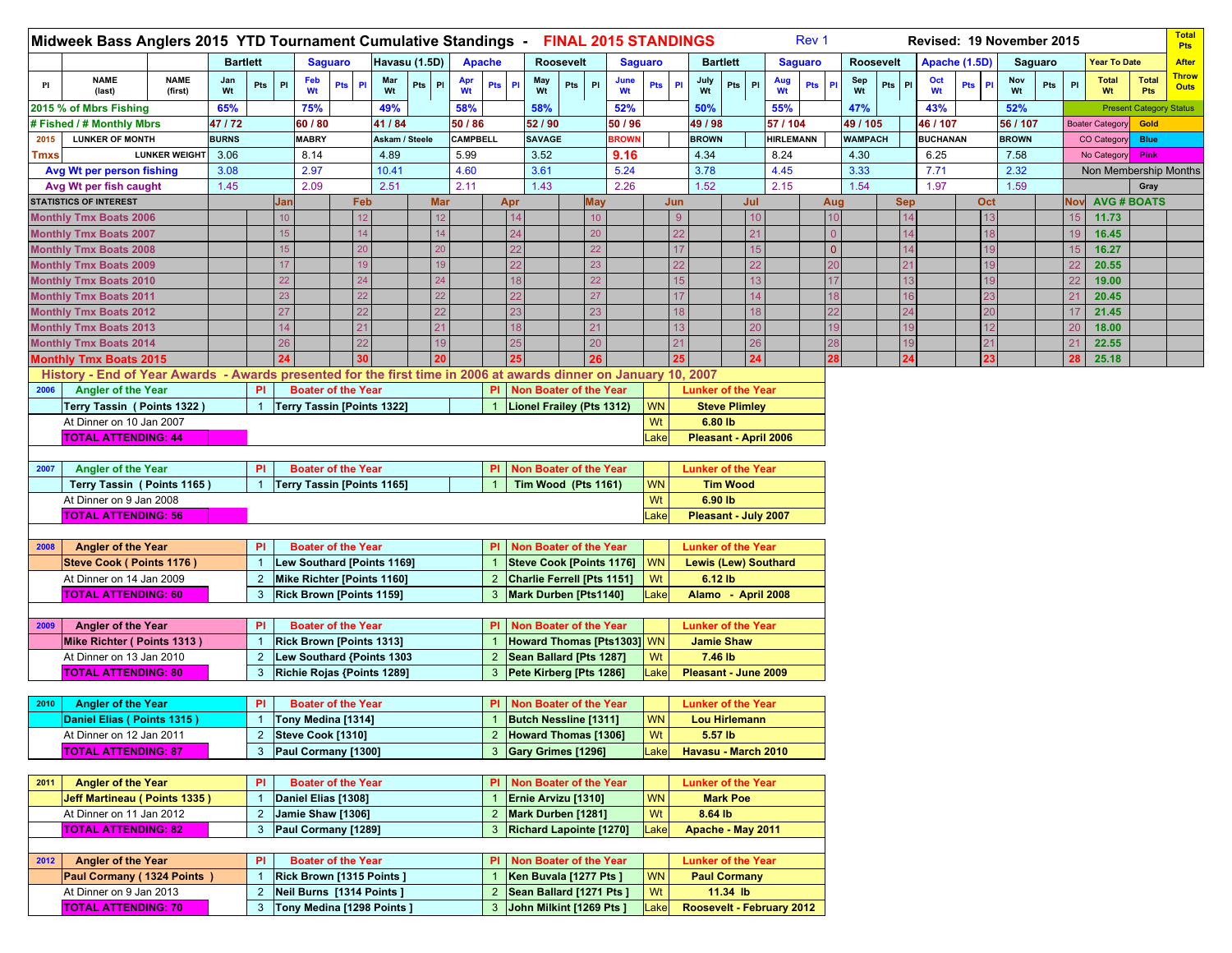|      | Midweek Bass Anglers 2015 YTD Tournament Cumulative Standings - FINAL 2015 STANDINGS                            |                        |                 |                |     |                                 |                |           |                                   |            |           |                |     |                             |            |              |                |                |                             |                      |     | Rev 1                     |                |                |                  |                 |               | Revised: 19 November 2015 |              |         |                |                        |                                | <b>Total</b><br>Pts         |
|------|-----------------------------------------------------------------------------------------------------------------|------------------------|-----------------|----------------|-----|---------------------------------|----------------|-----------|-----------------------------------|------------|-----------|----------------|-----|-----------------------------|------------|--------------|----------------|----------------|-----------------------------|----------------------|-----|---------------------------|----------------|----------------|------------------|-----------------|---------------|---------------------------|--------------|---------|----------------|------------------------|--------------------------------|-----------------------------|
|      |                                                                                                                 |                        | <b>Bartlett</b> |                |     |                                 | <b>Saguaro</b> |           | Havasu (1.5D)                     |            |           | <b>Apache</b>  |     | Roosevelt                   |            |              | <b>Saguaro</b> |                | <b>Bartlett</b>             |                      |     | <b>Saguaro</b>            |                |                | <b>Roosevelt</b> |                 | Apache (1.5D) |                           |              | Saguaro |                | Year To Date           |                                | <b>After</b>                |
| Pl   | <b>NAME</b><br>(last)                                                                                           | <b>NAME</b><br>(first) | Jan<br>Wt       | Pts            | P1  | Feb<br>Wt                       | Pts            | <b>PI</b> | Mar<br>Wt                         | Pts PI     | Apr<br>Wt | Pts Pl         |     | May<br>Pts<br>Wt            | PI         | June<br>Wt   | Pts            | P <sub>1</sub> | July<br>Wt                  | Pts PI               |     | Aug<br><b>Pts</b><br>Wt   | PI             | Sep<br>Wt      | Pts<br>PI        | Oct<br>Wt       | Pts           | PI                        | Nov<br>Wt    | Pts     | PI             | <b>Total</b><br>Wt     | <b>Total</b><br>Pts            | <b>Throw</b><br><b>Outs</b> |
|      | 2015 % of Mbrs Fishing                                                                                          |                        | 65%             |                |     | 75%                             |                |           | 49%                               |            | 58%       |                |     | 58%                         |            | 52%          |                |                | 50%                         |                      |     | 55%                       |                | 47%            |                  | 43%             |               |                           | 52%          |         |                |                        | <b>Present Category Status</b> |                             |
|      | <b># Fished / # Monthly Mbrs</b>                                                                                |                        | 47/72           |                |     | 60 / 80                         |                |           | 41 / 84                           |            | 50 / 86   |                |     | 52/90                       |            | 50 / 96      |                |                | 49 / 98                     |                      |     | 57 / 104                  |                | 49 / 105       |                  | 46 / 107        |               |                           | 56 / 107     |         |                | <b>Boater Category</b> | Gold                           |                             |
| 2015 | <b>LUNKER OF MONTH</b>                                                                                          |                        | <b>BURNS</b>    |                |     | <b>MABRY</b>                    |                |           | Askam / Steele                    |            | CAMPBELL  |                |     | <b>SAVAGE</b>               |            | <b>BROWN</b> |                |                | <b>BROWN</b>                |                      |     | <b>HIRLEMANN</b>          |                | <b>WAMPACH</b> |                  | <b>BUCHANAN</b> |               |                           | <b>BROWN</b> |         |                | <b>CO Category</b>     | <b>Blue</b>                    |                             |
| Tmxs |                                                                                                                 | <b>LUNKER WEIGHT</b>   | 3.06            |                |     | 8.14                            |                |           | 4.89                              |            | 5.99      |                |     | 3.52                        |            | 9.16         |                |                | 4.34                        |                      |     | 8.24                      |                | 4.30           |                  | 6.25            |               |                           | 7.58         |         |                | No Category            | Pink                           |                             |
|      | Avg Wt per person fishing                                                                                       |                        | 3.08            |                |     | 2.97                            |                |           | 10.41                             |            | 4.60      |                |     | 3.61                        |            | 5.24         |                |                | 3.78                        |                      |     | 4.45                      |                | 3.33           |                  | 7.71            |               |                           | 2.32         |         |                | Non Membership Months  |                                |                             |
|      | Avg Wt per fish caught                                                                                          |                        | 1.45            |                |     | 2.09                            |                |           | 2.51                              |            | 2.11      |                |     | 1.43                        |            | 2.26         |                |                | 1.52                        |                      |     | 2.15                      |                | 1.54           |                  | 1.97            |               |                           | 1.59         |         |                |                        | Gray                           |                             |
|      | <b>STATISTICS OF INTEREST</b>                                                                                   |                        |                 |                | Jar |                                 |                | Feb       |                                   | <b>Mar</b> |           |                | Apr |                             | <b>May</b> |              |                | Jun            |                             |                      | Jul |                           | Aug            |                | <b>Sep</b>       |                 |               | Oct                       |              |         | Nov            |                        | <b>AVG # BOATS</b>             |                             |
|      | <b>Monthly Tmx Boats 2006</b>                                                                                   |                        |                 |                | 10  |                                 |                | 12        |                                   | 12         |           |                |     |                             | 10         |              |                | 9              |                             |                      | 10  |                           | 10             |                |                  |                 |               | 13                        |              |         | 15             | 11.73                  |                                |                             |
|      | <b>Monthly Tmx Boats 2007</b>                                                                                   |                        |                 |                | 15  |                                 |                | 14        |                                   | 14         |           |                |     |                             | 20         |              |                | 22             |                             |                      | 21  |                           |                |                |                  |                 |               | 18                        |              |         |                | 16.45                  |                                |                             |
|      | <b>Monthly Tmx Boats 2008</b>                                                                                   |                        |                 |                | 15  |                                 |                | 20        |                                   | 20         |           |                |     |                             | 22         |              |                | 17             |                             |                      | 15  |                           | $\overline{0}$ |                | 12               |                 |               | 19                        |              |         | 15             | 16.27                  |                                |                             |
|      | <b>Monthly Tmx Boats 2009</b>                                                                                   |                        |                 |                | 17  |                                 |                | 19        |                                   | 19         |           |                |     |                             | 23         |              |                | 22             |                             |                      | 22  |                           |                |                |                  |                 |               |                           |              |         | 22             | 20.55                  |                                |                             |
|      | <b>Monthly Tmx Boats 2010</b>                                                                                   |                        |                 |                | 22  |                                 |                | 24        |                                   | 24         |           |                |     |                             | 22         |              |                | 15             |                             |                      | 13  |                           |                |                |                  |                 |               |                           |              |         | 22             | 19.00                  |                                |                             |
|      | <b>Monthly Tmx Boats 2011</b>                                                                                   |                        |                 |                | 23  |                                 |                |           |                                   | 22         |           |                |     |                             | 27         |              |                | 17             |                             |                      | 14  |                           |                |                |                  |                 |               |                           |              |         | 2 <sup>1</sup> | 20.45                  |                                |                             |
|      | <b>Monthly Tmx Boats 2012</b>                                                                                   |                        |                 |                | 27  |                                 |                | 22        |                                   | 22         |           |                |     |                             | 23         |              |                | 18             |                             |                      | 18  |                           |                |                |                  |                 |               | 20                        |              |         | 17             | 21.45                  |                                |                             |
|      | <b>Monthly Tmx Boats 2013</b>                                                                                   |                        |                 |                | 14  |                                 |                | 21        |                                   | 21         |           |                |     |                             | 21         |              |                | 13             |                             |                      | 20  |                           |                |                |                  |                 |               | 12                        |              |         | 20             | 18.00                  |                                |                             |
|      | <b>Monthly Tmx Boats 2014</b>                                                                                   |                        |                 |                | 26  |                                 |                |           |                                   | 19         |           |                |     |                             | 20         |              |                | 21             |                             |                      | 26  |                           |                |                |                  |                 |               | 21                        |              |         | 2 <sup>1</sup> | 22.55                  |                                |                             |
|      | Monthly Tmx Boats 2015                                                                                          |                        |                 |                | 24  |                                 |                |           |                                   |            |           |                |     |                             | 26         |              |                | 25             |                             |                      | 24  |                           | 28             |                | 24               |                 |               | 23                        |              |         | 28             | 25.18                  |                                |                             |
|      | History - End of Year Awards - Awards presented for the first time in 2006 at awards dinner on January 10, 2007 |                        |                 |                |     |                                 |                |           |                                   |            |           |                |     |                             |            |              |                |                |                             |                      |     |                           |                |                |                  |                 |               |                           |              |         |                |                        |                                |                             |
| 2006 | Angler of the Year                                                                                              |                        |                 | PI             |     | <b>Boater of the Year</b>       |                |           |                                   |            |           | PI.            |     | Non Boater of the Year      |            |              |                |                | <b>Lunker of the Year</b>   |                      |     |                           |                |                |                  |                 |               |                           |              |         |                |                        |                                |                             |
|      | Terry Tassin ( Points 1322)                                                                                     |                        |                 |                |     |                                 |                |           | Terry Tassin [Points 1322]        |            |           |                |     | Lionel Frailey (Pts 1312)   |            |              | WN             |                |                             | <b>Steve Plimley</b> |     |                           |                |                |                  |                 |               |                           |              |         |                |                        |                                |                             |
|      | At Dinner on 10 Jan 2007                                                                                        |                        |                 |                |     |                                 |                |           |                                   |            |           |                |     |                             |            |              | Wt             |                | 6.80 lb                     |                      |     |                           |                |                |                  |                 |               |                           |              |         |                |                        |                                |                             |
|      | <b>TOTAL ATTENDING: 44</b>                                                                                      |                        |                 |                |     |                                 |                |           |                                   |            |           |                |     |                             |            |              | .ake           |                | Pleasant - April 2006       |                      |     |                           |                |                |                  |                 |               |                           |              |         |                |                        |                                |                             |
|      |                                                                                                                 |                        |                 |                |     | <b>Boater of the Year</b>       |                |           |                                   |            |           |                |     |                             |            |              |                |                |                             |                      |     |                           |                |                |                  |                 |               |                           |              |         |                |                        |                                |                             |
| 2007 | <b>Angler of the Year</b>                                                                                       |                        |                 | PI             |     |                                 |                |           |                                   |            |           | PI.            |     | Non Boater of the Year      |            |              | <b>WN</b>      |                | <b>Lunker of the Year</b>   |                      |     |                           |                |                |                  |                 |               |                           |              |         |                |                        |                                |                             |
|      | Terry Tassin (Points 1165)                                                                                      |                        |                 | -1             |     |                                 |                |           | Terry Tassin [Points 1165]        |            |           |                |     | Tim Wood (Pts 1161)         |            |              |                |                |                             | <b>Tim Wood</b>      |     |                           |                |                |                  |                 |               |                           |              |         |                |                        |                                |                             |
|      | At Dinner on 9 Jan 2008                                                                                         |                        |                 |                |     |                                 |                |           |                                   |            |           |                |     |                             |            |              | Wt             |                | 6.90 lb                     |                      |     |                           |                |                |                  |                 |               |                           |              |         |                |                        |                                |                             |
|      | <b>TOTAL ATTENDING: 56</b>                                                                                      |                        |                 |                |     |                                 |                |           |                                   |            |           |                |     |                             |            |              | Lake           |                | Pleasant - July 2007        |                      |     |                           |                |                |                  |                 |               |                           |              |         |                |                        |                                |                             |
| 2008 | <b>Angler of the Year</b>                                                                                       |                        |                 | PI             |     | <b>Boater of the Year</b>       |                |           |                                   |            |           | <b>PI</b>      |     | Non Boater of the Year      |            |              |                |                | <b>Lunker of the Year</b>   |                      |     |                           |                |                |                  |                 |               |                           |              |         |                |                        |                                |                             |
|      | Steve Cook (Points 1176)                                                                                        |                        |                 |                |     |                                 |                |           | <b>Lew Southard [Points 1169]</b> |            |           |                |     | Steve Cook [Points 1176] WN |            |              |                |                | <b>Lewis (Lew) Southard</b> |                      |     |                           |                |                |                  |                 |               |                           |              |         |                |                        |                                |                             |
|      | At Dinner on 14 Jan 2009                                                                                        |                        |                 | $\overline{2}$ |     |                                 |                |           | Mike Richter [Points 1160]        |            |           |                |     | Charlie Ferrell [Pts 1151]  |            |              | Wt             |                | 6.12 lb                     |                      |     |                           |                |                |                  |                 |               |                           |              |         |                |                        |                                |                             |
|      | <b>TOTAL ATTENDING: 60</b>                                                                                      |                        |                 | 3              |     | <b>Rick Brown [Points 1159]</b> |                |           |                                   |            |           | 3              |     | Mark Durben [Pts1140]       |            |              | Lake           |                | Alamo - April 2008          |                      |     |                           |                |                |                  |                 |               |                           |              |         |                |                        |                                |                             |
|      |                                                                                                                 |                        |                 |                |     |                                 |                |           |                                   |            |           |                |     |                             |            |              |                |                |                             |                      |     |                           |                |                |                  |                 |               |                           |              |         |                |                        |                                |                             |
| 2009 | <b>Angler of the Year</b>                                                                                       |                        |                 | PI             |     | <b>Boater of the Year</b>       |                |           |                                   |            |           |                |     | Non Boater of the Year      |            |              |                |                | <b>Lunker of the Year</b>   |                      |     |                           |                |                |                  |                 |               |                           |              |         |                |                        |                                |                             |
|      | Mike Richter (Points 1313)                                                                                      |                        |                 |                |     | Rick Brown [Points 1313]        |                |           |                                   |            |           |                |     | Howard Thomas [Pts1303] WN  |            |              |                |                | <b>Jamie Shaw</b>           |                      |     |                           |                |                |                  |                 |               |                           |              |         |                |                        |                                |                             |
|      | At Dinner on 13 Jan 2010                                                                                        |                        |                 | $\overline{2}$ |     |                                 |                |           | Lew Southard {Points 1303         |            |           | $\overline{2}$ |     | Sean Ballard [Pts 1287]     |            |              | Wt             |                | 7.46 lb                     |                      |     |                           |                |                |                  |                 |               |                           |              |         |                |                        |                                |                             |
|      | <b>TOTAL ATTENDING: 80</b>                                                                                      |                        |                 | 3              |     |                                 |                |           | Richie Rojas {Points 1289]        |            |           |                |     | Pete Kirberg [Pts 1286]     |            |              | ake            |                | Pleasant - June 2009        |                      |     |                           |                |                |                  |                 |               |                           |              |         |                |                        |                                |                             |
|      |                                                                                                                 |                        |                 |                |     |                                 |                |           |                                   |            |           |                |     |                             |            |              |                |                |                             |                      |     |                           |                |                |                  |                 |               |                           |              |         |                |                        |                                |                             |
| 2010 | <b>Angler of the Year</b>                                                                                       |                        |                 | PI             |     | <b>Boater of the Year</b>       |                |           |                                   |            |           | <b>PI</b>      |     | Non Boater of the Year      |            |              |                |                | <b>Lunker of the Year</b>   |                      |     |                           |                |                |                  |                 |               |                           |              |         |                |                        |                                |                             |
|      | Daniel Elias (Points 1315)                                                                                      |                        |                 | $\mathbf{1}$   |     | Tony Medina [1314]              |                |           |                                   |            |           |                |     | Butch Nessline [1311]       |            |              | <b>WN</b>      |                | <b>Lou Hirlemann</b>        |                      |     |                           |                |                |                  |                 |               |                           |              |         |                |                        |                                |                             |
|      | At Dinner on 12 Jan 2011                                                                                        |                        |                 |                |     | 2 Steve Cook [1310]             |                |           |                                   |            |           |                |     | 2 Howard Thomas [1306]      |            |              | Wt             |                | 5.57 lb                     |                      |     |                           |                |                |                  |                 |               |                           |              |         |                |                        |                                |                             |
|      | <b>TOTAL ATTENDING: 87</b>                                                                                      |                        |                 | $\mathbf{3}$   |     | Paul Cormany [1300]             |                |           |                                   |            |           |                |     | 3 Gary Grimes [1296]        |            |              | Lake           |                | Havasu - March 2010         |                      |     |                           |                |                |                  |                 |               |                           |              |         |                |                        |                                |                             |
|      |                                                                                                                 |                        |                 |                |     |                                 |                |           |                                   |            |           |                |     |                             |            |              |                |                |                             |                      |     |                           |                |                |                  |                 |               |                           |              |         |                |                        |                                |                             |
| 2011 | <b>Angler of the Year</b>                                                                                       |                        |                 | PI             |     | <b>Boater of the Year</b>       |                |           |                                   |            |           |                |     | PI Non Boater of the Year   |            |              |                |                | <b>Lunker of the Year</b>   |                      |     |                           |                |                |                  |                 |               |                           |              |         |                |                        |                                |                             |
|      | <b>Jeff Martineau (Points 1335)</b>                                                                             |                        |                 |                |     | Daniel Elias [1308]             |                |           |                                   |            |           |                |     | Ernie Arvizu [1310]         |            |              | <b>WN</b>      |                |                             | <b>Mark Poe</b>      |     |                           |                |                |                  |                 |               |                           |              |         |                |                        |                                |                             |
|      | At Dinner on 11 Jan 2012                                                                                        |                        |                 | $\overline{2}$ |     | Jamie Shaw [1306]               |                |           |                                   |            |           | $\overline{2}$ |     | Mark Durben [1281]          |            |              | Wt             |                | 8.64 lb                     |                      |     |                           |                |                |                  |                 |               |                           |              |         |                |                        |                                |                             |
|      | <b>TOTAL ATTENDING: 82</b>                                                                                      |                        |                 | $\mathbf{3}$   |     | Paul Cormany [1289]             |                |           |                                   |            |           |                |     | 3   Richard Lapointe [1270] |            |              | Lake           |                | Apache - May 2011           |                      |     |                           |                |                |                  |                 |               |                           |              |         |                |                        |                                |                             |
|      |                                                                                                                 |                        |                 |                |     |                                 |                |           |                                   |            |           |                |     |                             |            |              |                |                |                             |                      |     |                           |                |                |                  |                 |               |                           |              |         |                |                        |                                |                             |
| 2012 | <b>Angler of the Year</b>                                                                                       |                        |                 | PI             |     | <b>Boater of the Year</b>       |                |           |                                   |            |           |                |     | PI Non Boater of the Year   |            |              |                |                | <b>Lunker of the Year</b>   |                      |     |                           |                |                |                  |                 |               |                           |              |         |                |                        |                                |                             |
|      | Paul Cormany (1324 Points)                                                                                      |                        |                 |                |     | Rick Brown [1315 Points]        |                |           |                                   |            |           |                |     | Ken Buvala [1277 Pts ]      |            |              | <b>WN</b>      |                | <b>Paul Cormany</b>         |                      |     |                           |                |                |                  |                 |               |                           |              |         |                |                        |                                |                             |
|      | At Dinner on 9 Jan 2013                                                                                         |                        |                 | $\overline{2}$ |     | Neil Burns [1314 Points]        |                |           |                                   |            |           | 2              |     | Sean Ballard [1271 Pts ]    |            |              | Wt             |                |                             | 11.34 lb             |     |                           |                |                |                  |                 |               |                           |              |         |                |                        |                                |                             |
|      | <b>TOTAL ATTENDING: 70</b>                                                                                      |                        |                 | $\mathbf{3}$   |     |                                 |                |           | Tony Medina [1298 Points ]        |            |           | 3              |     | John Milkint [1269 Pts ]    |            |              | ake            |                |                             |                      |     | Roosevelt - February 2012 |                |                |                  |                 |               |                           |              |         |                |                        |                                |                             |